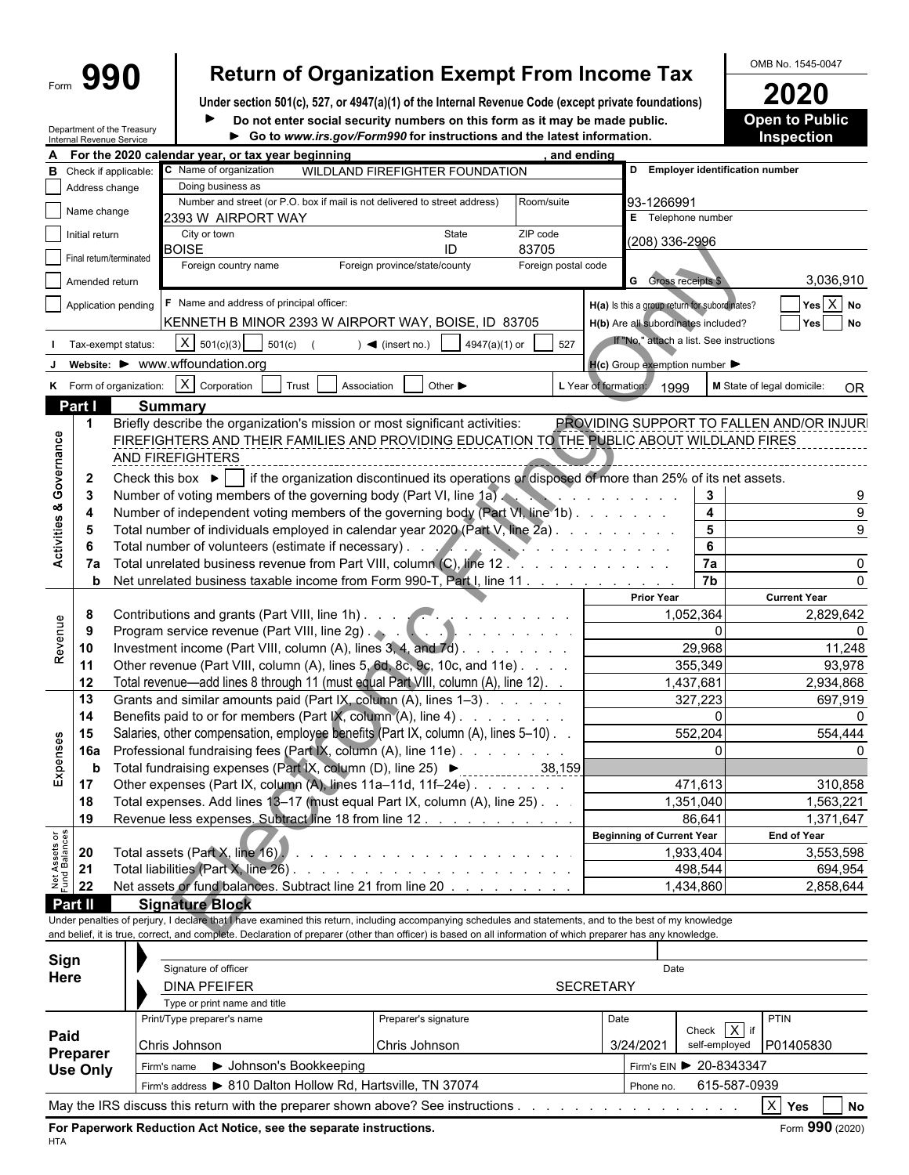## Form  $\left\{\mathbf{990}\right\}$  Return of Organization Exempt From Income Tax  $\left\{\frac{\text{OMB No. }1545-0047}{2020}\right\}$

**Under section 501(c), 527, or 4947(a)(1) of the Internal Revenue Code (except private foundations) 2020** this form as it may be made public. **Open to Public**  $\blacktriangleright$ 

Department of the Treasury Internal Revenue Service

| Do not enter social security numbers on this form as it may be made public. | <b>Open to Pup</b> |
|-----------------------------------------------------------------------------|--------------------|
| ► Go to www.irs.gov/Form990 for instructions and the latest information.    | <b>Inspection</b>  |

|                                | nternal Revenue Service |                                                                                                       |                                                                                                                                                              |                                                                                                 |                                  |                                                     |                                               | <b>IIIJNGGUUL</b>                         |
|--------------------------------|-------------------------|-------------------------------------------------------------------------------------------------------|--------------------------------------------------------------------------------------------------------------------------------------------------------------|-------------------------------------------------------------------------------------------------|----------------------------------|-----------------------------------------------------|-----------------------------------------------|-------------------------------------------|
|                                |                         |                                                                                                       | For the 2020 calendar year, or tax year beginning                                                                                                            |                                                                                                 | and ending                       |                                                     |                                               |                                           |
| в                              |                         | Check if applicable:                                                                                  | C Name of organization                                                                                                                                       | WILDLAND FIREFIGHTER FOUNDATION                                                                 |                                  |                                                     | D Employer identification number              |                                           |
|                                | Address change          |                                                                                                       | Doing business as                                                                                                                                            |                                                                                                 |                                  |                                                     |                                               |                                           |
|                                | Name change             |                                                                                                       | Number and street (or P.O. box if mail is not delivered to street address)                                                                                   |                                                                                                 | Room/suite                       | 93-1266991                                          |                                               |                                           |
|                                |                         |                                                                                                       | 2393 W AIRPORT WAY                                                                                                                                           |                                                                                                 |                                  | E Telephone number                                  |                                               |                                           |
|                                | Initial return          |                                                                                                       | City or town                                                                                                                                                 | State                                                                                           | ZIP code                         | (208) 336-2996                                      |                                               |                                           |
|                                | Final return/terminated |                                                                                                       | <b>BOISE</b>                                                                                                                                                 | ID<br>83705                                                                                     |                                  |                                                     |                                               |                                           |
|                                |                         |                                                                                                       | Foreign country name                                                                                                                                         | Foreign province/state/county                                                                   | Foreign postal code              |                                                     |                                               |                                           |
|                                | Amended return          |                                                                                                       |                                                                                                                                                              |                                                                                                 |                                  | <b>G</b> Gross receipts \$                          |                                               | 3,036,910                                 |
|                                |                         | Application pending                                                                                   | F Name and address of principal officer:                                                                                                                     |                                                                                                 |                                  |                                                     | H(a) Is this a group return for subordinates? | Yes X No                                  |
|                                |                         |                                                                                                       | KENNETH B MINOR 2393 W AIRPORT WAY, BOISE, ID 83705                                                                                                          |                                                                                                 |                                  | H(b) Are all subordinates included?                 |                                               | Yes<br><b>No</b>                          |
|                                |                         | Tax-exempt status:                                                                                    | X   501(c)(3)   501(c)                                                                                                                                       | $\blacktriangleleft$ (insert no.)<br>4947(a)(1) or                                              | 527                              |                                                     | If "No," attach a list. See instructions      |                                           |
|                                |                         |                                                                                                       |                                                                                                                                                              |                                                                                                 |                                  |                                                     |                                               |                                           |
|                                |                         |                                                                                                       | website: ▶ www.wffoundation.org                                                                                                                              |                                                                                                 |                                  | $H(c)$ Group exemption number $\blacktriangleright$ |                                               |                                           |
|                                |                         | K Form of organization:                                                                               | $X$ Corporation<br>Trust<br>Association                                                                                                                      | Other $\blacktriangleright$                                                                     | L Year of formation:             | 1999                                                |                                               | M State of legal domicile:<br><b>OR</b>   |
|                                | Part I                  |                                                                                                       | <b>Summary</b>                                                                                                                                               |                                                                                                 |                                  |                                                     |                                               |                                           |
|                                | $\mathbf 1$             |                                                                                                       | Briefly describe the organization's mission or most significant activities:                                                                                  |                                                                                                 |                                  |                                                     |                                               | PROVIDING SUPPORT TO FALLEN AND/OR INJURI |
|                                |                         |                                                                                                       | FIREFIGHTERS AND THEIR FAMILIES AND PROVIDING EDUCATION TO THE PUBLIC ABOUT WILDLAND FIRES                                                                   |                                                                                                 |                                  |                                                     |                                               |                                           |
|                                |                         |                                                                                                       | AND FIREFIGHTERS                                                                                                                                             |                                                                                                 |                                  |                                                     |                                               |                                           |
| Activities & Governance        |                         |                                                                                                       |                                                                                                                                                              |                                                                                                 |                                  |                                                     |                                               |                                           |
|                                | $\mathbf{2}$            |                                                                                                       | Check this box $\blacktriangleright$ $\blacktriangleright$                                                                                                   | if the organization discontinued its operations or disposed of more than 25% of its net assets. |                                  |                                                     |                                               |                                           |
|                                | -3                      |                                                                                                       | Number of voting members of the governing body (Part VI, line 1a).                                                                                           |                                                                                                 |                                  | the contract of the contract of the con-            | 3                                             |                                           |
|                                | 4                       |                                                                                                       | Number of independent voting members of the governing body (Part VI, line 1b)                                                                                |                                                                                                 |                                  |                                                     | 4                                             | $\mathbf{Q}$                              |
|                                | 5                       |                                                                                                       | Total number of individuals employed in calendar year 2020 (Part V, line 2a).                                                                                |                                                                                                 |                                  |                                                     | 5                                             |                                           |
|                                |                         |                                                                                                       | Total number of volunteers (estimate if necessary).                                                                                                          |                                                                                                 | <b>NET A REPORT AND RESIDENT</b> |                                                     | 6                                             |                                           |
|                                | 7а                      |                                                                                                       | Total unrelated business revenue from Part VIII, column (C), line 12                                                                                         |                                                                                                 |                                  |                                                     | 7a                                            |                                           |
|                                | b                       |                                                                                                       | Net unrelated business taxable income from Form 990-T, Part I, line 11                                                                                       |                                                                                                 |                                  |                                                     | $\overline{7b}$                               |                                           |
|                                |                         |                                                                                                       |                                                                                                                                                              |                                                                                                 |                                  | <b>Prior Year</b>                                   |                                               | <b>Current Year</b>                       |
|                                | 8                       | Contributions and grants (Part VIII, line 1h). And the contributions and grants (Part VIII, line 1h). |                                                                                                                                                              |                                                                                                 |                                  |                                                     | 1,052,364                                     | 2,829,642                                 |
| Revenue                        | -9                      |                                                                                                       |                                                                                                                                                              |                                                                                                 |                                  |                                                     | $\Omega$                                      | $\Omega$                                  |
|                                | 10                      |                                                                                                       | Investment income (Part VIII, column (A), lines $3, 4$ , and $7d$ ).                                                                                         |                                                                                                 |                                  |                                                     | 29,968                                        | 11,248                                    |
|                                | 11                      |                                                                                                       | Other revenue (Part VIII, column (A), lines 5, 6d, 8c, 9c, 10c, and 11e)                                                                                     |                                                                                                 |                                  |                                                     | 355,349                                       | 93,978                                    |
|                                | 12                      |                                                                                                       | Total revenue—add lines 8 through 11 (must equal Part VIII, column (A), line 12).                                                                            |                                                                                                 |                                  |                                                     | 1,437,681                                     | 2,934,868                                 |
|                                | 13                      |                                                                                                       | Grants and similar amounts paid (Part IX, column (A), lines 1-3)                                                                                             |                                                                                                 |                                  |                                                     | 327,223                                       | 697,919                                   |
|                                | 14                      |                                                                                                       | Benefits paid to or for members (Part IX, column (A), line 4)                                                                                                |                                                                                                 |                                  |                                                     | $\Omega$                                      |                                           |
|                                | 15                      | Salaries, other compensation, employee benefits (Part IX, column (A), lines 5-10).                    |                                                                                                                                                              |                                                                                                 |                                  |                                                     | 552,204                                       | 554,444                                   |
| Expenses                       | 16a                     |                                                                                                       | Professional fundraising fees (Part IX, column (A), line 11e)                                                                                                |                                                                                                 |                                  |                                                     | $\Omega$                                      |                                           |
|                                | b                       |                                                                                                       |                                                                                                                                                              |                                                                                                 |                                  |                                                     |                                               |                                           |
|                                | 17                      |                                                                                                       | Other expenses (Part IX, column (A), lines 11a-11d, 11f-24e)                                                                                                 |                                                                                                 |                                  |                                                     | 471,613                                       | 310,858                                   |
|                                |                         |                                                                                                       | Total expenses. Add lines 13-17 (must equal Part IX, column (A), line 25). .                                                                                 |                                                                                                 |                                  |                                                     | 1.351.040                                     |                                           |
|                                | 18                      |                                                                                                       |                                                                                                                                                              |                                                                                                 |                                  |                                                     |                                               | 1,563,221                                 |
|                                | 19                      |                                                                                                       | Revenue less expenses. Subtract line 18 from line 12.                                                                                                        |                                                                                                 |                                  |                                                     | 86,641                                        | 1,371,647                                 |
| Net Assets or<br>Fund Balances |                         |                                                                                                       |                                                                                                                                                              |                                                                                                 |                                  | <b>Beginning of Current Year</b>                    |                                               | <b>End of Year</b>                        |
|                                | 20                      |                                                                                                       | Total assets (Part X, line 16).                                                                                                                              |                                                                                                 |                                  |                                                     | 1,933,404                                     | 3,553,598                                 |
|                                | 21                      |                                                                                                       | Total liabilities (Part X, line 26).                                                                                                                         |                                                                                                 |                                  |                                                     | 498,544                                       | 694,954                                   |
|                                | 22                      |                                                                                                       | Net assets or fund balances. Subtract line 21 from line 20                                                                                                   |                                                                                                 |                                  |                                                     | 1,434,860                                     | 2,858,644                                 |
|                                | Part II                 |                                                                                                       | <b>Signature Block</b>                                                                                                                                       |                                                                                                 |                                  |                                                     |                                               |                                           |
|                                |                         |                                                                                                       | Under penalties of perjury, I declare that I have examined this return, including accompanying schedules and statements, and to the best of my knowledge     |                                                                                                 |                                  |                                                     |                                               |                                           |
|                                |                         |                                                                                                       | and belief, it is true, correct, and complete. Declaration of preparer (other than officer) is based on all information of which preparer has any knowledge. |                                                                                                 |                                  |                                                     |                                               |                                           |
| Sign                           |                         |                                                                                                       |                                                                                                                                                              |                                                                                                 |                                  |                                                     |                                               |                                           |
|                                |                         |                                                                                                       | Signature of officer                                                                                                                                         |                                                                                                 |                                  | Date                                                |                                               |                                           |
| Here                           |                         |                                                                                                       | <b>DINA PFEIFER</b>                                                                                                                                          |                                                                                                 | <b>SECRETARY</b>                 |                                                     |                                               |                                           |
|                                |                         |                                                                                                       | Type or print name and title                                                                                                                                 |                                                                                                 |                                  |                                                     |                                               |                                           |
|                                |                         |                                                                                                       | Print/Type preparer's name                                                                                                                                   | Preparer's signature                                                                            |                                  | Date                                                |                                               | PTIN                                      |
| Paid                           |                         |                                                                                                       |                                                                                                                                                              |                                                                                                 |                                  |                                                     | Check $\overline{X}$ if                       |                                           |
|                                | Preparer                |                                                                                                       | Chris Johnson                                                                                                                                                | Chris Johnson                                                                                   |                                  | 3/24/2021                                           | self-employed                                 | P01405830                                 |
|                                | <b>Use Only</b>         |                                                                                                       | ▶ Johnson's Bookkeeping<br>Firm's name                                                                                                                       |                                                                                                 |                                  |                                                     | Firm's EIN ▶ 20-8343347                       |                                           |
|                                |                         |                                                                                                       |                                                                                                                                                              |                                                                                                 |                                  |                                                     |                                               |                                           |

Firm's address  $\triangleright$  810 Dalton Hollow Rd, Hartsville, TN 37074 Phone no. 615-587-0939 May the IRS discuss this return with the preparer shown above? See instructions . . . . . . . . . . . . . . . . . . . . . . . . . . . . . . . . . . . . . . . . . . X **Yes No**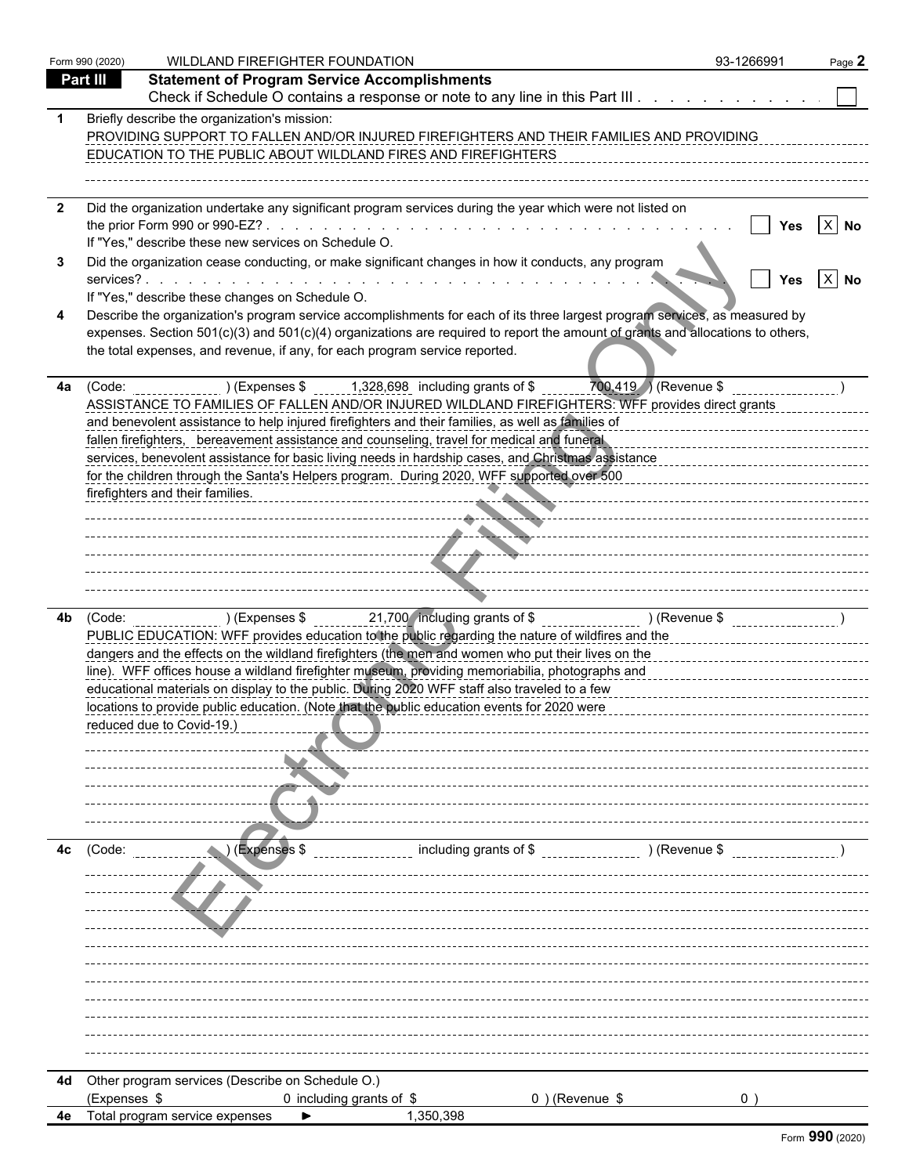|              | Form 990 (2020) | WILDLAND FIREFIGHTER FOUNDATION                                                                                                                                                                                                                                                                                                                                                                                                                                                                                                                                                                                                                                                      | 93-1266991  | Page 2 |
|--------------|-----------------|--------------------------------------------------------------------------------------------------------------------------------------------------------------------------------------------------------------------------------------------------------------------------------------------------------------------------------------------------------------------------------------------------------------------------------------------------------------------------------------------------------------------------------------------------------------------------------------------------------------------------------------------------------------------------------------|-------------|--------|
|              | Part III        | <b>Statement of Program Service Accomplishments</b>                                                                                                                                                                                                                                                                                                                                                                                                                                                                                                                                                                                                                                  |             |        |
|              |                 | Check if Schedule O contains a response or note to any line in this Part III                                                                                                                                                                                                                                                                                                                                                                                                                                                                                                                                                                                                         |             |        |
|              |                 | Briefly describe the organization's mission:<br>PROVIDING SUPPORT TO FALLEN AND/OR INJURED FIREFIGHTERS AND THEIR FAMILIES AND PROVIDING<br>EDUCATION TO THE PUBLIC ABOUT WILDLAND FIRES AND FIREFIGHTERS                                                                                                                                                                                                                                                                                                                                                                                                                                                                            |             |        |
| $\mathbf{2}$ |                 | Did the organization undertake any significant program services during the year which were not listed on<br>If "Yes," describe these new services on Schedule O.                                                                                                                                                                                                                                                                                                                                                                                                                                                                                                                     | Yes         | $X$ No |
|              |                 | Did the organization cease conducting, or make significant changes in how it conducts, any program                                                                                                                                                                                                                                                                                                                                                                                                                                                                                                                                                                                   | Yes         | $X$ No |
|              |                 | If "Yes," describe these changes on Schedule O.<br>Describe the organization's program service accomplishments for each of its three largest program services, as measured by<br>expenses. Section 501(c)(3) and 501(c)(4) organizations are required to report the amount of grants and allocations to others,<br>the total expenses, and revenue, if any, for each program service reported.                                                                                                                                                                                                                                                                                       |             |        |
| 4a           |                 | (Code: $($ Code: $)$ (Expenses \$ 1,328,698 including grants of \$ 700,419 ) (Revenue \$<br>ASSISTANCE TO FAMILIES OF FALLEN AND/OR INJURED WILDLAND FIREFIGHTERS: WFF provides direct grants<br>and benevolent assistance to help injured firefighters and their families, as well as families of<br>fallen firefighters, bereavement assistance and counseling, travel for medical and funeral<br>services, benevolent assistance for basic living needs in hardship cases, and Christmas assistance<br>for the children through the Santa's Helpers program. During 2020, WFF supported over 500<br>firefighters and their families.<br>------------ <del>---------------</del> - |             |        |
| 4b           |                 | (Code: ) (Expenses \$ 21,700 including grants of \$ ________________ ) (Revenue \$ ______________ )<br>PUBLIC EDUCATION: WFF provides education to the public regarding the nature of wildfires and the<br>dangers and the effects on the wildland firefighters (the men and women who put their lives on the<br>line). WFF offices house a wildland firefighter museum, providing memoriabilia, photographs and<br>educational materials on display to the public. During 2020 WFF staff also traveled to a few<br>locations to provide public education. (Note that the public education events for 2020 were<br>reduced due to Covid-19.                                          |             |        |
| 4с           | (Code:          | including grants of \$<br>) (Revenue \$<br>)(Expenses \$                                                                                                                                                                                                                                                                                                                                                                                                                                                                                                                                                                                                                             |             |        |
|              |                 | Other program services (Describe on Schedule O.)                                                                                                                                                                                                                                                                                                                                                                                                                                                                                                                                                                                                                                     |             |        |
| 4d           |                 | 0 including grants of \$<br>$0$ ) (Revenue \$                                                                                                                                                                                                                                                                                                                                                                                                                                                                                                                                                                                                                                        | $0^{\circ}$ |        |
|              | (Expenses \$    |                                                                                                                                                                                                                                                                                                                                                                                                                                                                                                                                                                                                                                                                                      |             |        |
| 4e           |                 | Total program service expenses<br>1,350,398                                                                                                                                                                                                                                                                                                                                                                                                                                                                                                                                                                                                                                          |             |        |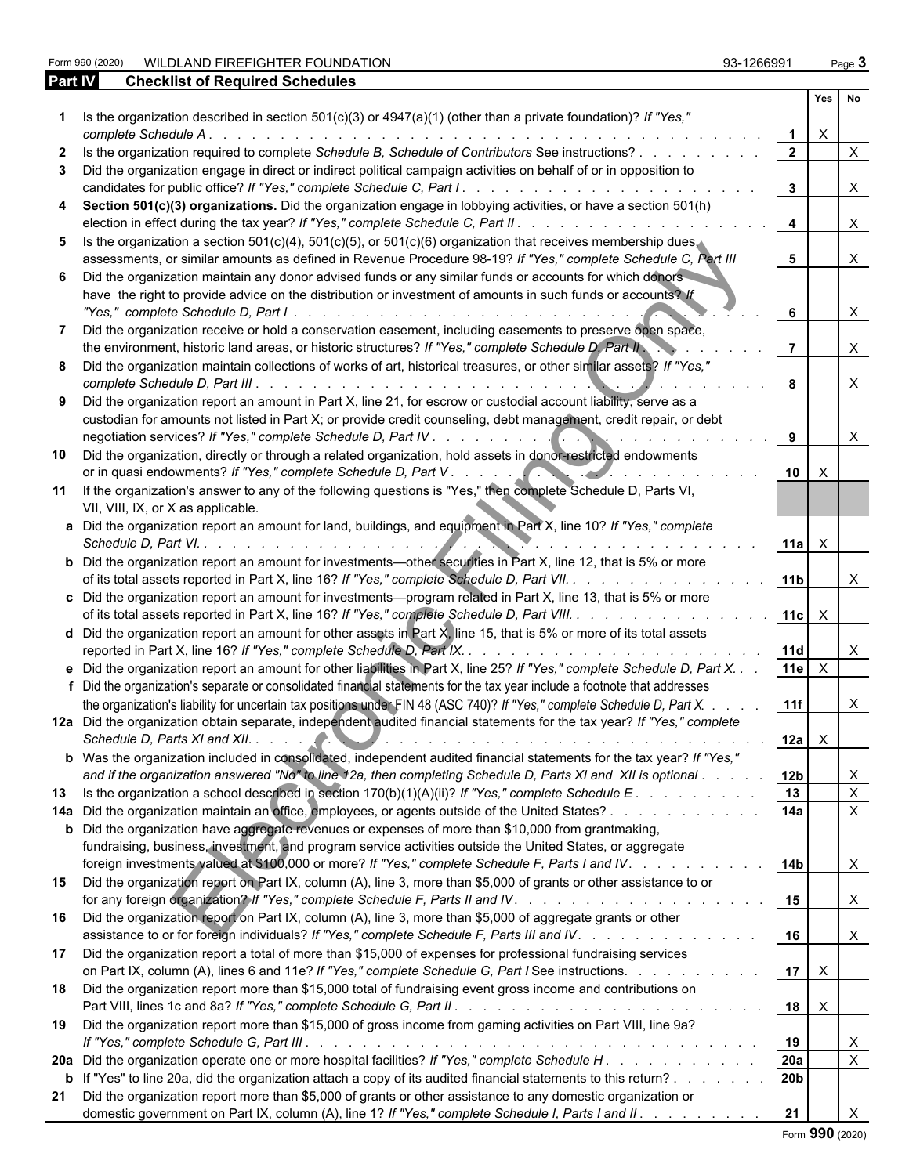Form 990 (2020) WILDLAND FIREFIGHTER FOUNDATION 93-1266991 Page **3**

|              | LOIIII AAN (SASA) I<br><b>WILDLAND FIREFIGHTER FOUNDATION</b>                                                                                                                                                                                                                                                                                             | <u>ap-1800aa1</u> |                 |                           | Page <b>J</b> |
|--------------|-----------------------------------------------------------------------------------------------------------------------------------------------------------------------------------------------------------------------------------------------------------------------------------------------------------------------------------------------------------|-------------------|-----------------|---------------------------|---------------|
| Part IV      | <b>Checklist of Required Schedules</b>                                                                                                                                                                                                                                                                                                                    |                   |                 |                           |               |
|              |                                                                                                                                                                                                                                                                                                                                                           |                   |                 | Yes                       | No            |
|              | Is the organization described in section 501(c)(3) or 4947(a)(1) (other than a private foundation)? If "Yes,"                                                                                                                                                                                                                                             |                   |                 | $\times$                  |               |
|              | complete Schedule A.<br><u>. In the second contract of the second contract of the second contract of the second</u>                                                                                                                                                                                                                                       |                   |                 |                           |               |
| $\mathbf{z}$ | Is the organization required to complete Schedule B, Schedule of Contributors See instructions?                                                                                                                                                                                                                                                           |                   |                 |                           | $\mathsf{X}$  |
|              | Did the organization engage in direct or indirect political campaign activities on behalf of or in opposition to                                                                                                                                                                                                                                          |                   |                 |                           | $\times$      |
|              | Section 501(c)(3) organizations. Did the organization engage in lobbying activities, or have a section 501(h)                                                                                                                                                                                                                                             |                   |                 |                           | $\mathsf{X}$  |
| 5            | Is the organization a section 501(c)(4), 501(c)(5), or 501(c)(6) organization that receives membership dues.<br>assessments, or similar amounts as defined in Revenue Procedure 98-19? If "Yes," complete Schedule C, Part III                                                                                                                            |                   | 5               |                           | $\mathsf{X}$  |
|              | Did the organization maintain any donor advised funds or any similar funds or accounts for which donors<br>have the right to provide advice on the distribution or investment of amounts in such funds or accounts? If                                                                                                                                    |                   |                 |                           | X             |
|              | Did the organization receive or hold a conservation easement, including easements to preserve open space,<br>the environment, historic land areas, or historic structures? If "Yes," complete Schedule D, Part II                                                                                                                                         |                   |                 |                           | X             |
|              | Did the organization maintain collections of works of art, historical treasures, or other similar assets? If "Yes,"<br>complete Schedule D, Part III.<br>de la caractería de la caractería de la caractería de la caractería                                                                                                                              |                   |                 |                           | $\mathsf{X}$  |
|              | Did the organization report an amount in Part X, line 21, for escrow or custodial account liability, serve as a<br>custodian for amounts not listed in Part X; or provide credit counseling, debt management, credit repair, or debt                                                                                                                      |                   |                 |                           | X             |
| 10           | Did the organization, directly or through a related organization, hold assets in donor-restricted endowments                                                                                                                                                                                                                                              |                   | 10              | $\times$                  |               |
| 11           | If the organization's answer to any of the following questions is "Yes," then complete Schedule D, Parts VI,<br>VII, VIII, IX, or X as applicable.                                                                                                                                                                                                        |                   |                 |                           |               |
|              | a Did the organization report an amount for land, buildings, and equipment in Part X, line 10? If "Yes," complete                                                                                                                                                                                                                                         |                   | 11a             | $\mathsf{X}$              |               |
|              | <b>b</b> Did the organization report an amount for investments—other securities in Part X, line 12, that is 5% or more<br>of its total assets reported in Part X, line 16? If "Yes," complete Schedule D, Part VII.                                                                                                                                       |                   | 11 <sub>b</sub> |                           | $\mathsf{X}$  |
|              | c Did the organization report an amount for investments-program related in Part X, line 13, that is 5% or more<br>of its total assets reported in Part X, line 16? If "Yes," complete Schedule D, Part VIII.                                                                                                                                              |                   | $11c$ $\times$  |                           |               |
|              | d Did the organization report an amount for other assets in Part X, line 15, that is 5% or more of its total assets<br>reported in Part X, line 16? If "Yes," complete Schedule D, Part IX. .<br>de la caractería de la caractería de la caractería                                                                                                       |                   | 11d             |                           | X.            |
|              | e Did the organization report an amount for other liabilities in Part X, line 25? If "Yes," complete Schedule D, Part X.<br>f Did the organization's separate or consolidated financial statements for the tax year include a footnote that addresses                                                                                                     |                   | <b>11e</b>      | $\boldsymbol{\mathsf{X}}$ |               |
|              | the organization's liability for uncertain tax positions under FIN 48 (ASC 740)? If "Yes," complete Schedule D, Part X.                                                                                                                                                                                                                                   |                   | 11f             |                           | X             |
|              | 12a Did the organization obtain separate, independent audited financial statements for the tax year? If "Yes," complete<br>the contract of the contract of the contract of the contract of the contract of the contract of the contract of the contract of the contract of the contract of the contract of the contract of the contract of the contract o |                   | $12a \quad X$   |                           |               |
|              | <b>b</b> Was the organization included in consolidated, independent audited financial statements for the tax year? If "Yes,"                                                                                                                                                                                                                              |                   |                 |                           |               |
|              | and if the organization answered "No" to line 12a, then completing Schedule D, Parts XI and XII is optional                                                                                                                                                                                                                                               |                   | 12b             |                           | X             |
| 13           | Is the organization a school described in section $170(b)(1)(A)(ii)$ ? If "Yes," complete Schedule E.                                                                                                                                                                                                                                                     |                   | 13              |                           | $\mathsf{X}$  |
|              | 14a Did the organization maintain an office, employees, or agents outside of the United States?                                                                                                                                                                                                                                                           |                   | 14a             |                           | $\mathsf{X}$  |
|              | <b>b</b> Did the organization have aggregate revenues or expenses of more than \$10,000 from grantmaking,<br>fundraising, business, investment, and program service activities outside the United States, or aggregate<br>foreign investments valued at \$100,000 or more? If "Yes," complete Schedule F, Parts I and IV.                                 |                   | 14b             |                           | $\mathsf{X}$  |
| 15           | Did the organization report on Part IX, column (A), line 3, more than \$5,000 of grants or other assistance to or                                                                                                                                                                                                                                         |                   |                 |                           |               |
|              | for any foreign organization? If "Yes," complete Schedule F, Parts II and IV. .<br>and the company of the company of the company of the company of the company of the company of the company of the company of the company of the company of the company of the company of the company of the company of the comp                                         |                   | 15              |                           | $\mathsf{X}$  |
| 16           | Did the organization report on Part IX, column (A), line 3, more than \$5,000 of aggregate grants or other<br>assistance to or for foreign individuals? If "Yes," complete Schedule F, Parts III and IV.<br>and the company of the company of                                                                                                             |                   | 16              |                           | $\mathsf{X}$  |
| 17           | Did the organization report a total of more than \$15,000 of expenses for professional fundraising services<br>on Part IX, column (A), lines 6 and 11e? If "Yes," complete Schedule G, Part I See instructions.                                                                                                                                           |                   | 17              | $\mathsf{X}$              |               |
| 18           | Did the organization report more than \$15,000 total of fundraising event gross income and contributions on                                                                                                                                                                                                                                               |                   | 18              | $\mathsf{X}$              |               |
| 19           | Did the organization report more than \$15,000 of gross income from gaming activities on Part VIII, line 9a?                                                                                                                                                                                                                                              |                   |                 |                           |               |

| 20a Did the organization operate one or more hospital facilities? If "Yes," complete Schedule H.               | <b>20a</b>      |  |
|----------------------------------------------------------------------------------------------------------------|-----------------|--|
| b If "Yes" to line 20a, did the organization attach a copy of its audited financial statements to this return? | 20 <sub>b</sub> |  |
| Did the organization report more than \$5,000 of grants or other assistance to any domestic organization or    |                 |  |
| domestic government on Part IX, column (A), line 1? If "Yes," complete Schedule I, Parts I and II.             |                 |  |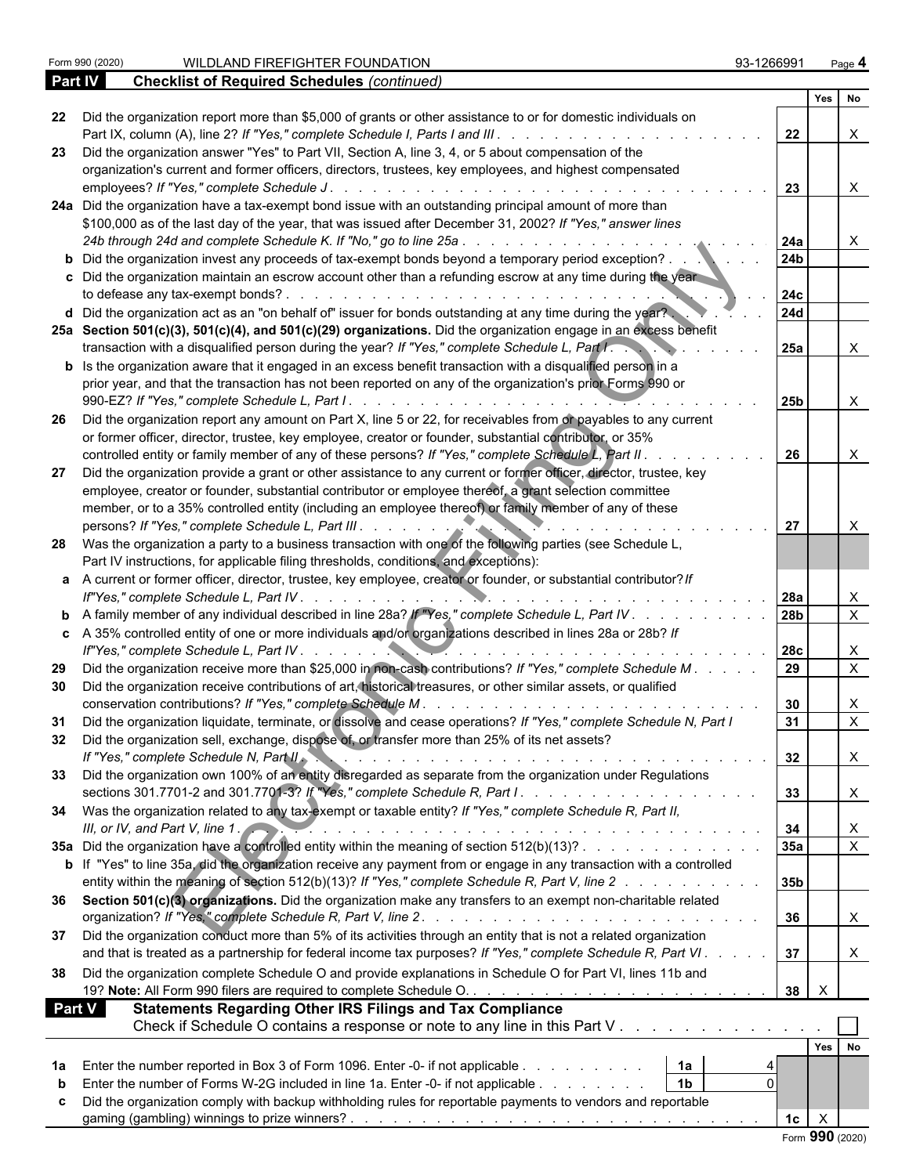|               |                                                                                                                                                                                                                                   | Yes No             |                           |
|---------------|-----------------------------------------------------------------------------------------------------------------------------------------------------------------------------------------------------------------------------------|--------------------|---------------------------|
| 22            | Did the organization report more than \$5,000 of grants or other assistance to or for domestic individuals on                                                                                                                     |                    |                           |
|               |                                                                                                                                                                                                                                   | 22                 | $\mathsf{X}$              |
| 23.           | Did the organization answer "Yes" to Part VII, Section A, line 3, 4, or 5 about compensation of the<br>organization's current and former officers, directors, trustees, key employees, and highest compensated                    |                    |                           |
|               |                                                                                                                                                                                                                                   | 23                 | $\mathsf{X}$              |
|               | 24a Did the organization have a tax-exempt bond issue with an outstanding principal amount of more than                                                                                                                           |                    |                           |
|               | \$100,000 as of the last day of the year, that was issued after December 31, 2002? If "Yes," answer lines                                                                                                                         |                    |                           |
|               |                                                                                                                                                                                                                                   | l 24a              | $\mathsf{X}$              |
|               | <b>b</b> Did the organization invest any proceeds of tax-exempt bonds beyond a temporary period exception?                                                                                                                        | 24 <sub>b</sub>    |                           |
|               | c Did the organization maintain an escrow account other than a refunding escrow at any time during the year                                                                                                                       |                    |                           |
|               |                                                                                                                                                                                                                                   | 24c                |                           |
|               | d Did the organization act as an "on behalf of" issuer for bonds outstanding at any time during the year?                                                                                                                         | 24d                |                           |
|               | 25a Section 501(c)(3), 501(c)(4), and 501(c)(29) organizations. Did the organization engage in an excess benefit                                                                                                                  |                    |                           |
|               | transaction with a disqualified person during the year? If "Yes," complete Schedule L, Part I.                                                                                                                                    | 25a                | X                         |
|               | <b>b</b> Is the organization aware that it engaged in an excess benefit transaction with a disqualified person in a<br>prior year, and that the transaction has not been reported on any of the organization's prior Forms 990 or |                    |                           |
|               |                                                                                                                                                                                                                                   | 25b                | $\mathsf{X}$              |
| -26           | Did the organization report any amount on Part X, line 5 or 22, for receivables from or payables to any current                                                                                                                   |                    |                           |
|               | or former officer, director, trustee, key employee, creator or founder, substantial contributor, or 35%                                                                                                                           |                    |                           |
|               | controlled entity or family member of any of these persons? If "Yes," complete Schedule L, Part II.                                                                                                                               | 26                 | $\mathsf{X}$              |
| 27            | Did the organization provide a grant or other assistance to any current or former officer, director, trustee, key                                                                                                                 |                    |                           |
|               | employee, creator or founder, substantial contributor or employee thereof, a grant selection committee                                                                                                                            |                    |                           |
|               | member, or to a 35% controlled entity (including an employee thereof) or family member of any of these                                                                                                                            |                    |                           |
|               |                                                                                                                                                                                                                                   | 27                 | $\boldsymbol{\mathsf{X}}$ |
|               | 28 Was the organization a party to a business transaction with one of the following parties (see Schedule L,                                                                                                                      |                    |                           |
|               | Part IV instructions, for applicable filing thresholds, conditions, and exceptions):<br>a A current or former officer, director, trustee, key employee, creator or founder, or substantial contributor? If                        |                    |                           |
|               |                                                                                                                                                                                                                                   |                    | X                         |
|               | <b>b</b> A family member of any individual described in line 28a? If "Yes," complete Schedule L, Part IV. 78b                                                                                                                     |                    | $\overline{X}$            |
|               | c A 35% controlled entity of one or more individuals and/or organizations described in lines 28a or 28b? If                                                                                                                       |                    |                           |
|               |                                                                                                                                                                                                                                   |                    | X                         |
| 29            | Did the organization receive more than \$25,000 in non-cash contributions? If "Yes," complete Schedule M.                                                                                                                         |                    | $\overline{X}$            |
| 30            | Did the organization receive contributions of art, historical treasures, or other similar assets, or qualified                                                                                                                    |                    |                           |
|               |                                                                                                                                                                                                                                   | 30                 | X                         |
| 31            | Did the organization liquidate, terminate, or dissolve and cease operations? If "Yes," complete Schedule N, Part I                                                                                                                | 31                 | $\overline{X}$            |
| 32            | Did the organization sell, exchange, dispose of, or transfer more than 25% of its net assets?                                                                                                                                     |                    |                           |
|               | If "Yes." complete Schedule N, Part II.                                                                                                                                                                                           | 32                 | $\overline{\phantom{a}}$  |
|               | Did the organization own 100% of an entity disregarded as separate from the organization under Regulations                                                                                                                        | 33                 |                           |
|               | 34 Was the organization related to any tax-exempt or taxable entity? If "Yes," complete Schedule R, Part II,                                                                                                                      |                    | X                         |
|               | III, or IV, and Part V, line 1. $\sim$ . $\sim$ . $\sim$ . $\sim$ . $\sim$ . $\sim$ . $\sim$ . $\sim$ . $\sim$ . $\sim$ . $\sim$ . $\sim$ . $\sim$ . $\sim$ .                                                                     | 34                 | X                         |
|               | 35a Did the organization have a controlled entity within the meaning of section 512(b)(13)?                                                                                                                                       | 35a                | $\overline{\mathsf{x}}$   |
|               | b If "Yes" to line 35a, did the organization receive any payment from or engage in any transaction with a controlled                                                                                                              |                    |                           |
|               | entity within the meaning of section 512(b)(13)? If "Yes," complete Schedule R, Part V, line 2                                                                                                                                    | 35b                |                           |
|               | 36 Section 501(c)(3) organizations. Did the organization make any transfers to an exempt non-charitable related                                                                                                                   |                    |                           |
|               |                                                                                                                                                                                                                                   | 36                 | X                         |
| 37            | Did the organization conduct more than 5% of its activities through an entity that is not a related organization                                                                                                                  |                    |                           |
|               | and that is treated as a partnership for federal income tax purposes? If "Yes," complete Schedule R, Part VI.                                                                                                                     | 37                 |                           |
| 38            | Did the organization complete Schedule O and provide explanations in Schedule O for Part VI, lines 11b and                                                                                                                        |                    |                           |
|               |                                                                                                                                                                                                                                   | $\mathsf{X}$<br>38 |                           |
| <b>Part V</b> | <b>Statements Regarding Other IRS Filings and Tax Compliance</b>                                                                                                                                                                  |                    |                           |
|               | Check if Schedule O contains a response or note to any line in this Part V                                                                                                                                                        |                    |                           |
|               |                                                                                                                                                                                                                                   | Yes No             |                           |
|               | Enter the number reported in Box 3 of Form 1096. Enter -0- if not applicable<br>  1a<br>$\mathbf{0}$                                                                                                                              |                    |                           |
|               | 1 <sub>b</sub><br>Enter the number of Forms W-2G included in line 1a. Enter -0- if not applicable                                                                                                                                 |                    |                           |
|               | Did the organization comply with backup withholding rules for reportable payments to vendors and reportable                                                                                                                       | 1c<br>$\times$     |                           |
|               |                                                                                                                                                                                                                                   |                    |                           |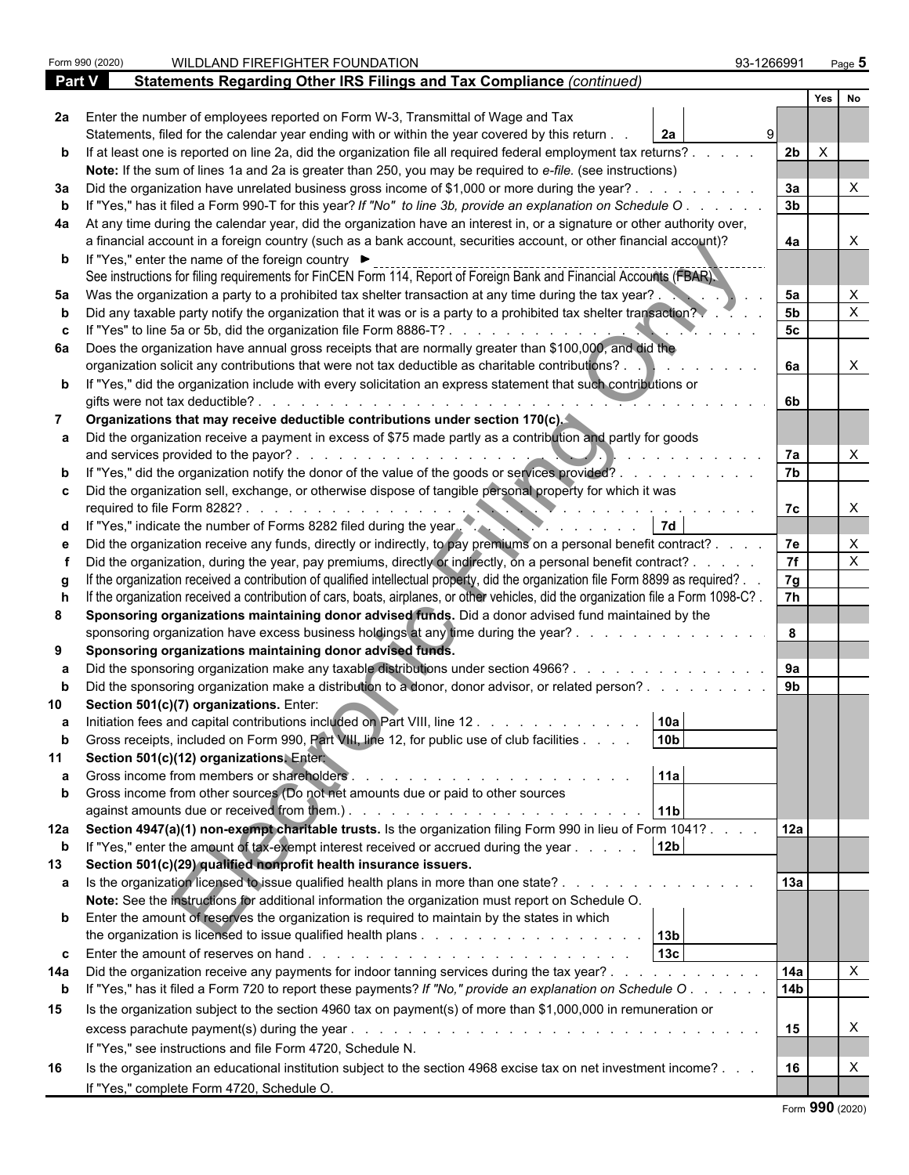|                   | Form 990 (2020) | WILDLAND FIREFIGHTER FOUNDATION                                                                                                                                | 93-1266991           | Page 5                    |  |
|-------------------|-----------------|----------------------------------------------------------------------------------------------------------------------------------------------------------------|----------------------|---------------------------|--|
| Part V            |                 | Statements Regarding Other IRS Filings and Tax Compliance (continued)                                                                                          |                      |                           |  |
|                   |                 |                                                                                                                                                                |                      | Yes<br>No                 |  |
|                   |                 | 2a Enter the number of employees reported on Form W-3, Transmittal of Wage and Tax                                                                             |                      |                           |  |
|                   |                 | Statements, filed for the calendar year ending with or within the year covered by this return.<br>2a                                                           |                      |                           |  |
|                   |                 | b If at least one is reported on line 2a, did the organization file all required federal employment tax returns?.                                              | 2 <sub>b</sub>       | $\mathsf{X}$              |  |
|                   |                 | Note: If the sum of lines 1a and 2a is greater than 250, you may be required to e-file. (see instructions)                                                     |                      |                           |  |
|                   |                 | 3a Did the organization have unrelated business gross income of \$1,000 or more during the year?.                                                              | 3a                   |                           |  |
|                   |                 | If "Yes," has it filed a Form 990-T for this year? If "No" to line 3b, provide an explanation on Schedule O                                                    | 3 <sub>b</sub>       |                           |  |
|                   |                 | 4a At any time during the calendar year, did the organization have an interest in, or a signature or other authority over,                                     |                      |                           |  |
|                   |                 | a financial account in a foreign country (such as a bank account, securities account, or other financial account)?                                             | 4a                   |                           |  |
|                   |                 | <b>b</b> If "Yes," enter the name of the foreign country ▶                                                                                                     |                      |                           |  |
|                   |                 | See instructions for filing requirements for FinCEN Form 114, Report of Foreign Bank and Financial Accounts (FBAR).                                            |                      |                           |  |
| 5а                |                 | Was the organization a party to a prohibited tax shelter transaction at any time during the tax year?.                                                         | 5a<br>5 <sub>b</sub> |                           |  |
|                   |                 | Did any taxable party notify the organization that it was or is a party to a prohibited tax shelter transaction?                                               |                      |                           |  |
|                   |                 | If "Yes" to line 5a or 5b, did the organization file Form 8886-T?                                                                                              | 5c                   |                           |  |
|                   |                 | 6a Does the organization have annual gross receipts that are normally greater than \$100,000, and did the                                                      |                      |                           |  |
|                   |                 | organization solicit any contributions that were not tax deductible as charitable contributions?.                                                              | 6a                   | X                         |  |
|                   |                 | b If "Yes," did the organization include with every solicitation an express statement that such contributions or<br>gifts were not tax deductible?.            | 6b                   |                           |  |
|                   |                 | Organizations that may receive deductible contributions under section 170(c).                                                                                  |                      |                           |  |
|                   |                 | a Did the organization receive a payment in excess of \$75 made partly as a contribution and partly for goods                                                  |                      |                           |  |
|                   |                 | and services provided to the payor?.                                                                                                                           | 7a                   |                           |  |
|                   |                 | b If "Yes," did the organization notify the donor of the value of the goods or services provided?.                                                             | 7b                   |                           |  |
|                   |                 | c  Did the organization sell, exchange, or otherwise dispose of tangible personal property for which it was                                                    |                      |                           |  |
|                   |                 | required to file Form 8282?                                                                                                                                    | 7c                   | X                         |  |
|                   |                 | d If "Yes," indicate the number of Forms 8282 filed during the year.                                                                                           |                      |                           |  |
|                   |                 | Did the organization receive any funds, directly or indirectly, to pay premiums on a personal benefit contract?.                                               | 7e                   |                           |  |
|                   |                 | Did the organization, during the year, pay premiums, directly or indirectly, on a personal benefit contract? .                                                 | $\overline{7f}$      | X                         |  |
|                   |                 | If the organization received a contribution of qualified intellectual property, did the organization file Form 8899 as required?.                              | 7g                   |                           |  |
|                   |                 | If the organization received a contribution of cars, boats, airplanes, or other vehicles, did the organization file a Form 1098-C?.                            | $\overline{7h}$      |                           |  |
| 8                 |                 | Sponsoring organizations maintaining donor advised funds. Did a donor advised fund maintained by the                                                           |                      |                           |  |
|                   |                 | sponsoring organization have excess business holdings at any time during the year?.                                                                            | 8                    |                           |  |
| 9                 |                 | Sponsoring organizations maintaining donor advised funds.                                                                                                      |                      |                           |  |
|                   |                 | Did the sponsoring organization make any taxable distributions under section 4966?.                                                                            | 9a                   |                           |  |
|                   |                 | Did the sponsoring organization make a distribution to a donor, donor advisor, or related person?.                                                             | 9 <sub>b</sub>       |                           |  |
|                   |                 | Section 501(c)(7) organizations. Enter:                                                                                                                        |                      |                           |  |
| a                 |                 | Initiation fees and capital contributions included on Part VIII, line 12.<br>10a                                                                               |                      |                           |  |
|                   |                 | 10 <sub>b</sub><br>Gross receipts, included on Form 990, Part VIII, line 12, for public use of club facilities                                                 |                      |                           |  |
|                   |                 | Section 501(c)(12) organizations. Entert                                                                                                                       |                      |                           |  |
|                   |                 | 11a                                                                                                                                                            |                      |                           |  |
| b                 |                 | Gross income from other sources (Do not net amounts due or paid to other sources<br>11 <sub>b</sub>                                                            |                      |                           |  |
|                   |                 | 12a Section 4947(a)(1) non-exempt charitable trusts. Is the organization filing Form 990 in lieu of Form 1041?.                                                | 12a                  |                           |  |
|                   |                 | If "Yes," enter the amount of tax-exempt interest received or accrued during the year<br>12 <sub>b</sub>                                                       |                      |                           |  |
| $\mathbf b$<br>13 |                 | Section 501(c)(29) qualified nonprofit health insurance issuers.                                                                                               |                      |                           |  |
|                   |                 | a Is the organization licensed to issue qualified health plans in more than one state?.                                                                        | 13a                  |                           |  |
|                   |                 | Note: See the instructions for additional information the organization must report on Schedule O.                                                              |                      |                           |  |
|                   |                 | <b>b</b> Enter the amount of reserves the organization is required to maintain by the states in which                                                          |                      |                           |  |
|                   |                 |                                                                                                                                                                |                      |                           |  |
|                   |                 | 13c<br><b>c</b> Enter the amount of reserves on hand $\ldots$ $\ldots$ $\ldots$ $\ldots$ $\ldots$ $\ldots$ $\ldots$ $\ldots$ $\ldots$                          |                      |                           |  |
| 14a               |                 | Did the organization receive any payments for indoor tanning services during the tax year?                                                                     | 14a                  | $\boldsymbol{\mathsf{X}}$ |  |
| $\mathbf b$       |                 | If "Yes," has it filed a Form 720 to report these payments? If "No," provide an explanation on Schedule O.                                                     | 14 <sub>b</sub>      |                           |  |
| 15                |                 | Is the organization subject to the section 4960 tax on payment(s) of more than \$1,000,000 in remuneration or                                                  |                      |                           |  |
|                   |                 | excess parachute payment(s) during the year.<br>and a complete that the complete the complete the complete the complete the complete the complete the complete | 15                   | X                         |  |
|                   |                 | If "Yes," see instructions and file Form 4720, Schedule N.                                                                                                     |                      |                           |  |
| 16                |                 | Is the organization an educational institution subject to the section 4968 excise tax on net investment income?                                                | 16                   | Χ                         |  |
|                   |                 |                                                                                                                                                                |                      |                           |  |
|                   |                 | If "Yes," complete Form 4720, Schedule O.                                                                                                                      |                      | $\sim$                    |  |

|  |  | Form 990 (2020) |
|--|--|-----------------|
|--|--|-----------------|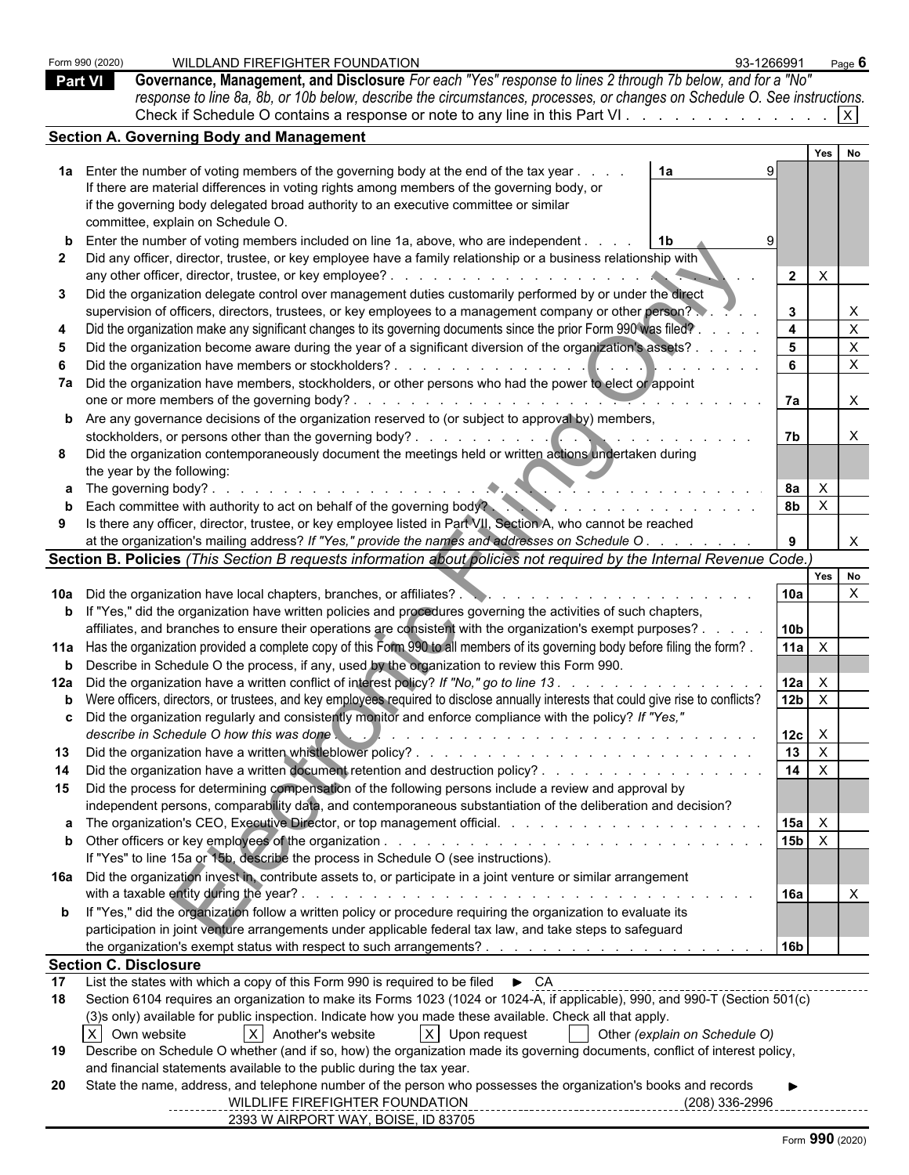| <b>Part VI</b> | Form 990 (2020)              | WILDLAND FIREFIGHTER FOUNDATION<br>93-1266991<br>Governance, Management, and Disclosure For each "Yes" response to lines 2 through 7b below, and for a "No"<br>response to line 8a, 8b, or 10b below, describe the circumstances, processes, or changes on Schedule O. See instructions.<br>Check if Schedule O contains a response or note to any line in this Part VI. $\vert x \vert$                                                                                                                                                                                                                                                                                                                                                                                                                                                                                                                                                                                                                      |                                                                                      |     | Page 6                                                                                                           |
|----------------|------------------------------|---------------------------------------------------------------------------------------------------------------------------------------------------------------------------------------------------------------------------------------------------------------------------------------------------------------------------------------------------------------------------------------------------------------------------------------------------------------------------------------------------------------------------------------------------------------------------------------------------------------------------------------------------------------------------------------------------------------------------------------------------------------------------------------------------------------------------------------------------------------------------------------------------------------------------------------------------------------------------------------------------------------|--------------------------------------------------------------------------------------|-----|------------------------------------------------------------------------------------------------------------------|
|                |                              | <b>Section A. Governing Body and Management</b>                                                                                                                                                                                                                                                                                                                                                                                                                                                                                                                                                                                                                                                                                                                                                                                                                                                                                                                                                               |                                                                                      |     |                                                                                                                  |
|                |                              |                                                                                                                                                                                                                                                                                                                                                                                                                                                                                                                                                                                                                                                                                                                                                                                                                                                                                                                                                                                                               |                                                                                      | Yes | No                                                                                                               |
| 3              |                              | 1a Enter the number of voting members of the governing body at the end of the tax year<br>1a<br>If there are material differences in voting rights among members of the governing body, or<br>if the governing body delegated broad authority to an executive committee or similar<br>committee, explain on Schedule O.<br><b>b</b> Enter the number of voting members included on line 1a, above, who are independent.<br>l 1b<br>Did any officer, director, trustee, or key employee have a family relationship or a business relationship with<br>Did the organization delegate control over management duties customarily performed by or under the direct<br>supervision of officers, directors, trustees, or key employees to a management company or other person?<br>Did the organization make any significant changes to its governing documents since the prior Form 990 was filed?<br>Did the organization become aware during the year of a significant diversion of the organization's assets? . | $\mathsf{X}$<br>$\overline{2}$<br>$\mathbf{3}$<br>$\overline{4}$<br>$5^{\circ}$<br>6 |     | $\boldsymbol{\mathsf{X}}$<br>$\boldsymbol{\mathsf{X}}$<br>$\boldsymbol{\mathsf{X}}$<br>$\boldsymbol{\mathsf{X}}$ |
|                |                              | 7a Did the organization have members, stockholders, or other persons who had the power to elect or appoint                                                                                                                                                                                                                                                                                                                                                                                                                                                                                                                                                                                                                                                                                                                                                                                                                                                                                                    |                                                                                      |     |                                                                                                                  |
|                |                              |                                                                                                                                                                                                                                                                                                                                                                                                                                                                                                                                                                                                                                                                                                                                                                                                                                                                                                                                                                                                               | 7a                                                                                   |     | $\boldsymbol{\mathsf{X}}$                                                                                        |
|                |                              | <b>b</b> Are any governance decisions of the organization reserved to (or subject to approval by) members,                                                                                                                                                                                                                                                                                                                                                                                                                                                                                                                                                                                                                                                                                                                                                                                                                                                                                                    |                                                                                      |     |                                                                                                                  |
|                |                              | Did the organization contemporaneously document the meetings held or written actions undertaken during                                                                                                                                                                                                                                                                                                                                                                                                                                                                                                                                                                                                                                                                                                                                                                                                                                                                                                        | 7b                                                                                   |     |                                                                                                                  |
|                |                              | the year by the following:                                                                                                                                                                                                                                                                                                                                                                                                                                                                                                                                                                                                                                                                                                                                                                                                                                                                                                                                                                                    |                                                                                      |     |                                                                                                                  |
|                |                              | <b>a</b> The governing body?<br>.                                                                                                                                                                                                                                                                                                                                                                                                                                                                                                                                                                                                                                                                                                                                                                                                                                                                                                                                                                             | <b>8a</b><br>$\times$                                                                |     |                                                                                                                  |
|                |                              | <b>b</b> Each committee with authority to act on behalf of the governing body?                                                                                                                                                                                                                                                                                                                                                                                                                                                                                                                                                                                                                                                                                                                                                                                                                                                                                                                                | 8 <sub>b</sub><br>$\mathsf{X}$                                                       |     |                                                                                                                  |
| 9              |                              | Is there any officer, director, trustee, or key employee listed in Part VII, Section A, who cannot be reached                                                                                                                                                                                                                                                                                                                                                                                                                                                                                                                                                                                                                                                                                                                                                                                                                                                                                                 |                                                                                      |     |                                                                                                                  |
|                |                              | at the organization's mailing address? If "Yes," provide the names and addresses on Schedule O.                                                                                                                                                                                                                                                                                                                                                                                                                                                                                                                                                                                                                                                                                                                                                                                                                                                                                                               | 9                                                                                    |     |                                                                                                                  |
|                |                              | Section B. Policies (This Section B requests information about policies not required by the Internal Revenue Code.)                                                                                                                                                                                                                                                                                                                                                                                                                                                                                                                                                                                                                                                                                                                                                                                                                                                                                           |                                                                                      | Yes | No                                                                                                               |
|                |                              | 10a Did the organization have local chapters, branches, or affiliates?                                                                                                                                                                                                                                                                                                                                                                                                                                                                                                                                                                                                                                                                                                                                                                                                                                                                                                                                        | 10a                                                                                  |     | $\boldsymbol{\mathsf{X}}$                                                                                        |
|                |                              | <b>b</b> If "Yes," did the organization have written policies and procedures governing the activities of such chapters,                                                                                                                                                                                                                                                                                                                                                                                                                                                                                                                                                                                                                                                                                                                                                                                                                                                                                       |                                                                                      |     |                                                                                                                  |
|                |                              | affiliates, and branches to ensure their operations are consistent with the organization's exempt purposes?                                                                                                                                                                                                                                                                                                                                                                                                                                                                                                                                                                                                                                                                                                                                                                                                                                                                                                   | 10 <sub>b</sub>                                                                      |     |                                                                                                                  |
|                |                              | 11a Has the organization provided a complete copy of this Form 990 to all members of its governing body before filing the form?                                                                                                                                                                                                                                                                                                                                                                                                                                                                                                                                                                                                                                                                                                                                                                                                                                                                               | $11a \times$                                                                         |     |                                                                                                                  |
|                |                              | <b>b</b> Describe in Schedule O the process, if any, used by the organization to review this Form 990.                                                                                                                                                                                                                                                                                                                                                                                                                                                                                                                                                                                                                                                                                                                                                                                                                                                                                                        |                                                                                      |     |                                                                                                                  |
|                |                              | 12a Did the organization have a written conflict of interest policy? If "No," go to line 13.                                                                                                                                                                                                                                                                                                                                                                                                                                                                                                                                                                                                                                                                                                                                                                                                                                                                                                                  | 12a<br>X                                                                             |     |                                                                                                                  |
|                |                              | b Were officers, directors, or trustees, and key employees required to disclose annually interests that could give rise to conflicts?                                                                                                                                                                                                                                                                                                                                                                                                                                                                                                                                                                                                                                                                                                                                                                                                                                                                         | 12 <sub>b</sub><br>$\mathsf{X}$                                                      |     |                                                                                                                  |
|                |                              | <b>c</b> Did the organization regularly and consistently monitor and enforce compliance with the policy? If "Yes,"<br>describe in Schedule O how this was done                                                                                                                                                                                                                                                                                                                                                                                                                                                                                                                                                                                                                                                                                                                                                                                                                                                | $12c \times$                                                                         |     |                                                                                                                  |
| 13             |                              |                                                                                                                                                                                                                                                                                                                                                                                                                                                                                                                                                                                                                                                                                                                                                                                                                                                                                                                                                                                                               | 13<br>$\mathsf{X}$                                                                   |     |                                                                                                                  |
|                |                              | Did the organization have a written document retention and destruction policy?                                                                                                                                                                                                                                                                                                                                                                                                                                                                                                                                                                                                                                                                                                                                                                                                                                                                                                                                | $14$ $\times$                                                                        |     |                                                                                                                  |
|                |                              | 15 Did the process for determining compensation of the following persons include a review and approval by                                                                                                                                                                                                                                                                                                                                                                                                                                                                                                                                                                                                                                                                                                                                                                                                                                                                                                     |                                                                                      |     |                                                                                                                  |
|                |                              | independent persons, comparability data, and contemporaneous substantiation of the deliberation and decision?                                                                                                                                                                                                                                                                                                                                                                                                                                                                                                                                                                                                                                                                                                                                                                                                                                                                                                 | 15a<br>$\mathsf{X}$                                                                  |     |                                                                                                                  |
|                |                              |                                                                                                                                                                                                                                                                                                                                                                                                                                                                                                                                                                                                                                                                                                                                                                                                                                                                                                                                                                                                               | $15b$ $X$                                                                            |     |                                                                                                                  |
|                |                              | If "Yes" to line 15a or 15b, describe the process in Schedule O (see instructions).                                                                                                                                                                                                                                                                                                                                                                                                                                                                                                                                                                                                                                                                                                                                                                                                                                                                                                                           |                                                                                      |     |                                                                                                                  |
|                |                              | 16a Did the organization invest in, contribute assets to, or participate in a joint venture or similar arrangement                                                                                                                                                                                                                                                                                                                                                                                                                                                                                                                                                                                                                                                                                                                                                                                                                                                                                            |                                                                                      |     |                                                                                                                  |
|                |                              | with a taxable entity during the year?<br>and the contract of the contract of the contract of the contract of the contract of the contract of the contract of the contract of the contract of the contract of the contract of the contract of the contract of the contra                                                                                                                                                                                                                                                                                                                                                                                                                                                                                                                                                                                                                                                                                                                                      | 16a                                                                                  |     |                                                                                                                  |
|                |                              | b If "Yes," did the organization follow a written policy or procedure requiring the organization to evaluate its<br>participation in joint venture arrangements under applicable federal tax law, and take steps to safeguard                                                                                                                                                                                                                                                                                                                                                                                                                                                                                                                                                                                                                                                                                                                                                                                 |                                                                                      |     |                                                                                                                  |
|                |                              |                                                                                                                                                                                                                                                                                                                                                                                                                                                                                                                                                                                                                                                                                                                                                                                                                                                                                                                                                                                                               | <b>16b</b>                                                                           |     |                                                                                                                  |
|                | <b>Section C. Disclosure</b> |                                                                                                                                                                                                                                                                                                                                                                                                                                                                                                                                                                                                                                                                                                                                                                                                                                                                                                                                                                                                               |                                                                                      |     |                                                                                                                  |
| 17             |                              | List the states with which a copy of this Form 990 is required to be filed $\bullet$ CA CONCORDIDELLET CONDUCT THE STATE THEORY OF THE STATE THEORY OF THE STATE THEORY OF THE STATE THEORY OF THE STATE THEORY OF THE STATE THEORY                                                                                                                                                                                                                                                                                                                                                                                                                                                                                                                                                                                                                                                                                                                                                                           |                                                                                      |     |                                                                                                                  |
| 18             |                              | Section 6104 requires an organization to make its Forms 1023 (1024 or 1024-A, if applicable), 990, and 990-T (Section 501(c)                                                                                                                                                                                                                                                                                                                                                                                                                                                                                                                                                                                                                                                                                                                                                                                                                                                                                  |                                                                                      |     |                                                                                                                  |
|                | X Own website                | (3)s only) available for public inspection. Indicate how you made these available. Check all that apply.<br>X Upon request<br>$ X $ Another's website<br>  Other (explain on Schedule O)                                                                                                                                                                                                                                                                                                                                                                                                                                                                                                                                                                                                                                                                                                                                                                                                                      |                                                                                      |     |                                                                                                                  |
| 19             |                              | Describe on Schedule O whether (and if so, how) the organization made its governing documents, conflict of interest policy,                                                                                                                                                                                                                                                                                                                                                                                                                                                                                                                                                                                                                                                                                                                                                                                                                                                                                   |                                                                                      |     |                                                                                                                  |
|                |                              | and financial statements available to the public during the tax year.                                                                                                                                                                                                                                                                                                                                                                                                                                                                                                                                                                                                                                                                                                                                                                                                                                                                                                                                         |                                                                                      |     |                                                                                                                  |
| 20             |                              | State the name, address, and telephone number of the person who possesses the organization's books and records<br>WILDLIFE FIREFIGHTER FOUNDATION<br>(208) 336-2996                                                                                                                                                                                                                                                                                                                                                                                                                                                                                                                                                                                                                                                                                                                                                                                                                                           |                                                                                      |     |                                                                                                                  |
|                |                              | ------------------------------<br>2393 W AIRPORT WAY, BOISE, ID 83705                                                                                                                                                                                                                                                                                                                                                                                                                                                                                                                                                                                                                                                                                                                                                                                                                                                                                                                                         |                                                                                      |     |                                                                                                                  |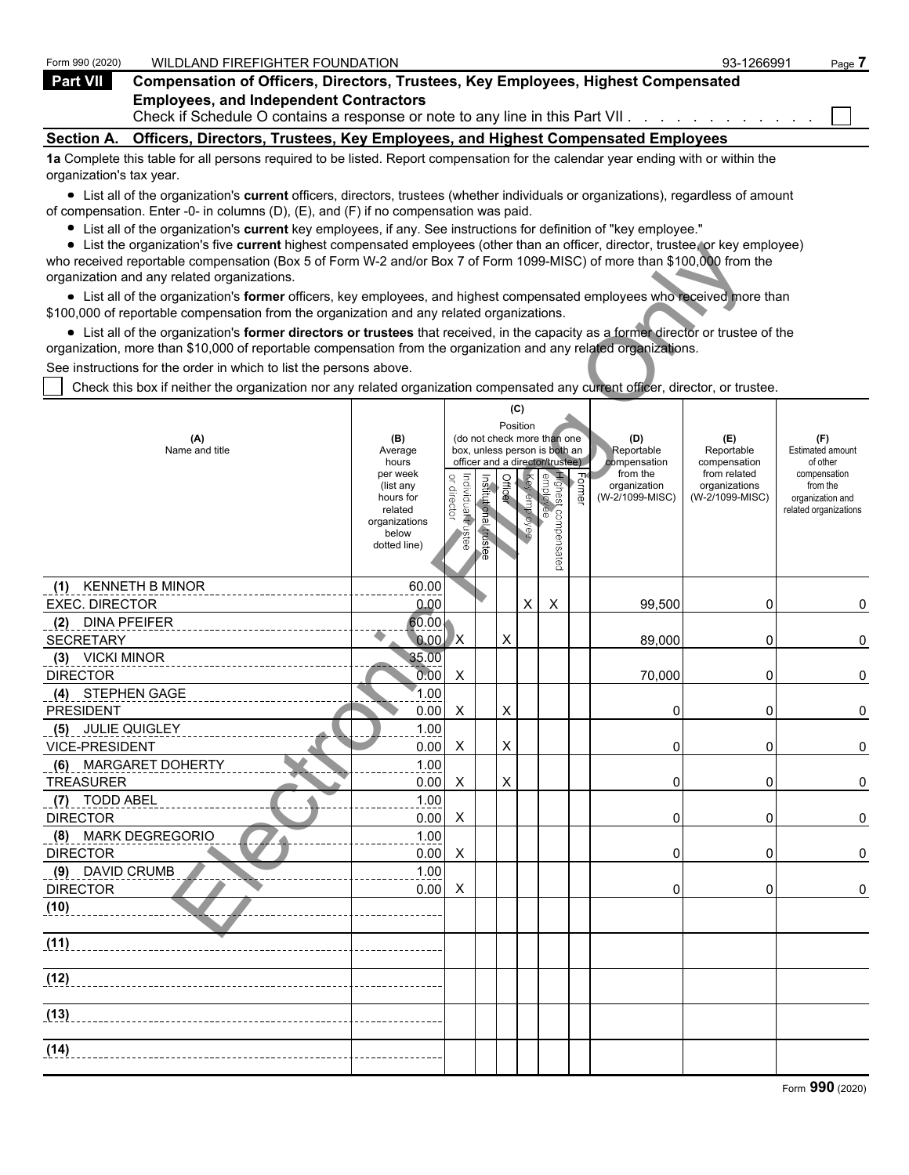| Form 990 (2020)          | WILDLAND FIREFIGHTER FOUNDATION                                                                                                   | 93-1266991 | Page 7 |
|--------------------------|-----------------------------------------------------------------------------------------------------------------------------------|------------|--------|
| Part VII                 | <b>Compensation of Officers, Directors, Trustees, Key Employees, Highest Compensated</b>                                          |            |        |
|                          | <b>Employees, and Independent Contractors</b>                                                                                     |            |        |
| <b>Section A.</b>        | Officers, Directors, Trustees, Key Employees, and Highest Compensated Employees                                                   |            |        |
|                          | 1a Complete this table for all persons required to be listed. Report compensation for the calendar year ending with or within the |            |        |
| organization's tax year. |                                                                                                                                   |            |        |

List all of the organization's **current** officers, directors, trustees (whether individuals or organizations), regardless of amount of compensation. Enter -0- in columns (D), (E), and (F) if no compensation was paid.

- List all of the organization's **current** key employees, if any. See instructions for definition of "key employee."
- List the organization's five **current** highest compensated employees (other than an officer, director, trustee, or key employee)

| $\bullet$ List the organization's five current highest compensated employees (other than an officer, director, trustee, or key employee)<br>who received reportable compensation (Box 5 of Form W-2 and/or Box 7 of Form 1099-MISC) of more than \$100,000 from the |                       |                                   |               |         |              |                                                              |                   |                          |                              |                                           |
|---------------------------------------------------------------------------------------------------------------------------------------------------------------------------------------------------------------------------------------------------------------------|-----------------------|-----------------------------------|---------------|---------|--------------|--------------------------------------------------------------|-------------------|--------------------------|------------------------------|-------------------------------------------|
| organization and any related organizations.                                                                                                                                                                                                                         |                       |                                   |               |         |              |                                                              |                   |                          |                              |                                           |
| • List all of the organization's former officers, key employees, and highest compensated employees who received more than<br>\$100,000 of reportable compensation from the organization and any related organizations.                                              |                       |                                   |               |         |              |                                                              |                   |                          |                              |                                           |
| • List all of the organization's former directors or trustees that received, in the capacity as a former director or trustee of the                                                                                                                                 |                       |                                   |               |         |              |                                                              |                   |                          |                              |                                           |
| organization, more than \$10,000 of reportable compensation from the organization and any related organizations.                                                                                                                                                    |                       |                                   |               |         |              |                                                              |                   |                          |                              |                                           |
| See instructions for the order in which to list the persons above.                                                                                                                                                                                                  |                       |                                   |               |         |              |                                                              |                   |                          |                              |                                           |
| Check this box if neither the organization nor any related organization compensated any current officer, director, or trustee.                                                                                                                                      |                       |                                   |               |         |              |                                                              |                   |                          |                              |                                           |
|                                                                                                                                                                                                                                                                     |                       |                                   |               |         | (C)          |                                                              |                   |                          |                              |                                           |
|                                                                                                                                                                                                                                                                     |                       |                                   |               |         | Position     |                                                              |                   |                          |                              |                                           |
| (A)<br>Name and title                                                                                                                                                                                                                                               | (B)<br>Average        |                                   |               |         |              | (do not check more than one<br>box, unless person is both an |                   | (D)<br>Reportable        | (E)<br>Reportable            | (F)<br>Estimated amount                   |
|                                                                                                                                                                                                                                                                     | hours<br>per week     |                                   |               |         |              | officer and a director/trustee)                              |                   | compensation<br>from the | compensation<br>from related | of other                                  |
|                                                                                                                                                                                                                                                                     | (list any             | Individual trustee<br>or director | Institutional | Officer | Key employee |                                                              | $F_{\text{oume}}$ | organization             | organizations                | compensation<br>from the                  |
|                                                                                                                                                                                                                                                                     | hours for<br>related  |                                   |               |         |              |                                                              |                   | (W-2/1099-MISC)          | (W-2/1099-MISC)              | organization and<br>related organizations |
|                                                                                                                                                                                                                                                                     | organizations         |                                   |               |         |              |                                                              |                   |                          |                              |                                           |
|                                                                                                                                                                                                                                                                     | below<br>dotted line) |                                   | trustee       |         |              |                                                              |                   |                          |                              |                                           |
|                                                                                                                                                                                                                                                                     |                       |                                   |               |         |              | Highest compensated<br>  employee                            |                   |                          |                              |                                           |
| <b>KENNETH B MINOR</b><br>(1)                                                                                                                                                                                                                                       | 60.00                 |                                   |               |         |              |                                                              |                   |                          |                              |                                           |
| <b>EXEC. DIRECTOR</b>                                                                                                                                                                                                                                               | 0.00                  |                                   |               |         | X            | X                                                            |                   | 99,500                   | 0                            | 0                                         |
| <b>DINA PFEIFER</b><br>(2)                                                                                                                                                                                                                                          | 60.00                 |                                   |               |         |              |                                                              |                   |                          |                              |                                           |
| <b>SECRETARY</b>                                                                                                                                                                                                                                                    | $0.00$ X              |                                   |               | X       |              |                                                              |                   | 89,000                   | 0                            | 0                                         |
| (3) VICKI MINOR                                                                                                                                                                                                                                                     | 35.00                 |                                   |               |         |              |                                                              |                   |                          |                              |                                           |
| <b>DIRECTOR</b>                                                                                                                                                                                                                                                     | 0.00                  | X                                 |               |         |              |                                                              |                   | 70,000                   | 0                            | 0                                         |
| (4) STEPHEN GAGE                                                                                                                                                                                                                                                    | 1.00                  |                                   |               |         |              |                                                              |                   |                          |                              |                                           |
| <b>PRESIDENT</b>                                                                                                                                                                                                                                                    | 0.00                  | X                                 |               | х       |              |                                                              |                   | 0                        | 0                            | 0                                         |
| (5) JULIE QUIGLEY                                                                                                                                                                                                                                                   | 1.00                  |                                   |               |         |              |                                                              |                   |                          |                              |                                           |
| <b>VICE-PRESIDENT</b>                                                                                                                                                                                                                                               | 0.00                  | X                                 |               | X       |              |                                                              |                   | 0                        | 0                            | 0                                         |
| (6) MARGARET DOHERTY                                                                                                                                                                                                                                                | 1.00                  |                                   |               |         |              |                                                              |                   |                          |                              |                                           |
| <b>TREASURER</b>                                                                                                                                                                                                                                                    | 0.00                  | X                                 |               | X       |              |                                                              |                   | 0                        | 0                            | 0                                         |
| (7) TODD ABEL<br><b>DIRECTOR</b>                                                                                                                                                                                                                                    | 1.00<br>0.00          | X                                 |               |         |              |                                                              |                   | 0                        | 0                            | 0                                         |
| <b>MARK DEGREGORIO</b><br>(8)                                                                                                                                                                                                                                       | 1.00                  |                                   |               |         |              |                                                              |                   |                          |                              |                                           |
| <b>DIRECTOR</b>                                                                                                                                                                                                                                                     | 0.00                  | X                                 |               |         |              |                                                              |                   | 0                        | 0                            | 0                                         |
| (9) DAVID CRUMB                                                                                                                                                                                                                                                     | 1.00                  |                                   |               |         |              |                                                              |                   |                          |                              |                                           |
| <b>DIRECTOR</b>                                                                                                                                                                                                                                                     | 0.00                  | X                                 |               |         |              |                                                              |                   | 0                        | 0                            | 0                                         |
| (10)                                                                                                                                                                                                                                                                |                       |                                   |               |         |              |                                                              |                   |                          |                              |                                           |
|                                                                                                                                                                                                                                                                     |                       |                                   |               |         |              |                                                              |                   |                          |                              |                                           |
| (11)                                                                                                                                                                                                                                                                |                       |                                   |               |         |              |                                                              |                   |                          |                              |                                           |
|                                                                                                                                                                                                                                                                     |                       |                                   |               |         |              |                                                              |                   |                          |                              |                                           |
| (12)                                                                                                                                                                                                                                                                |                       |                                   |               |         |              |                                                              |                   |                          |                              |                                           |
| (13)                                                                                                                                                                                                                                                                |                       |                                   |               |         |              |                                                              |                   |                          |                              |                                           |
|                                                                                                                                                                                                                                                                     |                       |                                   |               |         |              |                                                              |                   |                          |                              |                                           |
| (14)                                                                                                                                                                                                                                                                |                       |                                   |               |         |              |                                                              |                   |                          |                              |                                           |
|                                                                                                                                                                                                                                                                     |                       |                                   |               |         |              |                                                              |                   |                          |                              |                                           |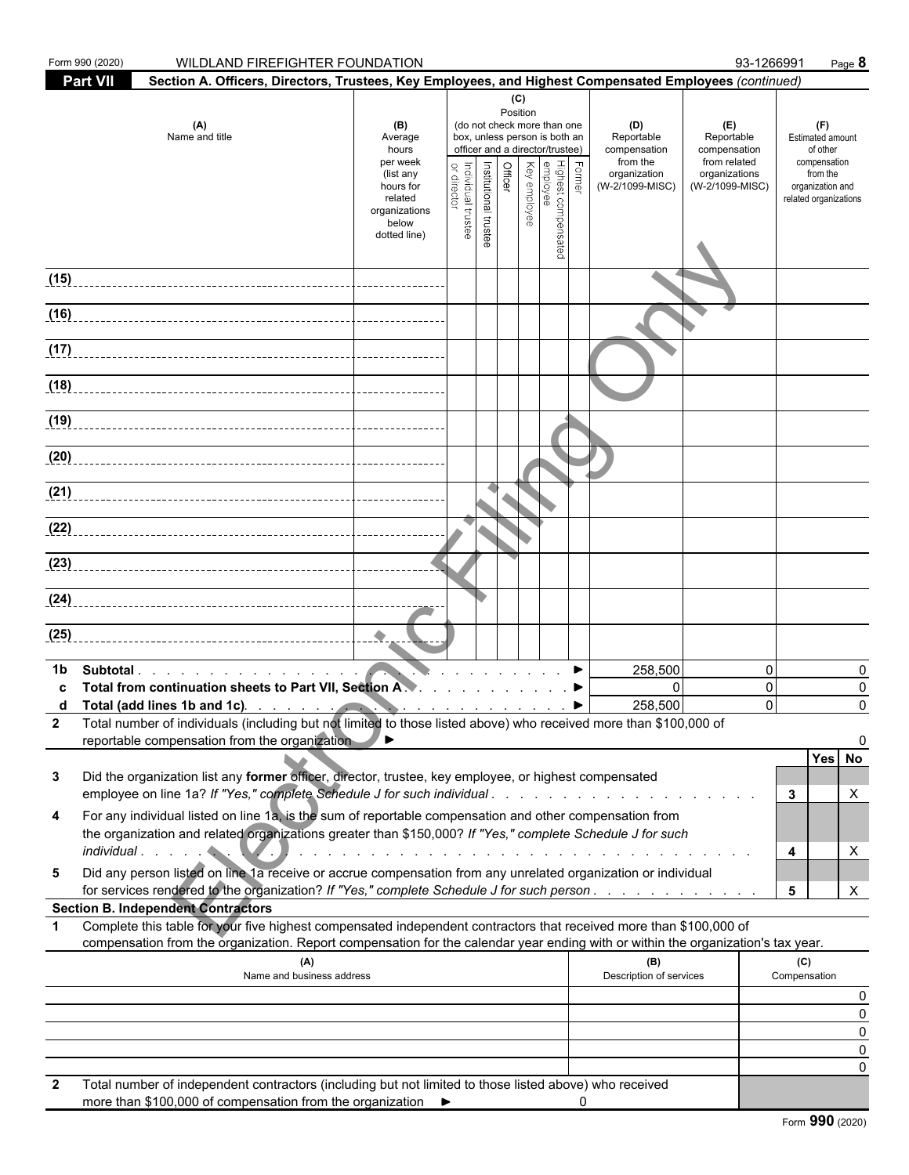| Form 990 (2020) | <b>WILDLAND FIREFIGHTER FOUNDATION</b>                                                                                                                                                                                                                 |                                                                                                                    |                                   |                       |                       |          |                                                                                                                                                                      |   |                                                                                                                                                                                                                               |                                                                                       | 93-1266991                               | Page 8                                                                                                              |
|-----------------|--------------------------------------------------------------------------------------------------------------------------------------------------------------------------------------------------------------------------------------------------------|--------------------------------------------------------------------------------------------------------------------|-----------------------------------|-----------------------|-----------------------|----------|----------------------------------------------------------------------------------------------------------------------------------------------------------------------|---|-------------------------------------------------------------------------------------------------------------------------------------------------------------------------------------------------------------------------------|---------------------------------------------------------------------------------------|------------------------------------------|---------------------------------------------------------------------------------------------------------------------|
| <b>Part VII</b> | Section A. Officers, Directors, Trustees, Key Employees, and Highest Compensated Employees (continued)                                                                                                                                                 |                                                                                                                    |                                   |                       |                       |          |                                                                                                                                                                      |   |                                                                                                                                                                                                                               |                                                                                       |                                          |                                                                                                                     |
|                 | (A)<br>Name and title                                                                                                                                                                                                                                  | (B)<br>Average<br>hours<br>per week<br>(list any<br>hours for<br>related<br>organizations<br>below<br>dotted line) | Individual trustee<br>or director | Institutional trustee | (C)<br><b>Officer</b> | Position | (do not check more than one<br>box, unless person is both an<br>officer and a director/trustee)<br>, Former<br>Highest compensated<br>Expremployee<br>  Key employee |   | (D)<br>Reportable<br>compensation<br>from the<br>organization<br>(W-2/1099-MISC)                                                                                                                                              | (E)<br>Reportable<br>compensation<br>from related<br>organizations<br>(W-2/1099-MISC) |                                          | (F)<br><b>Estimated amount</b><br>of other<br>compensation<br>from the<br>organization and<br>related organizations |
| (15)            |                                                                                                                                                                                                                                                        |                                                                                                                    |                                   |                       |                       |          |                                                                                                                                                                      |   |                                                                                                                                                                                                                               |                                                                                       |                                          |                                                                                                                     |
| (16)            |                                                                                                                                                                                                                                                        |                                                                                                                    |                                   |                       |                       |          |                                                                                                                                                                      |   |                                                                                                                                                                                                                               |                                                                                       |                                          |                                                                                                                     |
|                 |                                                                                                                                                                                                                                                        |                                                                                                                    |                                   |                       |                       |          |                                                                                                                                                                      |   |                                                                                                                                                                                                                               |                                                                                       |                                          |                                                                                                                     |
| (18)            |                                                                                                                                                                                                                                                        |                                                                                                                    |                                   |                       |                       |          |                                                                                                                                                                      |   |                                                                                                                                                                                                                               |                                                                                       |                                          |                                                                                                                     |
| (19)            |                                                                                                                                                                                                                                                        |                                                                                                                    |                                   |                       |                       |          |                                                                                                                                                                      |   |                                                                                                                                                                                                                               |                                                                                       |                                          |                                                                                                                     |
| (20)            |                                                                                                                                                                                                                                                        |                                                                                                                    |                                   |                       |                       |          |                                                                                                                                                                      |   |                                                                                                                                                                                                                               |                                                                                       |                                          |                                                                                                                     |
| (21)            |                                                                                                                                                                                                                                                        |                                                                                                                    |                                   |                       |                       |          |                                                                                                                                                                      |   |                                                                                                                                                                                                                               |                                                                                       |                                          |                                                                                                                     |
|                 |                                                                                                                                                                                                                                                        |                                                                                                                    |                                   |                       |                       |          |                                                                                                                                                                      |   |                                                                                                                                                                                                                               |                                                                                       |                                          |                                                                                                                     |
|                 | (23)                                                                                                                                                                                                                                                   |                                                                                                                    |                                   |                       |                       |          |                                                                                                                                                                      |   |                                                                                                                                                                                                                               |                                                                                       |                                          |                                                                                                                     |
|                 |                                                                                                                                                                                                                                                        |                                                                                                                    |                                   |                       |                       |          |                                                                                                                                                                      |   |                                                                                                                                                                                                                               |                                                                                       |                                          |                                                                                                                     |
| (25)            |                                                                                                                                                                                                                                                        |                                                                                                                    |                                   |                       |                       |          |                                                                                                                                                                      |   |                                                                                                                                                                                                                               |                                                                                       |                                          |                                                                                                                     |
| 1b              | Subtotal.<br>Total from continuation sheets to Part VII, Section A.<br>2 Total number of individuals (including but not limited to those listed above) who received more than \$100,000 of<br>reportable compensation from the organization            | ◢▸                                                                                                                 |                                   |                       |                       |          |                                                                                                                                                                      |   | 258,500<br>$\mathbf{0}$<br>258,500                                                                                                                                                                                            |                                                                                       | $\mathbf{0}$<br>$\mathbf{0}$<br>$\Omega$ | 0<br>0<br>$\Omega$<br>Yes No                                                                                        |
| 3               | Did the organization list any former officer, director, trustee, key employee, or highest compensated                                                                                                                                                  |                                                                                                                    |                                   |                       |                       |          |                                                                                                                                                                      |   |                                                                                                                                                                                                                               |                                                                                       | 3                                        | X                                                                                                                   |
| 4               | For any individual listed on line 1a, is the sum of reportable compensation and other compensation from<br>the organization and related organizations greater than \$150,000? If "Yes," complete Schedule J for such                                   |                                                                                                                    |                                   |                       |                       |          |                                                                                                                                                                      |   | and a constitution of the constitution of the constitution of the constitution of the constitution of the constitution of the constitution of the constitution of the constitution of the constitution of the constitution of |                                                                                       | 4                                        | X                                                                                                                   |
| 5               | Did any person listed on line 1a receive or accrue compensation from any unrelated organization or individual<br>for services rendered to the organization? If "Yes," complete Schedule J for such person                                              |                                                                                                                    |                                   |                       |                       |          |                                                                                                                                                                      |   |                                                                                                                                                                                                                               |                                                                                       | 5                                        | X                                                                                                                   |
|                 | <b>Section B. Independent Contractors</b>                                                                                                                                                                                                              |                                                                                                                    |                                   |                       |                       |          |                                                                                                                                                                      |   |                                                                                                                                                                                                                               |                                                                                       |                                          |                                                                                                                     |
| 1               | Complete this table for your five highest compensated independent contractors that received more than \$100,000 of<br>compensation from the organization. Report compensation for the calendar year ending with or within the organization's tax year. |                                                                                                                    |                                   |                       |                       |          |                                                                                                                                                                      |   |                                                                                                                                                                                                                               |                                                                                       |                                          |                                                                                                                     |
|                 | (A)<br>Name and business address                                                                                                                                                                                                                       |                                                                                                                    |                                   |                       |                       |          |                                                                                                                                                                      |   | (B)<br>Description of services                                                                                                                                                                                                |                                                                                       | (C)<br>Compensation                      |                                                                                                                     |
|                 |                                                                                                                                                                                                                                                        |                                                                                                                    |                                   |                       |                       |          |                                                                                                                                                                      |   |                                                                                                                                                                                                                               |                                                                                       |                                          | 0<br>0                                                                                                              |
|                 |                                                                                                                                                                                                                                                        |                                                                                                                    |                                   |                       |                       |          |                                                                                                                                                                      |   |                                                                                                                                                                                                                               |                                                                                       |                                          | 0<br>0                                                                                                              |
|                 |                                                                                                                                                                                                                                                        |                                                                                                                    |                                   |                       |                       |          |                                                                                                                                                                      |   |                                                                                                                                                                                                                               |                                                                                       |                                          | 0                                                                                                                   |
| 2               | Total number of independent contractors (including but not limited to those listed above) who received<br>more than \$100,000 of compensation from the organization ▶                                                                                  |                                                                                                                    |                                   |                       |                       |          |                                                                                                                                                                      | 0 |                                                                                                                                                                                                                               |                                                                                       |                                          |                                                                                                                     |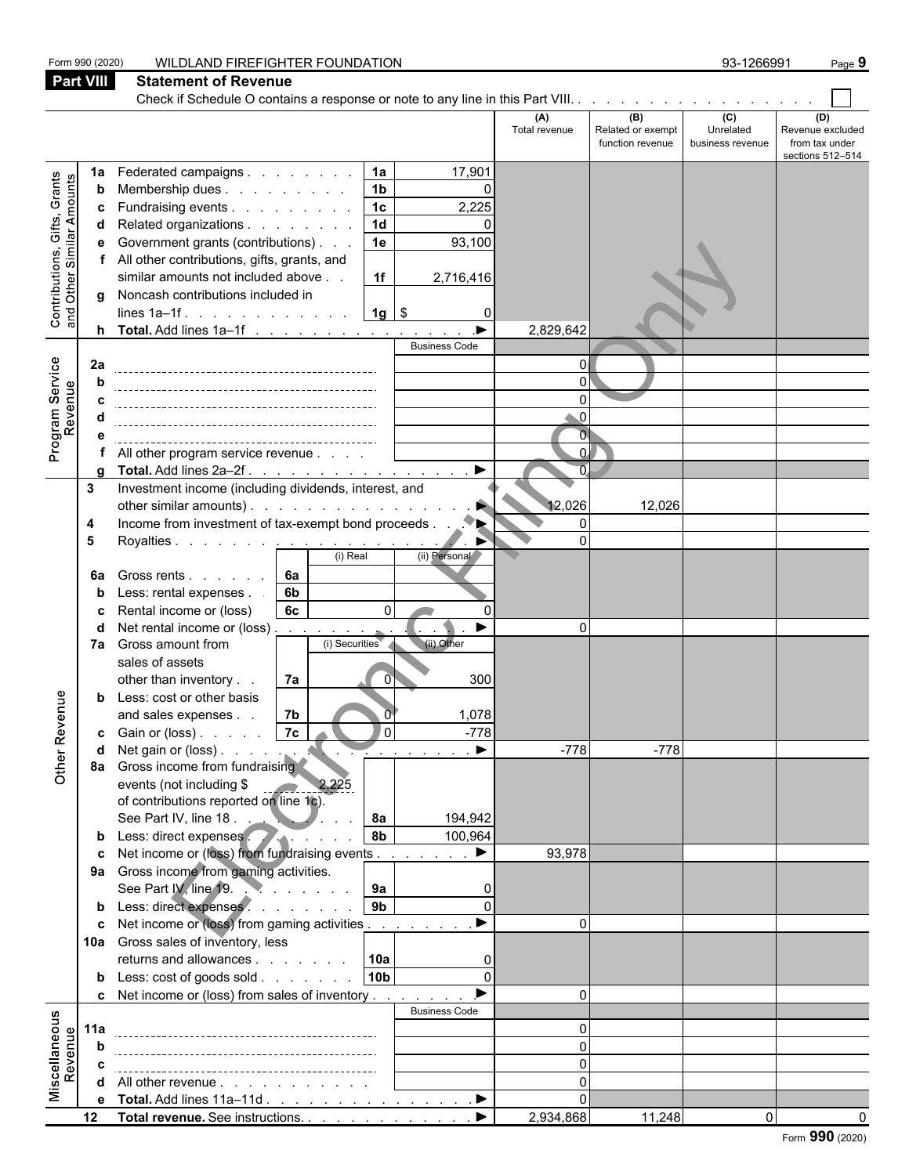|                                                                                                                     | Form 990 (2020)  | WILDLAND FIREFIGHTER FOUNDATION                                                         |                            |                                              | 93-1266991                           | Page 9                                                        |
|---------------------------------------------------------------------------------------------------------------------|------------------|-----------------------------------------------------------------------------------------|----------------------------|----------------------------------------------|--------------------------------------|---------------------------------------------------------------|
|                                                                                                                     | <b>Part VIII</b> | <b>Statement of Revenue</b>                                                             |                            |                                              |                                      |                                                               |
|                                                                                                                     |                  |                                                                                         |                            |                                              |                                      |                                                               |
|                                                                                                                     |                  |                                                                                         | (A)<br>Total revenue       | (B)<br>Related or exempt<br>function revenue | (C)<br>Unrelated<br>business revenue | (D)<br>Revenue excluded<br>from tax under<br>sections 512-514 |
|                                                                                                                     | 1a               | Federated campaigns<br>1a<br>17,901                                                     |                            |                                              |                                      |                                                               |
|                                                                                                                     | b                | 1 <sub>b</sub><br>Membership dues<br>$\Omega$                                           |                            |                                              |                                      |                                                               |
|                                                                                                                     | c                | 1 <sub>c</sub><br>2,225<br>Fundraising events                                           |                            |                                              |                                      |                                                               |
|                                                                                                                     | d                | $\overline{1d}$<br>Related organizations                                                |                            |                                              |                                      |                                                               |
| <b>Contributions, Gifts, Grants</b><br>and Other Similar Amounts<br>Program Service<br>Revenue<br>enue<br>Other Rev | е                | Government grants (contributions)<br>1e<br>93,100                                       |                            |                                              |                                      |                                                               |
|                                                                                                                     |                  | All other contributions, gifts, grants, and<br>similar amounts not included above<br>1f |                            |                                              |                                      |                                                               |
|                                                                                                                     | q                | 2,716,416<br>Noncash contributions included in                                          |                            |                                              |                                      |                                                               |
|                                                                                                                     |                  | $1g$ \$<br>lines $1a-1f$ .<br>$\Omega$                                                  |                            |                                              |                                      |                                                               |
|                                                                                                                     |                  |                                                                                         | 2,829,642                  |                                              |                                      |                                                               |
|                                                                                                                     |                  | <b>Business Code</b>                                                                    |                            |                                              |                                      |                                                               |
|                                                                                                                     | 2a               |                                                                                         | $\Omega$                   |                                              |                                      |                                                               |
|                                                                                                                     | b                |                                                                                         | $\Omega$                   |                                              |                                      |                                                               |
|                                                                                                                     |                  |                                                                                         | 0                          |                                              |                                      |                                                               |
|                                                                                                                     |                  |                                                                                         | $\Omega$<br>$\overline{0}$ |                                              |                                      |                                                               |
|                                                                                                                     | e                | All other program service revenue                                                       | $\Omega$                   |                                              |                                      |                                                               |
|                                                                                                                     |                  | $\blacktriangleright$<br>Total. Add lines 2a-2f.                                        | $\overline{\Omega}$        |                                              |                                      |                                                               |
|                                                                                                                     | 3                | Investment income (including dividends, interest, and                                   |                            |                                              |                                      |                                                               |
|                                                                                                                     |                  | other similar amounts).<br>P.                                                           | 12,026                     | 12,026                                       |                                      |                                                               |
|                                                                                                                     | 4                |                                                                                         | $\Omega$                   |                                              |                                      |                                                               |
|                                                                                                                     | 5                | Royalties <u>.</u>                                                                      | 0                          |                                              |                                      |                                                               |
|                                                                                                                     |                  | (i) Real<br>(ii) Personal                                                               |                            |                                              |                                      |                                                               |
|                                                                                                                     | 6a               | 6а<br>Gross rents                                                                       |                            |                                              |                                      |                                                               |
|                                                                                                                     | b                | Less: rental expenses.<br>6b<br>6c<br>Rental income or (loss)<br>$\Omega$               |                            |                                              |                                      |                                                               |
|                                                                                                                     | c<br>d           | Net rental income or (loss)<br>▶                                                        | $\Omega$                   |                                              |                                      |                                                               |
|                                                                                                                     |                  | the contract of the<br>(i) Securities<br>(ii) Other<br>7a Gross amount from             |                            |                                              |                                      |                                                               |
|                                                                                                                     |                  | sales of assets                                                                         |                            |                                              |                                      |                                                               |
|                                                                                                                     |                  | 7a<br>other than inventory<br>300<br>0                                                  |                            |                                              |                                      |                                                               |
|                                                                                                                     | b                | Less: cost or other basis                                                               |                            |                                              |                                      |                                                               |
|                                                                                                                     |                  | 7b<br>1,078<br>and sales expenses.                                                      |                            |                                              |                                      |                                                               |
|                                                                                                                     |                  | l 0  <br>$-778$                                                                         |                            |                                              |                                      |                                                               |
|                                                                                                                     | d                | $\sim$ $\sim$                                                                           | $-778$                     | $-778$                                       |                                      |                                                               |
|                                                                                                                     |                  | 8a Gross income from fundraising<br>events (not including \$<br>2,225                   |                            |                                              |                                      |                                                               |
|                                                                                                                     |                  | of contributions reported on line 1c).                                                  |                            |                                              |                                      |                                                               |
|                                                                                                                     |                  | See Part IV, line 18 $\ldots$<br>8a<br>194,942                                          |                            |                                              |                                      |                                                               |
|                                                                                                                     |                  | <b>8b</b><br>b Less: direct expenses<br>100,964                                         |                            |                                              |                                      |                                                               |
|                                                                                                                     |                  | c Net income or (loss) from fundraising events<br>▶                                     | 93,978                     |                                              |                                      |                                                               |
|                                                                                                                     |                  | 9a Gross income from gaming activities.                                                 |                            |                                              |                                      |                                                               |
|                                                                                                                     |                  | 9a<br>See Part IV, line 19.<br>$\Omega$                                                 |                            |                                              |                                      |                                                               |
|                                                                                                                     |                  | b Less: direct expenses<br>9 <sub>b</sub><br>$\Omega$<br>$\blacktriangleright$          |                            |                                              |                                      |                                                               |
|                                                                                                                     |                  | c Net income or (loss) from gaming activities                                           | $\Omega$                   |                                              |                                      |                                                               |
|                                                                                                                     |                  | 10a Gross sales of inventory, less<br>returns and allowances 10a<br>$\Omega$            |                            |                                              |                                      |                                                               |
|                                                                                                                     |                  | 10b<br><b>b</b> Less: $\cosh$ of goods $\sinh$<br>$\Omega$                              |                            |                                              |                                      |                                                               |
|                                                                                                                     |                  | <b>c</b> Net income or (loss) from sales of inventory                                   | $\Omega$                   |                                              |                                      |                                                               |
|                                                                                                                     |                  | <b>Business Code</b>                                                                    |                            |                                              |                                      |                                                               |
| Miscellaneous<br>Revenue                                                                                            | 11a              |                                                                                         | $\Omega$                   |                                              |                                      |                                                               |
|                                                                                                                     | b                |                                                                                         | $\Omega$                   |                                              |                                      |                                                               |
|                                                                                                                     | C                |                                                                                         | $\Omega$                   |                                              |                                      |                                                               |
|                                                                                                                     |                  | d All other revenue                                                                     | $\Omega$                   |                                              |                                      |                                                               |
|                                                                                                                     |                  | e Total. Add lines 11a-11d ▶                                                            |                            |                                              |                                      |                                                               |
|                                                                                                                     | 12 <sub>2</sub>  | Total revenue. See instructions.<br>▶                                                   | 2,934,868                  | 11,248                                       | 0                                    |                                                               |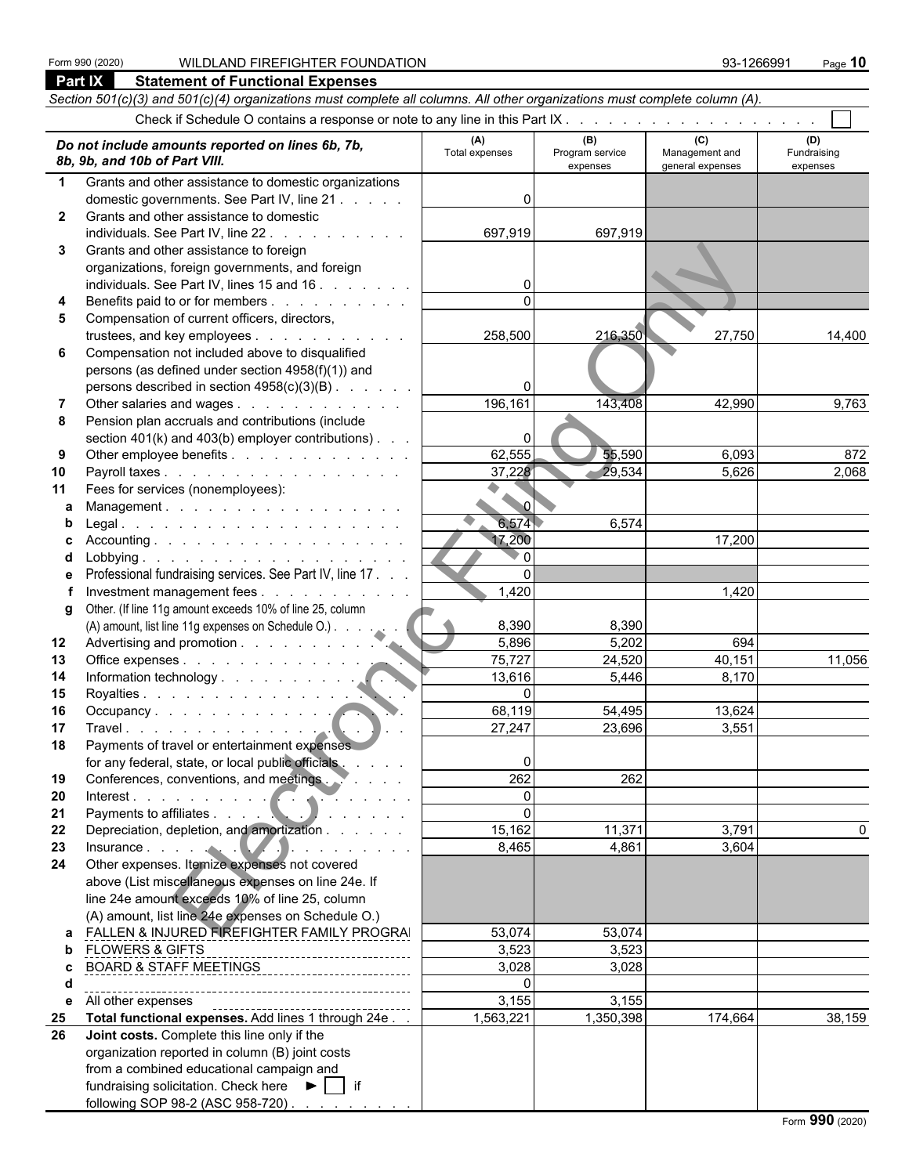### Form 990 (2020) WILDLAND FIREFIGHTER FOUNDATION 93-1266991 Page **10**

|              | Part IX<br><b>Statement of Functional Expenses</b>                                                                                                                                                                             |                       |                                    |                                           |                                |
|--------------|--------------------------------------------------------------------------------------------------------------------------------------------------------------------------------------------------------------------------------|-----------------------|------------------------------------|-------------------------------------------|--------------------------------|
|              | Section 501(c)(3) and 501(c)(4) organizations must complete all columns. All other organizations must complete column (A).                                                                                                     |                       |                                    |                                           |                                |
|              |                                                                                                                                                                                                                                |                       |                                    |                                           |                                |
|              | Do not include amounts reported on lines 6b, 7b,<br>8b, 9b, and 10b of Part VIII.                                                                                                                                              | (A)<br>Total expenses | (B)<br>Program service<br>expenses | (C)<br>Management and<br>general expenses | (D)<br>Fundraising<br>expenses |
| $\mathbf 1$  | Grants and other assistance to domestic organizations                                                                                                                                                                          |                       |                                    |                                           |                                |
|              | domestic governments. See Part IV, line 21                                                                                                                                                                                     | ŋ                     |                                    |                                           |                                |
| $\mathbf{2}$ | Grants and other assistance to domestic                                                                                                                                                                                        |                       |                                    |                                           |                                |
|              | individuals. See Part IV, line 22                                                                                                                                                                                              | 697,919               | 697,919                            |                                           |                                |
| 3            | Grants and other assistance to foreign                                                                                                                                                                                         |                       |                                    |                                           |                                |
|              | organizations, foreign governments, and foreign                                                                                                                                                                                |                       |                                    |                                           |                                |
|              | individuals. See Part IV, lines 15 and 16                                                                                                                                                                                      | 0                     |                                    |                                           |                                |
| 4            | Benefits paid to or for members                                                                                                                                                                                                |                       |                                    |                                           |                                |
| 5            | Compensation of current officers, directors,                                                                                                                                                                                   |                       |                                    |                                           |                                |
|              | trustees, and key employees                                                                                                                                                                                                    | 258,500               | 216,350                            | 27,750                                    | 14,400                         |
| 6            | Compensation not included above to disqualified<br>persons (as defined under section 4958(f)(1)) and                                                                                                                           |                       |                                    |                                           |                                |
|              | persons described in section 4958(c)(3)(B)                                                                                                                                                                                     |                       |                                    |                                           |                                |
|              | Other salaries and wages                                                                                                                                                                                                       | 196,161               | 143,408                            | 42,990                                    | 9,763                          |
| 8            | Pension plan accruals and contributions (include                                                                                                                                                                               |                       |                                    |                                           |                                |
|              | section 401(k) and 403(b) employer contributions).                                                                                                                                                                             | 0                     |                                    |                                           |                                |
| 9            | Other employee benefits                                                                                                                                                                                                        | 62,555                | 55,590                             | 6,093                                     | 872                            |
| 10           | Payroll taxes                                                                                                                                                                                                                  | 37,228                | 29,534                             | 5,626                                     | 2,068                          |
| 11           | Fees for services (nonemployees):                                                                                                                                                                                              |                       |                                    |                                           |                                |
| a            | Management.                                                                                                                                                                                                                    | $\sim$ $\alpha$       |                                    |                                           |                                |
| b            |                                                                                                                                                                                                                                | 6,574                 | 6,574                              |                                           |                                |
| C.           |                                                                                                                                                                                                                                | 17,200                |                                    | 17,200                                    |                                |
| d            |                                                                                                                                                                                                                                | $\mathbf{0}$          |                                    |                                           |                                |
| е            | Professional fundraising services. See Part IV, line 17.                                                                                                                                                                       | $\Omega$              |                                    |                                           |                                |
|              | Investment management fees                                                                                                                                                                                                     | 1,420                 |                                    | 1,420                                     |                                |
| g            | Other. (If line 11g amount exceeds 10% of line 25, column                                                                                                                                                                      |                       |                                    |                                           |                                |
|              | (A) amount, list line 11g expenses on Schedule O.)                                                                                                                                                                             | 8,390                 | 8,390                              |                                           |                                |
| 12<br>13     | Office expenses                                                                                                                                                                                                                | 5,896<br>75,727       | 5,202<br>24,520                    | 694<br>40,151                             | 11,056                         |
| 14           |                                                                                                                                                                                                                                | 13,616                | 5,446                              | 8,170                                     |                                |
| 15           | Royalties                                                                                                                                                                                                                      | $\Omega$              |                                    |                                           |                                |
| 16           |                                                                                                                                                                                                                                | 68,119                | 54,495                             | 13,624                                    |                                |
| 17           | Travel and the second contract of the second second second second second second second second second second second second second second second second second second second second second second second second second second se | 27,247                | 23,696                             | 3,551                                     |                                |
| 18           | Payments of travel or entertainment expenses                                                                                                                                                                                   |                       |                                    |                                           |                                |
|              | for any federal, state, or local public officials                                                                                                                                                                              | 0                     |                                    |                                           |                                |
| 19           | Conferences, conventions, and meetings. Webler, and                                                                                                                                                                            | 262                   | 262                                |                                           |                                |
| 20           | Interest.                                                                                                                                                                                                                      | $\Omega$              |                                    |                                           |                                |
| 21           |                                                                                                                                                                                                                                | $\mathbf{0}$          |                                    |                                           |                                |
| 22           | Depreciation, depletion, and amortization                                                                                                                                                                                      | 15,162                | 11,371                             | 3,791                                     | 0                              |
| 23           | Insurance $\ldots$ $\ldots$ $\ldots$ $\ldots$ $\ldots$ $\ldots$                                                                                                                                                                | 8,465                 | 4,861                              | 3,604                                     |                                |
| 24           | Other expenses. Itemize expenses not covered                                                                                                                                                                                   |                       |                                    |                                           |                                |
|              | above (List miscellaneous expenses on line 24e. If                                                                                                                                                                             |                       |                                    |                                           |                                |
|              | line 24e amount exceeds 10% of line 25, column<br>(A) amount, list line 24e expenses on Schedule O.)                                                                                                                           |                       |                                    |                                           |                                |
| a            | FALLEN & INJURED FIREFIGHTER FAMILY PROGRAI                                                                                                                                                                                    | 53,074                | 53,074                             |                                           |                                |
| b            | <b>FLOWERS &amp; GIFTS</b>                                                                                                                                                                                                     | 3,523                 | 3,523                              |                                           |                                |
| c            | -----------------------------<br>BOARD & STAFF MEETINGS                                                                                                                                                                        | 3,028                 | 3,028                              |                                           |                                |
| d            |                                                                                                                                                                                                                                | $\Omega$              |                                    |                                           |                                |
| е            | All other expenses                                                                                                                                                                                                             | 3,155                 | 3,155                              |                                           |                                |
| 25           | Total functional expenses. Add lines 1 through 24e                                                                                                                                                                             | 1,563,221             | 1,350,398                          | 174,664                                   | 38,159                         |
| 26           | Joint costs. Complete this line only if the                                                                                                                                                                                    |                       |                                    |                                           |                                |
|              | organization reported in column (B) joint costs                                                                                                                                                                                |                       |                                    |                                           |                                |
|              | from a combined educational campaign and                                                                                                                                                                                       |                       |                                    |                                           |                                |
|              | fundraising solicitation. Check here $\blacktriangleright$   if                                                                                                                                                                |                       |                                    |                                           |                                |

following SOP 98-2 (ASC 958-720) . . . . . . . . . . . . . . . . . . . . . . . . . . . . . . . . . . . . . . . . . . . . . . . . . . . . .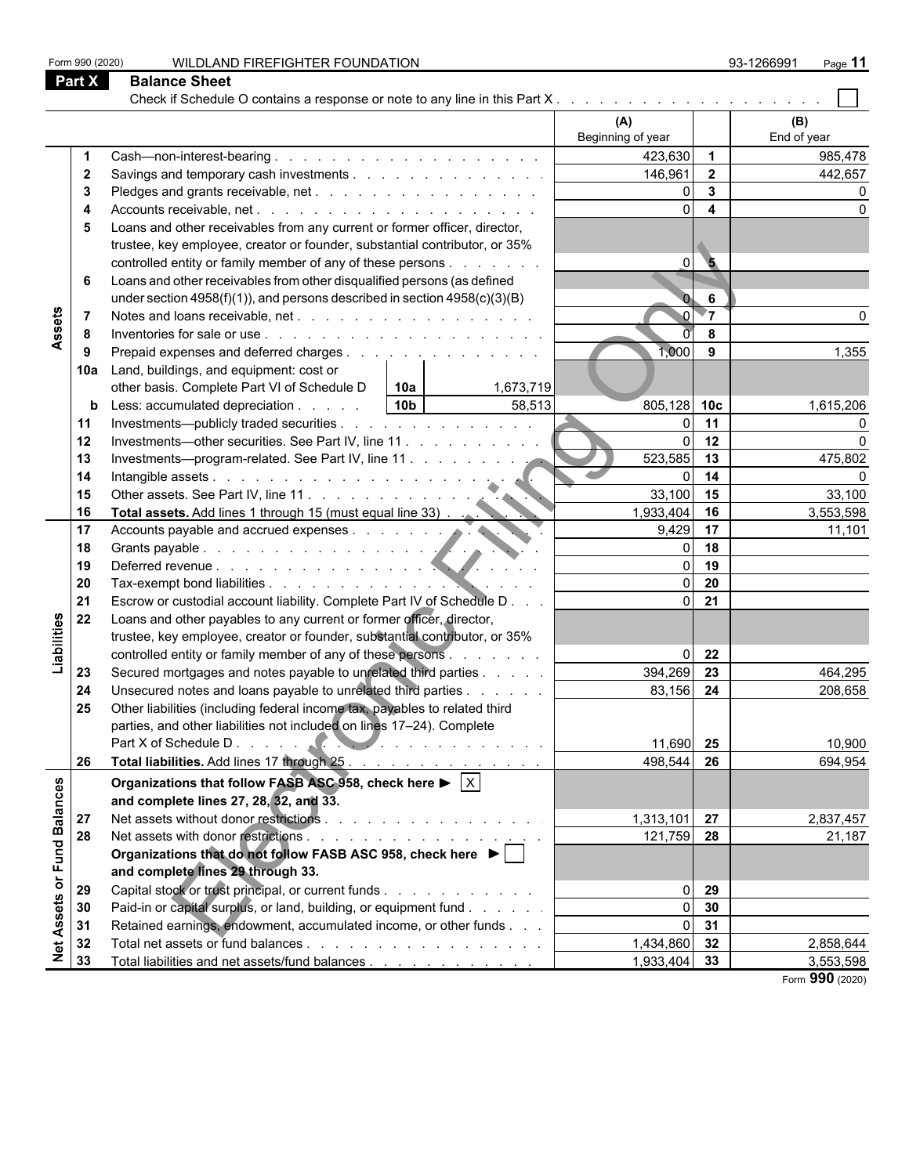|                   | <b>Part X</b>  | <b>Balance Sheet</b>                                                                                |                          |                         |                    |
|-------------------|----------------|-----------------------------------------------------------------------------------------------------|--------------------------|-------------------------|--------------------|
|                   |                | Check if Schedule O contains a response or note to any line in this Part X                          |                          |                         |                    |
|                   |                |                                                                                                     | (A)<br>Beginning of year |                         | (B)<br>End of year |
|                   |                |                                                                                                     | 423,630                  | $\overline{1}$          | 985,478            |
|                   | $\mathbf{2}$   |                                                                                                     | 146,961                  | $\overline{2}$          | 442,657            |
|                   | 3              |                                                                                                     | $\Omega$                 | $\mathbf{3}$            |                    |
|                   | 4              |                                                                                                     | $\Omega$                 | $\overline{\mathbf{4}}$ |                    |
|                   | 5              | Loans and other receivables from any current or former officer, director,                           |                          |                         |                    |
|                   |                | trustee, key employee, creator or founder, substantial contributor, or 35%                          |                          |                         |                    |
|                   |                | controlled entity or family member of any of these persons                                          | $\overline{0}$           | $\overline{\mathbf{5}}$ |                    |
|                   | 6              | Loans and other receivables from other disqualified persons (as defined                             |                          |                         |                    |
|                   |                | under section $4958(f)(1)$ , and persons described in section $4958(c)(3)(B)$                       |                          | 6                       |                    |
|                   | $\overline{7}$ |                                                                                                     |                          | -7                      |                    |
| Assets            | 8              |                                                                                                     |                          | 8                       |                    |
|                   | 9              | Prepaid expenses and deferred charges                                                               | 1,000                    | 9                       | 1,355              |
|                   | 10a            | Land, buildings, and equipment: cost or                                                             |                          |                         |                    |
|                   |                | other basis. Complete Part VI of Schedule D<br>10a<br>1,673,719                                     |                          |                         |                    |
|                   | b              | 10b <br>58,513<br>Less: accumulated depreciation                                                    | 805,128 10c              |                         | 1,615,206          |
|                   | 11             | Investments—publicly traded securities                                                              |                          | 11                      |                    |
|                   | 12             | Investments—other securities. See Part IV, line 11                                                  |                          | 12                      | U                  |
|                   | 13             | Investments-program-related. See Part IV, line 11                                                   | 523,585                  | 13                      | 475,802            |
|                   | 14             |                                                                                                     |                          | 14                      |                    |
|                   | 15             |                                                                                                     | 33,100                   | 15                      | 33,100             |
|                   | 16             |                                                                                                     | 1,933,404                | 16                      | 3,553,598          |
|                   | 17             | Total assets. Add lines it unough to the country of the counts payable and accrued expenses.        | 9,429                    | 17                      | 11,101             |
|                   | 18             |                                                                                                     |                          | 18                      |                    |
|                   | 19             |                                                                                                     |                          | 19                      |                    |
|                   | 20             |                                                                                                     | $\Omega$                 | 20                      |                    |
|                   | 21             | Escrow or custodial account liability. Complete Part IV of Schedule D                               | $\Omega$                 | 21                      |                    |
|                   | 22             | Loans and other payables to any current or former officer, director,                                |                          |                         |                    |
|                   |                | trustee, key employee, creator or founder, substantial contributor, or 35%                          |                          |                         |                    |
| Liabilities       |                | controlled entity or family member of any of these persons                                          | $\Omega$                 | 22                      |                    |
|                   | 23             | Secured mortgages and notes payable to unrelated third parties                                      | 394,269                  | 23                      | 464,295            |
|                   | 24             | Unsecured notes and loans payable to unrelated third parties                                        | 83,156                   | 24                      | 208,658            |
|                   | 25             | Other liabilities (including federal income tax, payables to related third                          |                          |                         |                    |
|                   |                | parties, and other liabilities not included on lines 17-24). Complete                               |                          |                         |                    |
|                   |                |                                                                                                     | 11,690 25                |                         | 10,900             |
|                   | 26             | Total liabilities. Add lines 17 through 25                                                          | 498,544 26               |                         | 694,954            |
|                   |                | Organizations that follow FASB ASC 958, check here $\blacktriangleright \lceil \overline{X} \rceil$ |                          |                         |                    |
|                   |                | and complete lines 27, 28, 32, and 33.                                                              |                          |                         |                    |
|                   | 27             |                                                                                                     | $1,313,101$ 27           |                         | 2,837,457          |
| or Fund Balances  | 28             |                                                                                                     | 121,759 28               |                         | 21,187             |
|                   |                | Organizations that do not follow FASB ASC 958, check here ▶                                         |                          |                         |                    |
|                   |                | and complete lines 29 through 33.                                                                   |                          |                         |                    |
|                   | 29             | Capital stock or trust principal, or current funds                                                  | $\overline{0}$           | 29                      |                    |
|                   | 30             | Paid-in or capital surplus, or land, building, or equipment fund                                    | $\overline{0}$           | 30                      |                    |
|                   | 31             | Retained earnings, endowment, accumulated income, or other funds                                    | 0                        | 31                      |                    |
| <b>Net Assets</b> | 32             |                                                                                                     | 1,434,860 32             |                         | 2,858,644          |
|                   | 33             | Total liabilities and net assets/fund balances                                                      | 1,933,404 33             |                         | 3,553,598          |
|                   |                |                                                                                                     |                          |                         | Form 990 (2020)    |

Form 990 (2020) WILDLAND FIREFIGHTER FOUNDATION 93-1266991 Page 11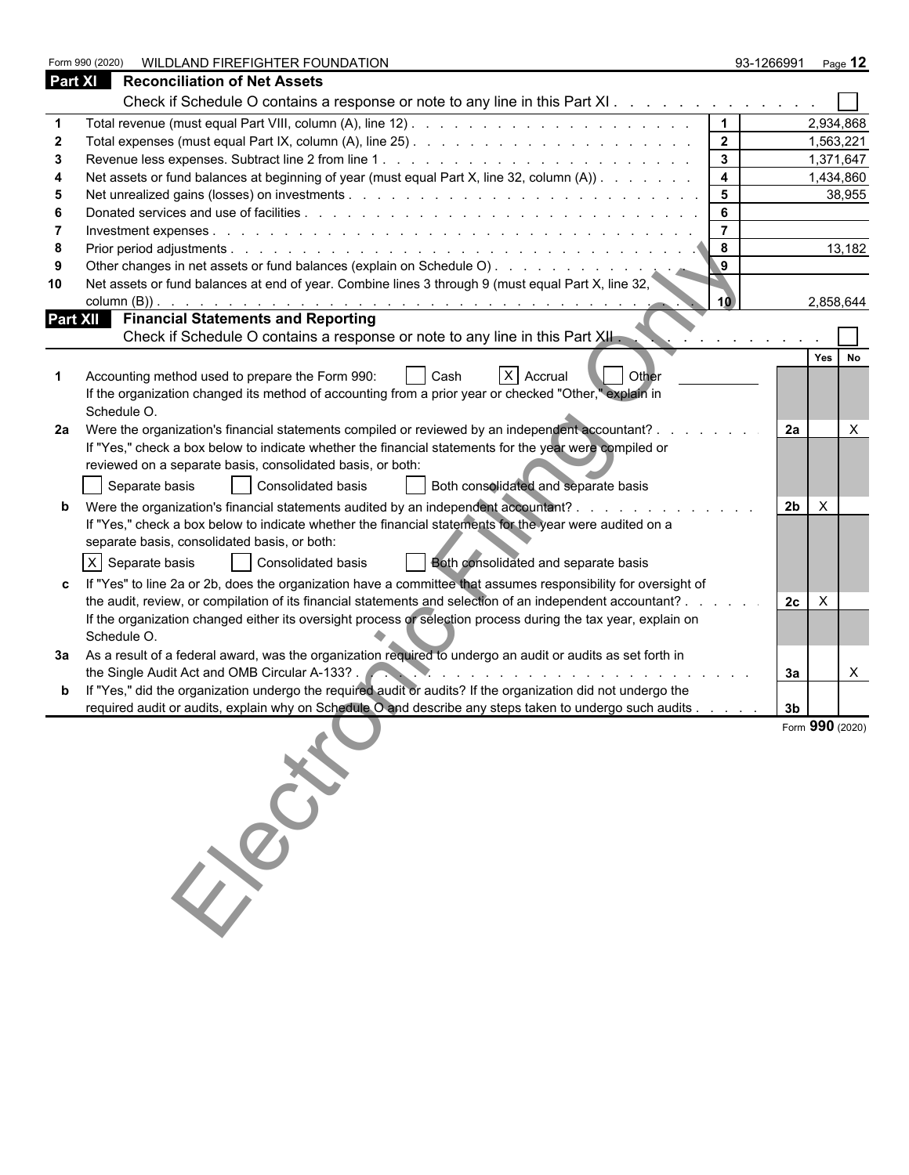|                | WILDLAND FIREFIGHTER FOUNDATION<br>Form 990 (2020)                                                             | 93-1266991     |                | Page 12         |
|----------------|----------------------------------------------------------------------------------------------------------------|----------------|----------------|-----------------|
| <b>Part XI</b> | <b>Reconciliation of Net Assets</b>                                                                            |                |                |                 |
|                | Check if Schedule O contains a response or note to any line in this Part XI                                    |                |                |                 |
|                |                                                                                                                | $\mathbf 1$    |                | 2,934,868       |
|                |                                                                                                                | 2 <sub>2</sub> |                | 1,563,221       |
| 3              |                                                                                                                | $\mathbf{3}$   |                | 1,371,647       |
|                | Net assets or fund balances at beginning of year (must equal Part X, line 32, column (A))                      | 4              |                | 1,434,860       |
|                |                                                                                                                | 5              |                | 38,955          |
|                |                                                                                                                | 6              |                |                 |
|                |                                                                                                                | $\overline{7}$ |                |                 |
| 8              | $\bf{8}$                                                                                                       |                |                | 13,182          |
|                |                                                                                                                | $\mathbf{9}$   |                |                 |
| 10             | Net assets or fund balances at end of year. Combine lines 3 through 9 (must equal Part X, line 32,             | 10.            |                | 2,858,644       |
|                | Part XII Financial Statements and Reporting                                                                    |                |                |                 |
|                | Check if Schedule O contains a response or note to any line in this Part XII.                                  |                |                |                 |
|                |                                                                                                                |                |                | Yes<br>No       |
|                | X Accrual<br><b>Other</b><br>Accounting method used to prepare the Form 990:<br>Cash                           |                |                |                 |
|                | If the organization changed its method of accounting from a prior year or checked "Other," explain in          |                |                |                 |
|                | Schedule O.                                                                                                    |                |                |                 |
| 2a             | Were the organization's financial statements compiled or reviewed by an independent accountant?                |                | 2a             | X               |
|                | If "Yes," check a box below to indicate whether the financial statements for the year were compiled or         |                |                |                 |
|                | reviewed on a separate basis, consolidated basis, or both:                                                     |                |                |                 |
|                | Separate basis<br>Consolidated basis<br>Both consolidated and separate basis                                   |                |                |                 |
|                | Were the organization's financial statements audited by an independent accountant?                             |                | 2 <sub>b</sub> | $\mathsf{X}$    |
|                | If "Yes," check a box below to indicate whether the financial statements for the year were audited on a        |                |                |                 |
|                | separate basis, consolidated basis, or both:                                                                   |                |                |                 |
|                |                                                                                                                |                |                |                 |
|                | $X$ Separate basis<br>Both consolidated and separate basis<br>Consolidated basis                               |                |                |                 |
|                | If "Yes" to line 2a or 2b, does the organization have a committee that assumes responsibility for oversight of |                |                |                 |
|                | the audit, review, or compilation of its financial statements and selection of an independent accountant?.     |                | 2c             | $\times$        |
|                | If the organization changed either its oversight process or selection process during the tax year, explain on  |                |                |                 |
|                | Schedule O.                                                                                                    |                |                |                 |
| За             | As a result of a federal award, was the organization required to undergo an audit or audits as set forth in    |                |                |                 |
|                | the Single Audit Act and OMB Circular A-133?.                                                                  |                | За             | X               |
|                | If "Yes," did the organization undergo the required audit or audits? If the organization did not undergo the   |                |                |                 |
|                | required audit or audits, explain why on Schedule O and describe any steps taken to undergo such audits        |                | 3 <sub>b</sub> |                 |
|                |                                                                                                                |                |                | Form 990 (2020) |
|                |                                                                                                                |                |                |                 |
|                |                                                                                                                |                |                |                 |
|                |                                                                                                                |                |                |                 |
|                |                                                                                                                |                |                |                 |
|                |                                                                                                                |                |                |                 |
|                |                                                                                                                |                |                |                 |
|                | 133                                                                                                            |                |                |                 |
|                |                                                                                                                |                |                |                 |
|                |                                                                                                                |                |                |                 |
|                |                                                                                                                |                |                |                 |
|                |                                                                                                                |                |                |                 |
|                |                                                                                                                |                |                |                 |
|                |                                                                                                                |                |                |                 |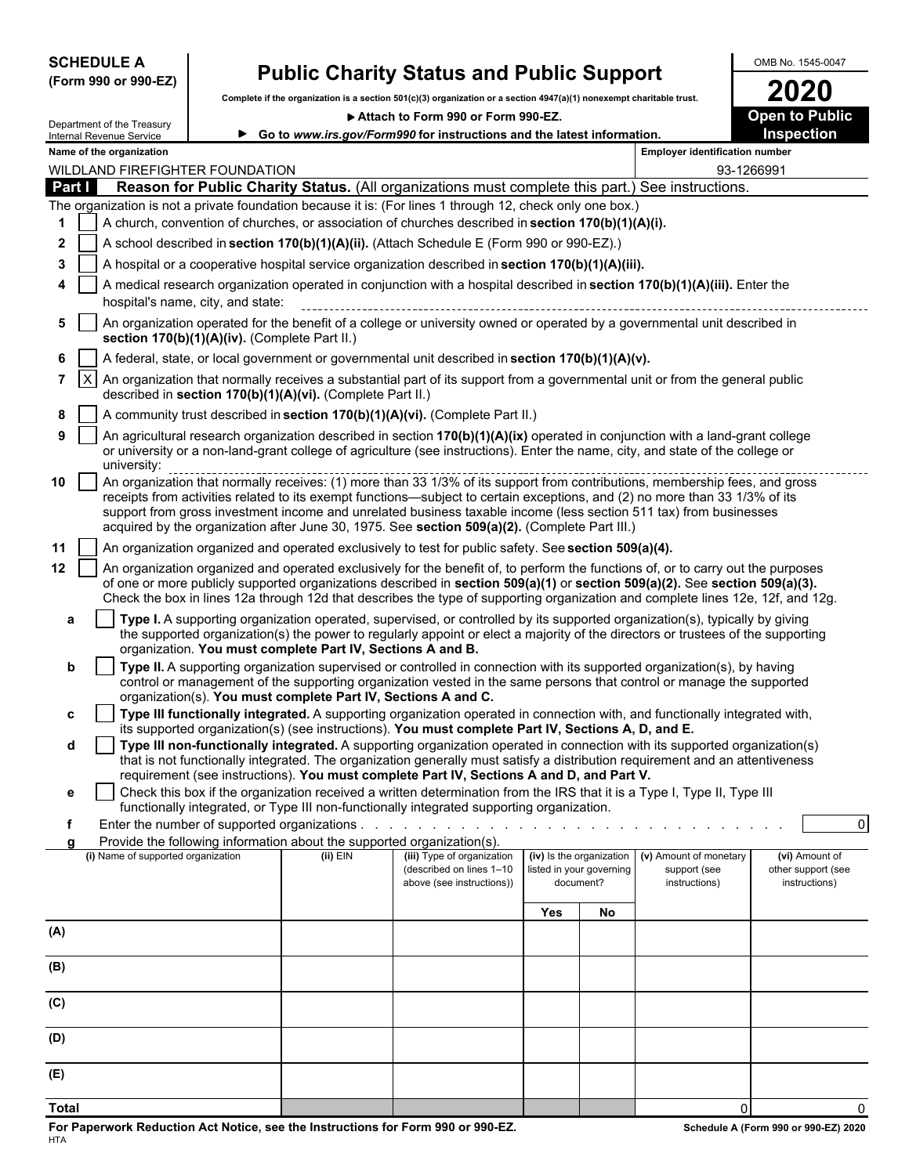| <b>SCHEDULE A</b> |                      |
|-------------------|----------------------|
|                   | (Form 990 or 990-EZ) |

### **Public Charity Status and Public Support** <br> **Solution Status A Public Support** Charitable *I*nstant Charitable *I*nstant Charitable *I*nstant Charitable *I*nstant Charitable *I*nstant Charitable *I*nstant Charitable *I*

**Complete if the organization is a section 501(c)(3) organization or a section 4947(a)(1) nonexempt charitable trust. 2020**

▶ Attach to Form 990 or Form 990-EZ. **Depart of Public** 

| Internal Revenue Service    | Department of the Treasury                                                                                                                                                                                                                                                                                                                                                                                                                                                       | Go to www.irs.gov/Form990 for instructions and the latest information.                                                                                                                                                                                                                                                                                |                                                       |                                       |    |                                       | Inspection                          |  |  |  |  |  |
|-----------------------------|----------------------------------------------------------------------------------------------------------------------------------------------------------------------------------------------------------------------------------------------------------------------------------------------------------------------------------------------------------------------------------------------------------------------------------------------------------------------------------|-------------------------------------------------------------------------------------------------------------------------------------------------------------------------------------------------------------------------------------------------------------------------------------------------------------------------------------------------------|-------------------------------------------------------|---------------------------------------|----|---------------------------------------|-------------------------------------|--|--|--|--|--|
|                             | Name of the organization                                                                                                                                                                                                                                                                                                                                                                                                                                                         |                                                                                                                                                                                                                                                                                                                                                       |                                                       |                                       |    | <b>Employer identification number</b> |                                     |  |  |  |  |  |
|                             | WILDLAND FIREFIGHTER FOUNDATION                                                                                                                                                                                                                                                                                                                                                                                                                                                  |                                                                                                                                                                                                                                                                                                                                                       |                                                       |                                       |    | 93-1266991                            |                                     |  |  |  |  |  |
| Part I                      | Reason for Public Charity Status. (All organizations must complete this part.) See instructions.                                                                                                                                                                                                                                                                                                                                                                                 |                                                                                                                                                                                                                                                                                                                                                       |                                                       |                                       |    |                                       |                                     |  |  |  |  |  |
|                             | The organization is not a private foundation because it is: (For lines 1 through 12, check only one box.)                                                                                                                                                                                                                                                                                                                                                                        |                                                                                                                                                                                                                                                                                                                                                       |                                                       |                                       |    |                                       |                                     |  |  |  |  |  |
| 1.                          | A church, convention of churches, or association of churches described in section 170(b)(1)(A)(i).                                                                                                                                                                                                                                                                                                                                                                               |                                                                                                                                                                                                                                                                                                                                                       |                                                       |                                       |    |                                       |                                     |  |  |  |  |  |
| 2                           | A school described in section 170(b)(1)(A)(ii). (Attach Schedule E (Form 990 or 990-EZ).)                                                                                                                                                                                                                                                                                                                                                                                        |                                                                                                                                                                                                                                                                                                                                                       |                                                       |                                       |    |                                       |                                     |  |  |  |  |  |
| 3                           | A hospital or a cooperative hospital service organization described in section 170(b)(1)(A)(iii).                                                                                                                                                                                                                                                                                                                                                                                |                                                                                                                                                                                                                                                                                                                                                       |                                                       |                                       |    |                                       |                                     |  |  |  |  |  |
| 4                           | A medical research organization operated in conjunction with a hospital described in section 170(b)(1)(A)(iii). Enter the<br>hospital's name, city, and state:                                                                                                                                                                                                                                                                                                                   |                                                                                                                                                                                                                                                                                                                                                       |                                                       |                                       |    |                                       |                                     |  |  |  |  |  |
| 5                           | An organization operated for the benefit of a college or university owned or operated by a governmental unit described in<br>section 170(b)(1)(A)(iv). (Complete Part II.)                                                                                                                                                                                                                                                                                                       |                                                                                                                                                                                                                                                                                                                                                       |                                                       |                                       |    |                                       |                                     |  |  |  |  |  |
| 6                           | A federal, state, or local government or governmental unit described in section 170(b)(1)(A)(v).                                                                                                                                                                                                                                                                                                                                                                                 |                                                                                                                                                                                                                                                                                                                                                       |                                                       |                                       |    |                                       |                                     |  |  |  |  |  |
| $\mathsf{I}\mathsf{X}$<br>7 | An organization that normally receives a substantial part of its support from a governmental unit or from the general public<br>described in section 170(b)(1)(A)(vi). (Complete Part II.)                                                                                                                                                                                                                                                                                       |                                                                                                                                                                                                                                                                                                                                                       |                                                       |                                       |    |                                       |                                     |  |  |  |  |  |
| 8                           | A community trust described in section 170(b)(1)(A)(vi). (Complete Part II.)                                                                                                                                                                                                                                                                                                                                                                                                     |                                                                                                                                                                                                                                                                                                                                                       |                                                       |                                       |    |                                       |                                     |  |  |  |  |  |
| 9                           | An agricultural research organization described in section 170(b)(1)(A)(ix) operated in conjunction with a land-grant college<br>or university or a non-land-grant college of agriculture (see instructions). Enter the name, city, and state of the college or<br>university:                                                                                                                                                                                                   |                                                                                                                                                                                                                                                                                                                                                       |                                                       |                                       |    |                                       |                                     |  |  |  |  |  |
| 10                          | An organization that normally receives: (1) more than 33 1/3% of its support from contributions, membership fees, and gross<br>receipts from activities related to its exempt functions—subject to certain exceptions, and (2) no more than 33 1/3% of its<br>support from gross investment income and unrelated business taxable income (less section 511 tax) from businesses<br>acquired by the organization after June 30, 1975. See section 509(a)(2). (Complete Part III.) |                                                                                                                                                                                                                                                                                                                                                       |                                                       |                                       |    |                                       |                                     |  |  |  |  |  |
| 11                          | An organization organized and operated exclusively to test for public safety. See section 509(a)(4).                                                                                                                                                                                                                                                                                                                                                                             |                                                                                                                                                                                                                                                                                                                                                       |                                                       |                                       |    |                                       |                                     |  |  |  |  |  |
| 12                          | An organization organized and operated exclusively for the benefit of, to perform the functions of, or to carry out the purposes<br>of one or more publicly supported organizations described in section 509(a)(1) or section 509(a)(2). See section 509(a)(3).<br>Check the box in lines 12a through 12d that describes the type of supporting organization and complete lines 12e, 12f, and 12g.                                                                               |                                                                                                                                                                                                                                                                                                                                                       |                                                       |                                       |    |                                       |                                     |  |  |  |  |  |
| a                           |                                                                                                                                                                                                                                                                                                                                                                                                                                                                                  | Type I. A supporting organization operated, supervised, or controlled by its supported organization(s), typically by giving<br>the supported organization(s) the power to regularly appoint or elect a majority of the directors or trustees of the supporting<br>organization. You must complete Part IV, Sections A and B.                          |                                                       |                                       |    |                                       |                                     |  |  |  |  |  |
| b                           |                                                                                                                                                                                                                                                                                                                                                                                                                                                                                  | Type II. A supporting organization supervised or controlled in connection with its supported organization(s), by having<br>control or management of the supporting organization vested in the same persons that control or manage the supported<br>organization(s). You must complete Part IV, Sections A and C.                                      |                                                       |                                       |    |                                       |                                     |  |  |  |  |  |
| c                           |                                                                                                                                                                                                                                                                                                                                                                                                                                                                                  | Type III functionally integrated. A supporting organization operated in connection with, and functionally integrated with,<br>its supported organization(s) (see instructions). You must complete Part IV, Sections A, D, and E.                                                                                                                      |                                                       |                                       |    |                                       |                                     |  |  |  |  |  |
| d                           |                                                                                                                                                                                                                                                                                                                                                                                                                                                                                  | Type III non-functionally integrated. A supporting organization operated in connection with its supported organization(s)<br>that is not functionally integrated. The organization generally must satisfy a distribution requirement and an attentiveness<br>requirement (see instructions). You must complete Part IV, Sections A and D, and Part V. |                                                       |                                       |    |                                       |                                     |  |  |  |  |  |
| е                           |                                                                                                                                                                                                                                                                                                                                                                                                                                                                                  | Check this box if the organization received a written determination from the IRS that it is a Type I, Type II, Type III                                                                                                                                                                                                                               |                                                       |                                       |    |                                       |                                     |  |  |  |  |  |
|                             |                                                                                                                                                                                                                                                                                                                                                                                                                                                                                  | functionally integrated, or Type III non-functionally integrated supporting organization.                                                                                                                                                                                                                                                             |                                                       |                                       |    |                                       |                                     |  |  |  |  |  |
| f                           |                                                                                                                                                                                                                                                                                                                                                                                                                                                                                  |                                                                                                                                                                                                                                                                                                                                                       |                                                       |                                       |    |                                       | $\overline{0}$                      |  |  |  |  |  |
|                             | Provide the following information about the supported organization(s).<br>(i) Name of supported organization                                                                                                                                                                                                                                                                                                                                                                     | $(ii)$ EIN                                                                                                                                                                                                                                                                                                                                            | (iii) Type of organization                            | (iv) Is the organization              |    | (v) Amount of monetary                | (vi) Amount of                      |  |  |  |  |  |
|                             |                                                                                                                                                                                                                                                                                                                                                                                                                                                                                  |                                                                                                                                                                                                                                                                                                                                                       | (described on lines 1-10<br>above (see instructions)) | listed in your governing<br>document? |    | support (see<br>instructions)         | other support (see<br>instructions) |  |  |  |  |  |
|                             |                                                                                                                                                                                                                                                                                                                                                                                                                                                                                  |                                                                                                                                                                                                                                                                                                                                                       |                                                       | Yes                                   | No |                                       |                                     |  |  |  |  |  |
| (A)                         |                                                                                                                                                                                                                                                                                                                                                                                                                                                                                  |                                                                                                                                                                                                                                                                                                                                                       |                                                       |                                       |    |                                       |                                     |  |  |  |  |  |
| (B)                         |                                                                                                                                                                                                                                                                                                                                                                                                                                                                                  |                                                                                                                                                                                                                                                                                                                                                       |                                                       |                                       |    |                                       |                                     |  |  |  |  |  |
| (C)                         |                                                                                                                                                                                                                                                                                                                                                                                                                                                                                  |                                                                                                                                                                                                                                                                                                                                                       |                                                       |                                       |    |                                       |                                     |  |  |  |  |  |
| (D)                         |                                                                                                                                                                                                                                                                                                                                                                                                                                                                                  |                                                                                                                                                                                                                                                                                                                                                       |                                                       |                                       |    |                                       |                                     |  |  |  |  |  |
| (E)                         |                                                                                                                                                                                                                                                                                                                                                                                                                                                                                  |                                                                                                                                                                                                                                                                                                                                                       |                                                       |                                       |    |                                       |                                     |  |  |  |  |  |

**Total** 0 0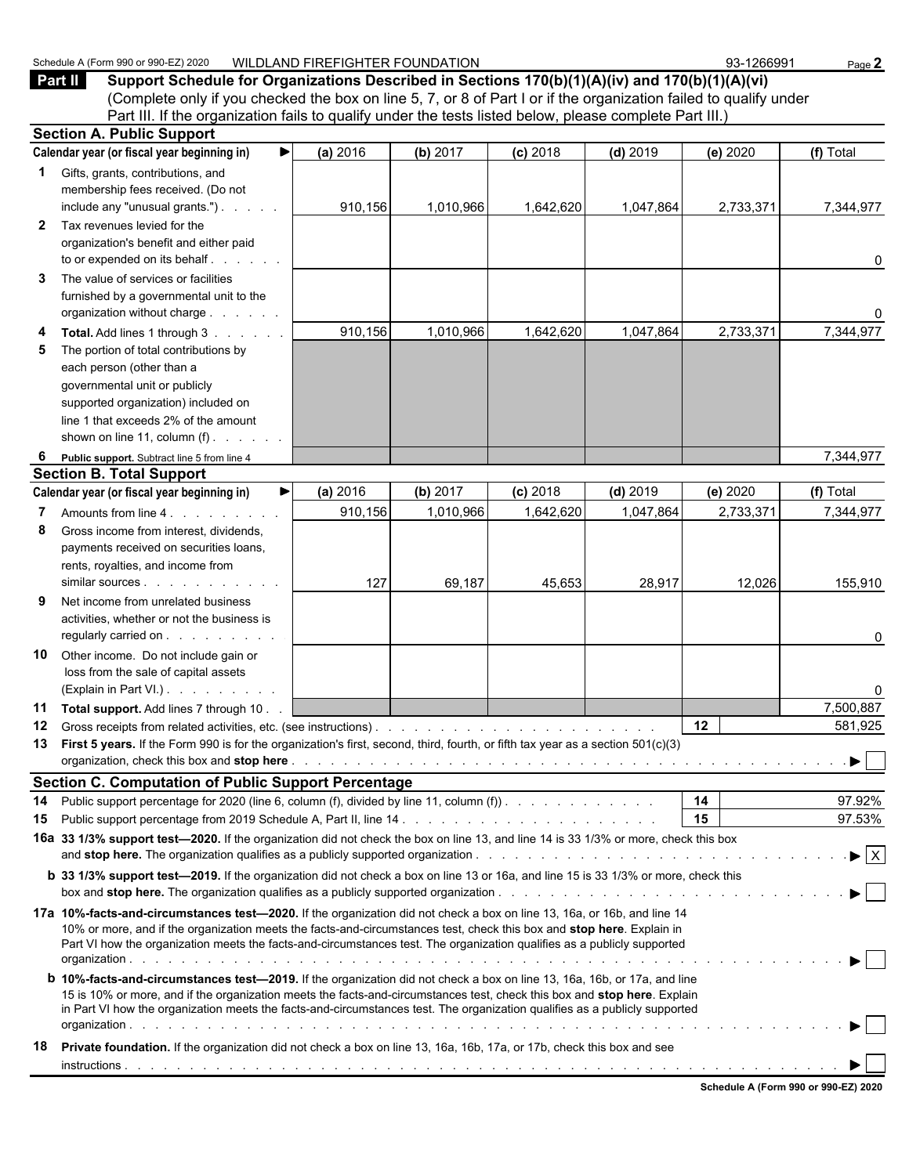|              | (Complete only if you checked the box on line 5, 7, or 8 of Part I or if the organization failed to qualify under<br>Part III. If the organization fails to qualify under the tests listed below, please complete Part III.)                                                                                                                                                                                                                                                                                                                                                                                                                                                                                                                                            |          |           |            |            |           |                                      |  |  |  |
|--------------|-------------------------------------------------------------------------------------------------------------------------------------------------------------------------------------------------------------------------------------------------------------------------------------------------------------------------------------------------------------------------------------------------------------------------------------------------------------------------------------------------------------------------------------------------------------------------------------------------------------------------------------------------------------------------------------------------------------------------------------------------------------------------|----------|-----------|------------|------------|-----------|--------------------------------------|--|--|--|
|              | <b>Section A. Public Support</b>                                                                                                                                                                                                                                                                                                                                                                                                                                                                                                                                                                                                                                                                                                                                        |          |           |            |            |           |                                      |  |  |  |
|              | Calendar year (or fiscal year beginning in)<br>▶                                                                                                                                                                                                                                                                                                                                                                                                                                                                                                                                                                                                                                                                                                                        | (a) 2016 | (b) 2017  | $(c)$ 2018 | $(d)$ 2019 | (e) 2020  | (f) Total                            |  |  |  |
| 1            | Gifts, grants, contributions, and<br>membership fees received. (Do not<br>include any "unusual grants.")                                                                                                                                                                                                                                                                                                                                                                                                                                                                                                                                                                                                                                                                | 910,156  | 1,010,966 | 1,642,620  | 1,047,864  | 2,733,371 | 7,344,977                            |  |  |  |
| $\mathbf{2}$ | Tax revenues levied for the<br>organization's benefit and either paid<br>to or expended on its behalf                                                                                                                                                                                                                                                                                                                                                                                                                                                                                                                                                                                                                                                                   |          |           |            |            |           | 0                                    |  |  |  |
| 3            | The value of services or facilities<br>furnished by a governmental unit to the<br>organization without charge                                                                                                                                                                                                                                                                                                                                                                                                                                                                                                                                                                                                                                                           |          |           |            |            |           | 0                                    |  |  |  |
| 4<br>5       | Total. Add lines 1 through 3<br>The portion of total contributions by<br>each person (other than a<br>governmental unit or publicly<br>supported organization) included on<br>line 1 that exceeds 2% of the amount<br>shown on line 11, column $(f)$ . $\ldots$ .                                                                                                                                                                                                                                                                                                                                                                                                                                                                                                       | 910,156  | 1,010,966 | 1,642,620  | 1,047,864  | 2,733,371 | 7,344,977                            |  |  |  |
| 6            | Public support. Subtract line 5 from line 4                                                                                                                                                                                                                                                                                                                                                                                                                                                                                                                                                                                                                                                                                                                             |          |           |            |            |           | 7,344,977                            |  |  |  |
|              | <b>Section B. Total Support</b>                                                                                                                                                                                                                                                                                                                                                                                                                                                                                                                                                                                                                                                                                                                                         |          |           |            |            |           |                                      |  |  |  |
|              | Calendar year (or fiscal year beginning in)                                                                                                                                                                                                                                                                                                                                                                                                                                                                                                                                                                                                                                                                                                                             | (a) 2016 | (b) 2017  | $(c)$ 2018 | $(d)$ 2019 | (e) 2020  | (f) Total                            |  |  |  |
| 7            | Amounts from line 4.                                                                                                                                                                                                                                                                                                                                                                                                                                                                                                                                                                                                                                                                                                                                                    | 910,156  | 1,010,966 | 1,642,620  | 1,047,864  | 2,733,371 | 7,344,977                            |  |  |  |
| 8            | Gross income from interest, dividends,<br>payments received on securities loans,<br>rents, royalties, and income from<br>similar sources                                                                                                                                                                                                                                                                                                                                                                                                                                                                                                                                                                                                                                | 127      | 69,187    | 45,653     | 28,917     | 12,026    | 155,910                              |  |  |  |
| 9            | Net income from unrelated business<br>activities, whether or not the business is<br>regularly carried on                                                                                                                                                                                                                                                                                                                                                                                                                                                                                                                                                                                                                                                                |          |           |            |            |           | 0                                    |  |  |  |
| 10           | Other income. Do not include gain or<br>loss from the sale of capital assets<br>(Explain in Part VI.)                                                                                                                                                                                                                                                                                                                                                                                                                                                                                                                                                                                                                                                                   |          |           |            |            |           | 0                                    |  |  |  |
| 11           | Total support. Add lines 7 through 10.                                                                                                                                                                                                                                                                                                                                                                                                                                                                                                                                                                                                                                                                                                                                  |          |           |            |            |           | 7,500,887                            |  |  |  |
| 12           |                                                                                                                                                                                                                                                                                                                                                                                                                                                                                                                                                                                                                                                                                                                                                                         |          |           |            |            | 12        | 581,925                              |  |  |  |
| 13           | First 5 years. If the Form 990 is for the organization's first, second, third, fourth, or fifth tax year as a section 501(c)(3)                                                                                                                                                                                                                                                                                                                                                                                                                                                                                                                                                                                                                                         |          |           |            |            |           | $\sqrt{2}$                           |  |  |  |
|              |                                                                                                                                                                                                                                                                                                                                                                                                                                                                                                                                                                                                                                                                                                                                                                         |          |           |            |            |           |                                      |  |  |  |
|              | <b>Section C. Computation of Public Support Percentage</b>                                                                                                                                                                                                                                                                                                                                                                                                                                                                                                                                                                                                                                                                                                              |          |           |            |            |           |                                      |  |  |  |
| 14           | Public support percentage for 2020 (line 6, column (f), divided by line 11, column (f)).                                                                                                                                                                                                                                                                                                                                                                                                                                                                                                                                                                                                                                                                                |          |           |            |            | 14        | 97.92%                               |  |  |  |
| 15           |                                                                                                                                                                                                                                                                                                                                                                                                                                                                                                                                                                                                                                                                                                                                                                         |          |           |            |            | 15        | 97.53%                               |  |  |  |
|              | 16a 33 1/3% support test-2020. If the organization did not check the box on line 13, and line 14 is 33 1/3% or more, check this box                                                                                                                                                                                                                                                                                                                                                                                                                                                                                                                                                                                                                                     |          |           |            |            |           | $\blacktriangleright$ $\overline{X}$ |  |  |  |
|              | <b>b</b> 33 1/3% support test-2019. If the organization did not check a box on line 13 or 16a, and line 15 is 33 1/3% or more, check this                                                                                                                                                                                                                                                                                                                                                                                                                                                                                                                                                                                                                               |          |           |            |            |           |                                      |  |  |  |
|              | 17a 10%-facts-and-circumstances test—2020. If the organization did not check a box on line 13, 16a, or 16b, and line 14<br>10% or more, and if the organization meets the facts-and-circumstances test, check this box and stop here. Explain in<br>Part VI how the organization meets the facts-and-circumstances test. The organization qualifies as a publicly supported<br><b>b 10%-facts-and-circumstances test-2019.</b> If the organization did not check a box on line 13, 16a, 16b, or 17a, and line<br>15 is 10% or more, and if the organization meets the facts-and-circumstances test, check this box and stop here. Explain<br>in Part VI how the organization meets the facts-and-circumstances test. The organization qualifies as a publicly supported |          |           |            |            |           |                                      |  |  |  |
| 18.          | Private foundation. If the organization did not check a box on line 13, 16a, 16b, 17a, or 17b, check this box and see                                                                                                                                                                                                                                                                                                                                                                                                                                                                                                                                                                                                                                                   |          |           |            |            |           |                                      |  |  |  |
|              |                                                                                                                                                                                                                                                                                                                                                                                                                                                                                                                                                                                                                                                                                                                                                                         |          |           |            |            |           |                                      |  |  |  |

**Part II Support Schedule for Organizations Described in Sections 170(b)(1)(A)(iv) and 170(b)(1)(A)(vi)**

**Schedule A (Form 990 or 990-EZ) 2020**

Schedule A (Form 990 or 990-EZ) 2020 WILDLAND FIREFIGHTER FOUNDATION 93-1266991 Page 2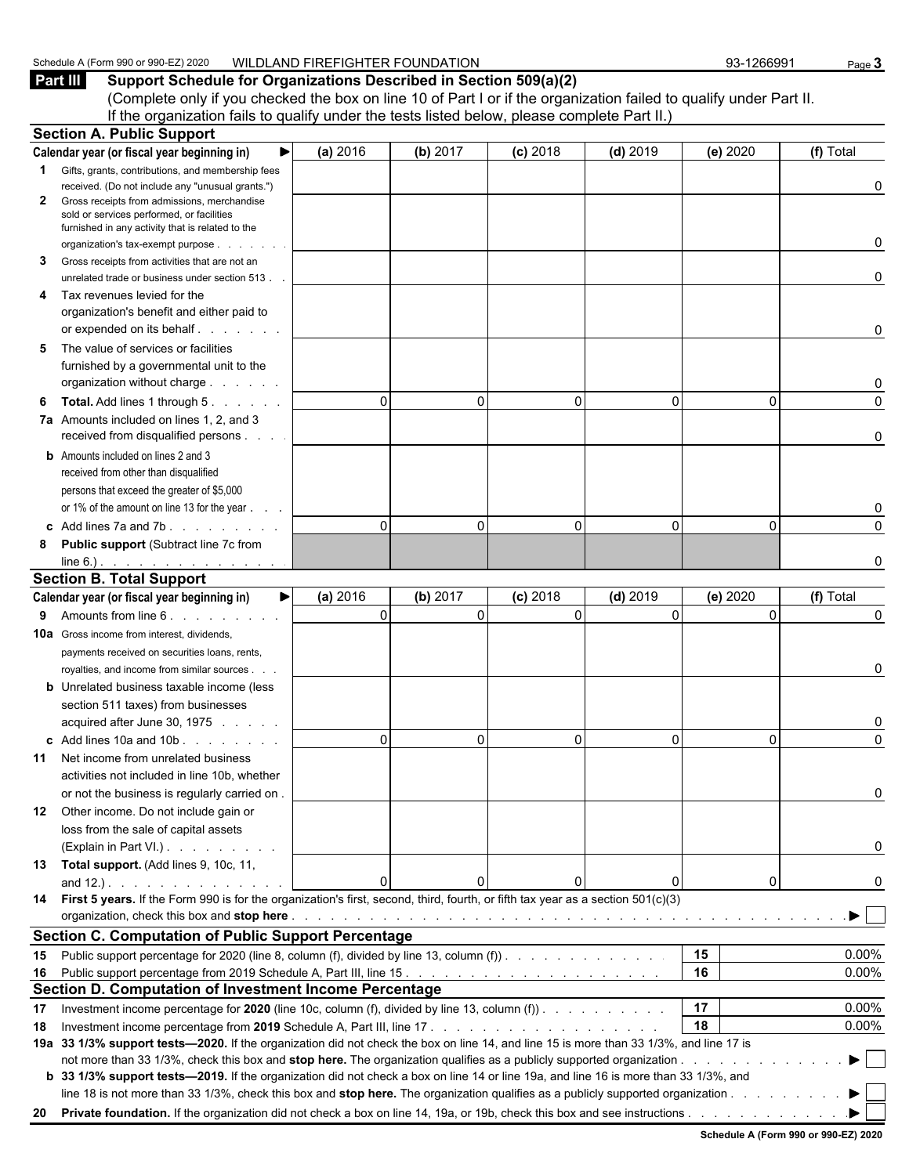#### Schedule A (Form 990 or 990-EZ) 2020 WILDLAND FIREFIGHTER FOUNDATION 93-1266991 Page 3

**Part III Support Schedule for Organizations Described in Section 509(a)(2)** (Complete only if you checked the box on line 10 of Part I or if the organization failed to qualify under Part II. If the organization fails to qualify under the tests listed below, please complete Part II.)

|    | <b>Section A. Public Support</b>                                                                                                       |               |                      |            |              |                |           |
|----|----------------------------------------------------------------------------------------------------------------------------------------|---------------|----------------------|------------|--------------|----------------|-----------|
|    | Calendar year (or fiscal year beginning in)                                                                                            | (a) 2016      | (b) 2017             | $(c)$ 2018 | $(d)$ 2019   | (e) 2020       | (f) Total |
|    | <b>1</b> Gifts, grants, contributions, and membership fees                                                                             |               |                      |            |              |                |           |
|    | received. (Do not include any "unusual grants.")                                                                                       |               |                      |            |              |                | 0         |
| 2  | Gross receipts from admissions, merchandise<br>sold or services performed, or facilities                                               |               |                      |            |              |                |           |
|    | furnished in any activity that is related to the                                                                                       |               |                      |            |              |                |           |
|    | organization's tax-exempt purpose                                                                                                      |               |                      |            |              |                | 0         |
| 3  | Gross receipts from activities that are not an                                                                                         |               |                      |            |              |                |           |
|    | unrelated trade or business under section 513.                                                                                         |               |                      |            |              |                | 0         |
| 4  | Tax revenues levied for the                                                                                                            |               |                      |            |              |                |           |
|    | organization's benefit and either paid to                                                                                              |               |                      |            |              |                |           |
|    |                                                                                                                                        |               |                      |            |              |                | 0         |
| 5  | The value of services or facilities                                                                                                    |               |                      |            |              |                |           |
|    | furnished by a governmental unit to the                                                                                                |               |                      |            |              |                |           |
|    | organization without charge                                                                                                            |               |                      |            |              |                | 0         |
| 6  | <b>Total.</b> Add lines 1 through 5.                                                                                                   |               | $\Omega$<br>0        | $\Omega$   | $\mathbf{0}$ | $\Omega$       | 0         |
|    | 7a Amounts included on lines 1, 2, and 3<br>received from disqualified persons                                                         |               |                      |            |              |                | 0         |
|    | <b>b</b> Amounts included on lines 2 and 3                                                                                             |               |                      |            |              |                |           |
|    | received from other than disqualified                                                                                                  |               |                      |            |              |                |           |
|    | persons that exceed the greater of \$5,000                                                                                             |               |                      |            |              |                |           |
|    | or 1% of the amount on line 13 for the year                                                                                            |               |                      |            |              |                | 0         |
|    | c Add lines 7a and 7b. $\ldots$ . $\ldots$                                                                                             |               | $\Omega$<br>$\Omega$ | $\Omega$   | $\Omega$     | $\Omega$       | $\Omega$  |
| 8  | <b>Public support (Subtract line 7c from</b>                                                                                           |               |                      |            |              |                |           |
|    | $line 6.)$ .                                                                                                                           |               |                      |            |              |                | 0         |
|    | <b>Section B. Total Support</b>                                                                                                        |               |                      |            |              |                |           |
|    | Calendar year (or fiscal year beginning in)                                                                                            | (a) 2016<br>▶ | (b) 2017             | $(c)$ 2018 | $(d)$ 2019   | (e) 2020       | (f) Total |
| 9  | Amounts from line 6. Amounts from line 6.                                                                                              |               | $\Omega$<br>$\Omega$ | $\Omega$   | $\Omega$     | $\Omega$       | 0         |
|    | <b>10a</b> Gross income from interest, dividends,                                                                                      |               |                      |            |              |                |           |
|    | payments received on securities loans, rents,                                                                                          |               |                      |            |              |                |           |
|    | royalties, and income from similar sources.                                                                                            |               |                      |            |              |                | 0         |
|    | <b>b</b> Unrelated business taxable income (less                                                                                       |               |                      |            |              |                |           |
|    | section 511 taxes) from businesses                                                                                                     |               |                      |            |              |                |           |
|    | acquired after June 30, 1975                                                                                                           |               |                      |            |              |                | 0         |
|    | c Add lines 10a and 10b                                                                                                                |               | $\Omega$<br>0        | O          | $\Omega$     | 0              | $\Omega$  |
| 11 | Net income from unrelated business                                                                                                     |               |                      |            |              |                |           |
|    | activities not included in line 10b, whether                                                                                           |               |                      |            |              |                |           |
|    | or not the business is regularly carried on.<br>12 Other income. Do not include gain or                                                |               |                      |            |              |                |           |
|    | loss from the sale of capital assets                                                                                                   |               |                      |            |              |                |           |
|    | (Explain in Part VI.)                                                                                                                  |               |                      |            |              |                | 0         |
|    | 13 Total support. (Add lines 9, 10c, 11,                                                                                               |               |                      |            |              |                |           |
|    |                                                                                                                                        |               | n                    |            | $\mathbf{0}$ | $\overline{0}$ | 0         |
|    | 14 First 5 years. If the Form 990 is for the organization's first, second, third, fourth, or fifth tax year as a section 501(c)(3)     |               |                      |            |              |                |           |
|    |                                                                                                                                        |               |                      |            |              |                |           |
|    | <b>Section C. Computation of Public Support Percentage</b>                                                                             |               |                      |            |              |                |           |
|    | 15 Public support percentage for 2020 (line 8, column (f), divided by line 13, column (f)).                                            |               |                      |            |              | 15             | 0.00%     |
|    |                                                                                                                                        |               |                      |            |              | 16             | 0.00%     |
|    | Section D. Computation of Investment Income Percentage                                                                                 |               |                      |            |              |                |           |
| 17 | Investment income percentage for 2020 (line 10c, column (f), divided by line 13, column (f)).                                          |               |                      |            |              | 17             | 0.00%     |
| 18 |                                                                                                                                        |               |                      |            |              | 18             | 0.00%     |
|    | 19a 33 1/3% support tests-2020. If the organization did not check the box on line 14, and line 15 is more than 33 1/3%, and line 17 is |               |                      |            |              |                |           |
|    |                                                                                                                                        |               |                      |            |              |                | ▶         |
|    | b 33 1/3% support tests—2019. If the organization did not check a box on line 14 or line 19a, and line 16 is more than 33 1/3%, and    |               |                      |            |              |                |           |
|    | line 18 is not more than 33 1/3%, check this box and stop here. The organization qualifies as a publicly supported organization        |               |                      |            |              |                |           |
|    |                                                                                                                                        |               |                      |            |              |                |           |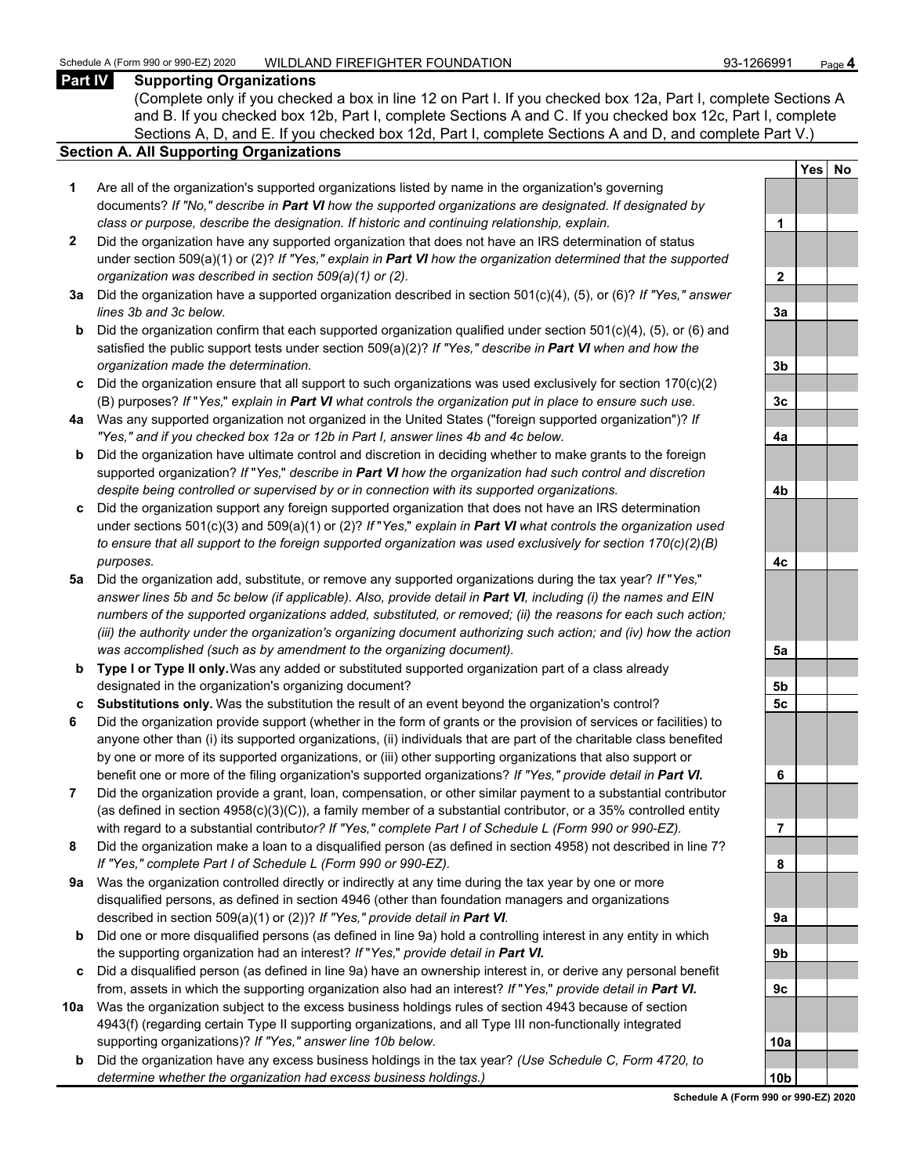#### **Part IV Supporting Organizations**

(Complete only if you checked a box in line 12 on Part I. If you checked box 12a, Part I, complete Sections A and B. If you checked box 12b, Part I, complete Sections A and C. If you checked box 12c, Part I, complete Sections A, D, and E. If you checked box 12d, Part I, complete Sections A and D, and complete Part V.)

#### **Section A. All Supporting Organizations**

- **1** Are all of the organization's supported organizations listed by name in the organization's governing documents? *If "No," describe in Part VI how the supported organizations are designated. If designated by class or purpose, describe the designation. If historic and continuing relationship, explain.* **1**
- **2** Did the organization have any supported organization that does not have an IRS determination of status under section 509(a)(1) or (2)? *If "Yes," explain in Part VI how the organization determined that the supported organization was described in section 509(a)(1) or (2).*
- **3a** Did the organization have a supported organization described in section 501(c)(4), (5), or (6)? *If "Yes," answer*  $lines$  3b and 3c below.
- **b** Did the organization confirm that each supported organization qualified under section 501(c)(4), (5), or (6) and satisfied the public support tests under section 509(a)(2)? *If "Yes," describe in Part VI when and how the organization made the determination.* **3b**
- **c** Did the organization ensure that all support to such organizations was used exclusively for section 170(c)(2) (B) purposes? *If* "*Yes,*" *explain in Part VI what controls the organization put in place to ensure such use.* **3c**
- **4a** Was any supported organization not organized in the United States ("foreign supported organization")? *If "Yes," and if you checked box 12a or 12b in Part I, answer lines 4b and 4c below.* **4a**
- **b** Did the organization have ultimate control and discretion in deciding whether to make grants to the foreign supported organization? *If* "*Yes,*" *describe in Part VI how the organization had such control and discretion despite being controlled or supervised by or in connection with its supported organizations.* **4b**
- **c** Did the organization support any foreign supported organization that does not have an IRS determination under sections 501(c)(3) and 509(a)(1) or (2)? *If* "*Yes,*" *explain in Part VI what controls the organization used to ensure that all support to the foreign supported organization was used exclusively for section 170(c)(2)(B) purposes.* **4c**
- **5a** Did the organization add, substitute, or remove any supported organizations during the tax year? *If* "*Yes,*" *answer lines 5b and 5c below (if applicable). Also, provide detail in Part VI, including (i) the names and EIN numbers of the supported organizations added, substituted, or removed; (ii) the reasons for each such action; (iii) the authority under the organization's organizing document authorizing such action; and (iv) how the action was accomplished (such as by amendment to the organizing document).* **5a**
- **b Type I or Type II only.** Was any added or substituted supported organization part of a class already designated in the organization's organizing document? **5b**
- **c Substitutions only.** Was the substitution the result of an event beyond the organization's control? **5c**
- **6** Did the organization provide support (whether in the form of grants or the provision of services or facilities) to anyone other than (i) its supported organizations, (ii) individuals that are part of the charitable class benefited by one or more of its supported organizations, or (iii) other supporting organizations that also support or benefit one or more of the filing organization's supported organizations? *If "Yes," provide detail in Part VI.* **6**
- **7** Did the organization provide a grant, loan, compensation, or other similar payment to a substantial contributor (as defined in section 4958(c)(3)(C)), a family member of a substantial contributor, or a 35% controlled entity with regard to a substantial contribut*or? If "Yes," complete Part I of Schedule L (Form 990 or 990-EZ).* **7**
- **8** Did the organization make a loan to a disqualified person (as defined in section 4958) not described in line 7? *If "Yes," complete Part I of Schedule L (Form 990 or 990-EZ).* **8**
- **9a** Was the organization controlled directly or indirectly at any time during the tax year by one or more disqualified persons, as defined in section 4946 (other than foundation managers and organizations described in section 509(a)(1) or (2))? If "Yes," provide detail in Part VI.
- **b** Did one or more disqualified persons (as defined in line 9a) hold a controlling interest in any entity in which the supporting organization had an interest? *If* "*Yes,*" *provide detail in Part VI.* **9b**
- **c** Did a disqualified person (as defined in line 9a) have an ownership interest in, or derive any personal benefit from, assets in which the supporting organization also had an interest? *If* "*Yes,*" *provide detail in Part VI.* **9c**
- **10a** Was the organization subject to the excess business holdings rules of section 4943 because of section 4943(f) (regarding certain Type II supporting organizations, and all Type III non-functionally integrated supporting organizations)? If "Yes," answer line 10b below.
	- **b** Did the organization have any excess business holdings in the tax year? *(Use Schedule C, Form 4720, to determine whether the organization had excess business holdings.)*

|                | <b>Yes</b> | No |
|----------------|------------|----|
|                |            |    |
| 1              |            |    |
|                |            |    |
| $\overline{2}$ |            |    |
|                |            |    |
| 3a             |            |    |
|                |            |    |
| 3 <sub>b</sub> |            |    |
|                |            |    |
| $\frac{3c}{2}$ |            |    |
|                |            |    |
| 4a             |            |    |
|                |            |    |
| 4b             |            |    |
|                |            |    |
| 4c             |            |    |
|                |            |    |
| 5a             |            |    |
|                |            |    |
| <u>5b</u>      |            |    |
| 5 <u>c</u>     |            |    |
|                |            |    |
| 6              |            |    |
|                |            |    |
| 7              |            |    |
| 8              |            |    |
|                |            |    |
| 9а             |            |    |
|                |            |    |
| 9b             |            |    |
|                |            |    |
| 9с             |            |    |
|                |            |    |
| 1<br>0a        |            |    |
| 0b             |            |    |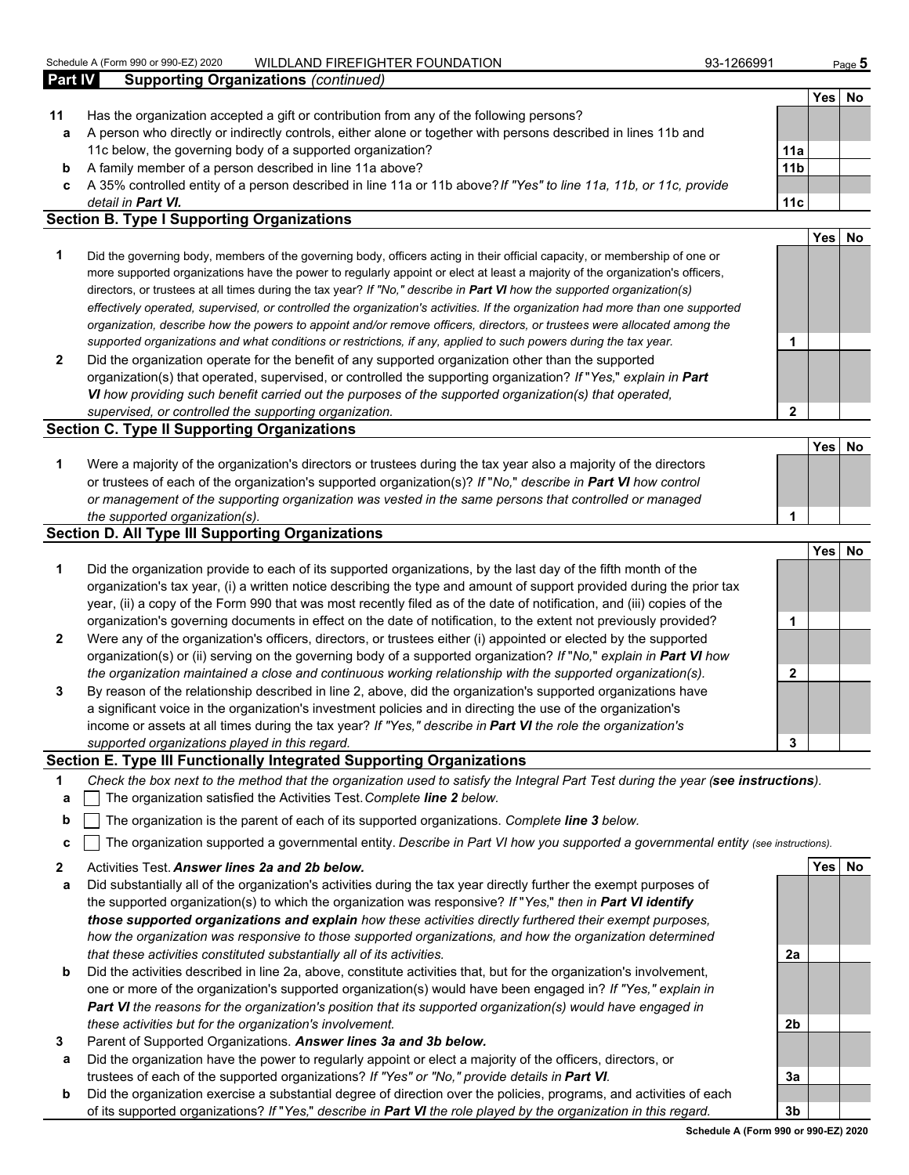|                | Schedule A (Form 990 or 990-EZ) 2020<br>WILDLAND FIREFIGHTER FOUNDATION                                            | 93-1266991      |      | Page 5 |
|----------------|--------------------------------------------------------------------------------------------------------------------|-----------------|------|--------|
| <b>Part IV</b> | <b>Supporting Organizations (continued)</b>                                                                        |                 |      |        |
|                |                                                                                                                    |                 | Yesl | No     |
| 11             | Has the organization accepted a gift or contribution from any of the following persons?                            |                 |      |        |
| a              | A person who directly or indirectly controls, either alone or together with persons described in lines 11b and     |                 |      |        |
|                | 11c below, the governing body of a supported organization?                                                         | 11a             |      |        |
| b              | A family member of a person described in line 11a above?                                                           | 11 <sub>b</sub> |      |        |
| c              | A 35% controlled entity of a person described in line 11a or 11b above? If "Yes" to line 11a, 11b, or 11c, provide |                 |      |        |
|                | detail in <b>Part VI.</b>                                                                                          | 11c             |      |        |
|                | <b>Section B. Type I Supporting Organizations</b>                                                                  |                 |      |        |
|                |                                                                                                                    |                 | Yes  |        |

- **1** Did the governing body, members of the governing body, officers acting in their official capacity, or membership of one or more supported organizations have the power to regularly appoint or elect at least a majority of the organization's officers, directors, or trustees at all times during the tax year? *If "No," describe in Part VI how the supported organization(s) effectively operated, supervised, or controlled the organization's activities. If the organization had more than one supported organization, describe how the powers to appoint and/or remove officers, directors, or trustees were allocated among the supported organizations and what conditions or restrictions, if any, applied to such powers during the tax year.* **1**
- **2** Did the organization operate for the benefit of any supported organization other than the supported organization(s) that operated, supervised, or controlled the supporting organization? *If* "*Yes,*" *explain in Part VI how providing such benefit carried out the purposes of the supported organization(s) that operated, supervised, or controlled the supporting organization.* **2**

#### **Section C. Type II Supporting Organizations**

| Were a majority of the organization's directors or trustees during the tax year also a majority of the directors |  |
|------------------------------------------------------------------------------------------------------------------|--|
| or trustees of each of the organization's supported organization(s)? If "No," describe in Part VI how control    |  |
| or management of the supporting organization was vested in the same persons that controlled or managed           |  |
| the supported organization(s).                                                                                   |  |

#### **Section D. All Type III Supporting Organizations**

|                |                                                                                                                                                                                                                                                                                                                                                                   |   | Yes | No |
|----------------|-------------------------------------------------------------------------------------------------------------------------------------------------------------------------------------------------------------------------------------------------------------------------------------------------------------------------------------------------------------------|---|-----|----|
| $\mathbf 1$    | Did the organization provide to each of its supported organizations, by the last day of the fifth month of the<br>organization's tax year, (i) a written notice describing the type and amount of support provided during the prior tax<br>year, (ii) a copy of the Form 990 that was most recently filed as of the date of notification, and (iii) copies of the |   |     |    |
|                | organization's governing documents in effect on the date of notification, to the extent not previously provided?                                                                                                                                                                                                                                                  |   |     |    |
| $\overline{2}$ | Were any of the organization's officers, directors, or trustees either (i) appointed or elected by the supported<br>organization(s) or (ii) serving on the governing body of a supported organization? If "No," explain in Part VI how                                                                                                                            |   |     |    |
|                | the organization maintained a close and continuous working relationship with the supported organization(s).                                                                                                                                                                                                                                                       |   |     |    |
| 3              | By reason of the relationship described in line 2, above, did the organization's supported organizations have<br>a significant voice in the organization's investment policies and in directing the use of the organization's<br>income or assets at all times during the tax year? If "Yes," describe in Part VI the role the organization's                     |   |     |    |
|                | supported organizations played in this regard.                                                                                                                                                                                                                                                                                                                    | 3 |     |    |

#### **Section E. Type III Functionally Integrated Supporting Organizations**

- **1** *Check the box next to the method that the organization used to satisfy the Integral Part Test during the year (see instructions).*
- **a** The organization satisfied the Activities Test. *Complete line 2 below.*
- **b** The organization is the parent of each of its supported organizations. *Complete line 3 below.*
- **c** The organization supported a governmental entity. *Describe in Part VI how you supported a governmental entity (see instructions).*
- **2** Activities Test. *Answer lines 2a and 2b below.* **Yes No**
- **a** Did substantially all of the organization's activities during the tax year directly further the exempt purposes of the supported organization(s) to which the organization was responsive? *If* "*Yes,*" *then in Part VI identify those supported organizations and explain how these activities directly furthered their exempt purposes, how the organization was responsive to those supported organizations, and how the organization determined that these activities constituted substantially all of its activities.* **2a**
- **b** Did the activities described in line 2a, above, constitute activities that, but for the organization's involvement, one or more of the organization's supported organization(s) would have been engaged in? *If "Yes," explain in Part VI the reasons for the organization's position that its supported organization(s) would have engaged in these activities but for the organization's involvement.* **2b**
- **3** Parent of Supported Organizations. *Answer lines 3a and 3b below.*
- **a** Did the organization have the power to regularly appoint or elect a majority of the officers, directors, or trustees of each of the supported organizations? *If "Yes" or "No," provide details in Part VI.* **3a**
- **b** Did the organization exercise a substantial degree of direction over the policies, programs, and activities of each of its supported organizations? *If* "*Yes,*" *describe in Part VI the role played by the organization in this regard.* **3b**

#### **Schedule A (Form 990 or 990-EZ) 2020**

**Yes No**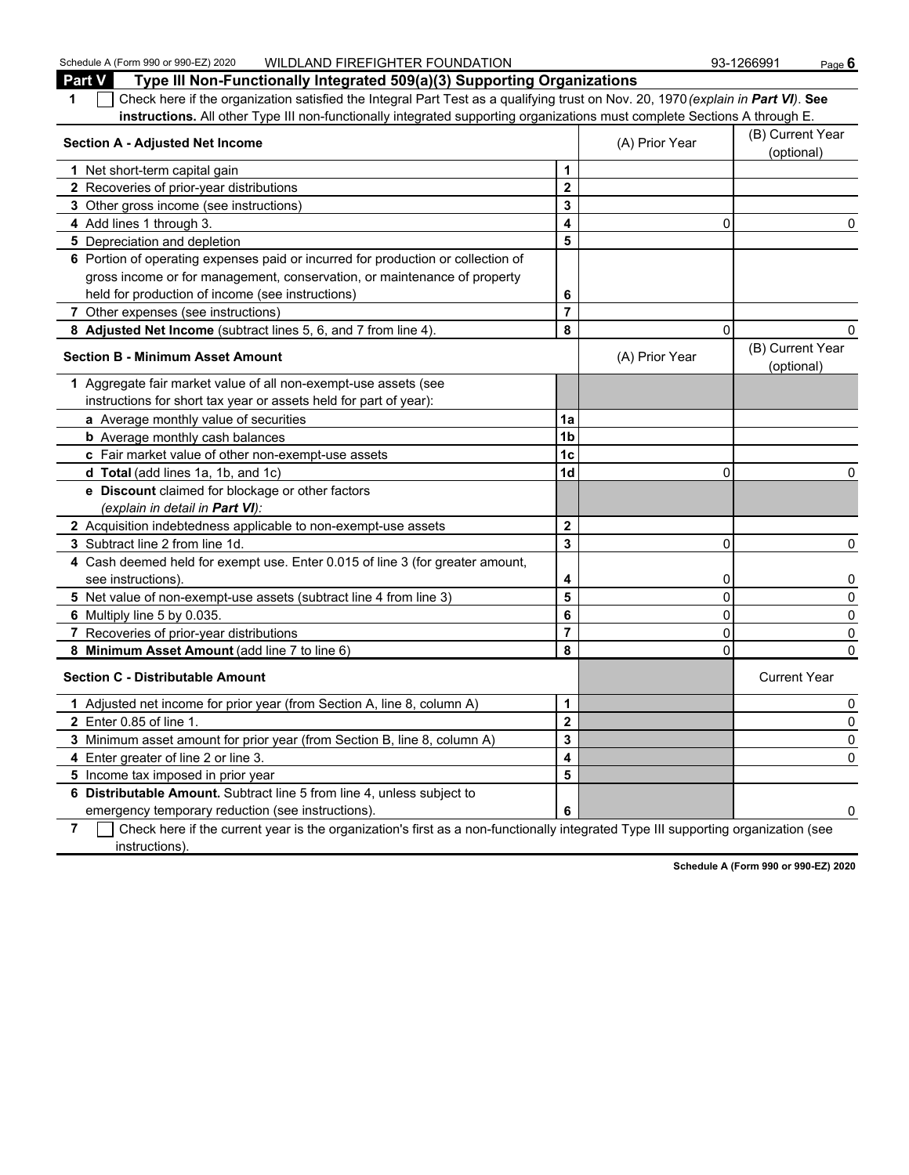Schedule A (Form 990 or 990-EZ) 2020 WILDLAND FIREFIGHTER FOUNDATION 93-1266991 Page **6**<br>**Part 1/4 Type III Non-Eunotionally Integrated 500(a)(3)** Supporting Organizations **Part V Type III Non-Functionally Integrated 509(a)(3) Supporting Organizations**

| Part v<br>Type iii Non-Functionally Integrated 509(a)(3) Supporting Organizations<br>Check here if the organization satisfied the Integral Part Test as a qualifying trust on Nov. 20, 1970 (explain in Part VI). See<br>1<br>instructions. All other Type III non-functionally integrated supporting organizations must complete Sections A through E. |                |                |                                |
|---------------------------------------------------------------------------------------------------------------------------------------------------------------------------------------------------------------------------------------------------------------------------------------------------------------------------------------------------------|----------------|----------------|--------------------------------|
| <b>Section A - Adjusted Net Income</b>                                                                                                                                                                                                                                                                                                                  |                | (A) Prior Year | (B) Current Year<br>(optional) |
| 1 Net short-term capital gain                                                                                                                                                                                                                                                                                                                           | 1              |                |                                |
| 2 Recoveries of prior-year distributions                                                                                                                                                                                                                                                                                                                | $\mathbf{2}$   |                |                                |
| 3 Other gross income (see instructions)                                                                                                                                                                                                                                                                                                                 | 3              |                |                                |
| 4 Add lines 1 through 3.                                                                                                                                                                                                                                                                                                                                | 4              | 0              | 0                              |
| 5 Depreciation and depletion                                                                                                                                                                                                                                                                                                                            | 5              |                |                                |
| 6 Portion of operating expenses paid or incurred for production or collection of                                                                                                                                                                                                                                                                        |                |                |                                |
| gross income or for management, conservation, or maintenance of property                                                                                                                                                                                                                                                                                |                |                |                                |
| held for production of income (see instructions)                                                                                                                                                                                                                                                                                                        | 6              |                |                                |
| 7 Other expenses (see instructions)                                                                                                                                                                                                                                                                                                                     | $\overline{7}$ |                |                                |
| 8 Adjusted Net Income (subtract lines 5, 6, and 7 from line 4).                                                                                                                                                                                                                                                                                         | 8              | 0              |                                |
| <b>Section B - Minimum Asset Amount</b>                                                                                                                                                                                                                                                                                                                 |                | (A) Prior Year | (B) Current Year<br>(optional) |
| Aggregate fair market value of all non-exempt-use assets (see<br>1                                                                                                                                                                                                                                                                                      |                |                |                                |
| instructions for short tax year or assets held for part of year):                                                                                                                                                                                                                                                                                       |                |                |                                |
| a Average monthly value of securities                                                                                                                                                                                                                                                                                                                   | 1a             |                |                                |
| <b>b</b> Average monthly cash balances                                                                                                                                                                                                                                                                                                                  | 1 <sub>b</sub> |                |                                |
| c Fair market value of other non-exempt-use assets                                                                                                                                                                                                                                                                                                      | 1 <sub>c</sub> |                |                                |
| d Total (add lines 1a, 1b, and 1c)                                                                                                                                                                                                                                                                                                                      | 1 <sub>d</sub> | 0              | 0                              |
| e Discount claimed for blockage or other factors                                                                                                                                                                                                                                                                                                        |                |                |                                |
| (explain in detail in <b>Part VI</b> ):                                                                                                                                                                                                                                                                                                                 |                |                |                                |
| 2 Acquisition indebtedness applicable to non-exempt-use assets                                                                                                                                                                                                                                                                                          | $\overline{2}$ |                |                                |
| 3 Subtract line 2 from line 1d.                                                                                                                                                                                                                                                                                                                         | 3              | $\Omega$       | 0                              |
| 4 Cash deemed held for exempt use. Enter 0.015 of line 3 (for greater amount,                                                                                                                                                                                                                                                                           |                |                |                                |
| see instructions).                                                                                                                                                                                                                                                                                                                                      | 4              | 0              | 0                              |
| 5 Net value of non-exempt-use assets (subtract line 4 from line 3)                                                                                                                                                                                                                                                                                      | 5              | $\mathbf 0$    | 0                              |
| 6 Multiply line 5 by 0.035.                                                                                                                                                                                                                                                                                                                             | 6              | $\pmb{0}$      | 0                              |
| 7 Recoveries of prior-year distributions                                                                                                                                                                                                                                                                                                                | $\overline{7}$ | 0              | 0                              |
| 8 Minimum Asset Amount (add line 7 to line 6)                                                                                                                                                                                                                                                                                                           | 8              | $\Omega$       | 0                              |
| <b>Section C - Distributable Amount</b>                                                                                                                                                                                                                                                                                                                 |                |                | <b>Current Year</b>            |
| 1 Adjusted net income for prior year (from Section A, line 8, column A)                                                                                                                                                                                                                                                                                 | 1              |                | 0                              |
| 2 Enter 0.85 of line 1.                                                                                                                                                                                                                                                                                                                                 | $\overline{2}$ |                | 0                              |
| 3 Minimum asset amount for prior year (from Section B, line 8, column A)                                                                                                                                                                                                                                                                                | 3              |                | 0                              |
| 4 Enter greater of line 2 or line 3.                                                                                                                                                                                                                                                                                                                    | 4              |                | 0                              |
| 5 Income tax imposed in prior year                                                                                                                                                                                                                                                                                                                      | 5              |                |                                |
| 6 Distributable Amount. Subtract line 5 from line 4, unless subject to                                                                                                                                                                                                                                                                                  |                |                |                                |
| emergency temporary reduction (see instructions).                                                                                                                                                                                                                                                                                                       | 6              |                | 0                              |

**7** Check here if the current year is the organization's first as a non-functionally integrated Type III supporting organization (see instructions).

**Schedule A (Form 990 or 990-EZ) 2020**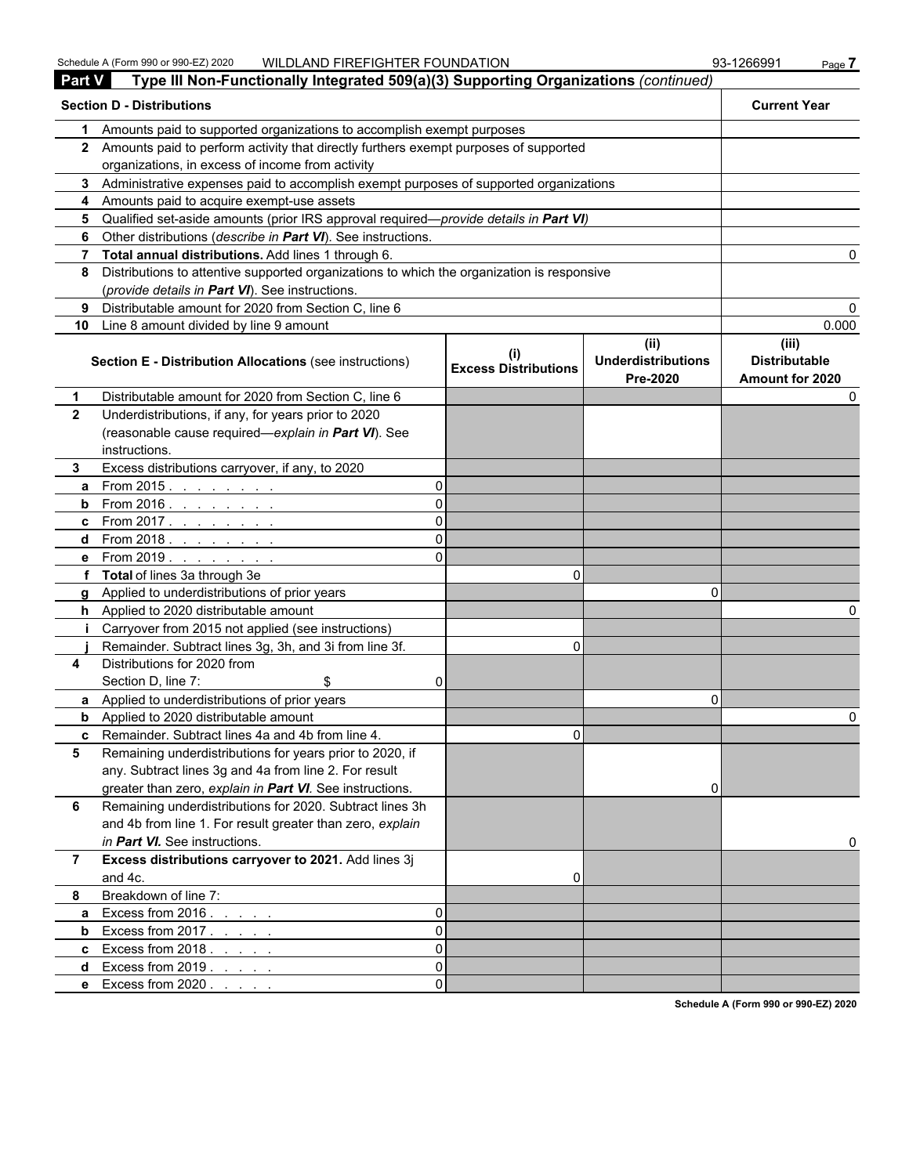| <b>Part V</b>  | Type III Non-Functionally Integrated 509(a)(3) Supporting Organizations (continued)          |    |                                             |                                               |                                                  |
|----------------|----------------------------------------------------------------------------------------------|----|---------------------------------------------|-----------------------------------------------|--------------------------------------------------|
|                | <b>Section D - Distributions</b>                                                             |    |                                             |                                               | <b>Current Year</b>                              |
| 1              | Amounts paid to supported organizations to accomplish exempt purposes                        |    |                                             |                                               |                                                  |
|                | 2 Amounts paid to perform activity that directly furthers exempt purposes of supported       |    |                                             |                                               |                                                  |
|                | organizations, in excess of income from activity                                             |    |                                             |                                               |                                                  |
|                | 3 Administrative expenses paid to accomplish exempt purposes of supported organizations      |    |                                             |                                               |                                                  |
|                | 4 Amounts paid to acquire exempt-use assets                                                  |    |                                             |                                               |                                                  |
| 5.             | Qualified set-aside amounts (prior IRS approval required-provide details in Part VI)         |    |                                             |                                               |                                                  |
| 6              | Other distributions (describe in Part VI). See instructions.                                 |    |                                             |                                               |                                                  |
|                | 7 Total annual distributions. Add lines 1 through 6.                                         |    |                                             |                                               |                                                  |
|                | 8 Distributions to attentive supported organizations to which the organization is responsive |    |                                             |                                               |                                                  |
|                | (provide details in Part VI). See instructions.                                              |    |                                             |                                               |                                                  |
| 9              | Distributable amount for 2020 from Section C, line 6                                         |    |                                             |                                               |                                                  |
| 10             | Line 8 amount divided by line 9 amount                                                       |    |                                             |                                               | 0.000                                            |
|                | <b>Section E - Distribution Allocations (see instructions)</b>                               |    | $\sf ^{(l)}$<br><b>Excess Distributions</b> | (ii)<br><b>Underdistributions</b><br>Pre-2020 | (iii)<br><b>Distributable</b><br>Amount for 2020 |
| $\mathbf 1$    | Distributable amount for 2020 from Section C, line 6                                         |    |                                             |                                               |                                                  |
| $\overline{2}$ | Underdistributions, if any, for years prior to 2020                                          |    |                                             |                                               |                                                  |
|                | (reasonable cause required-explain in Part VI). See                                          |    |                                             |                                               |                                                  |
|                | instructions.                                                                                |    |                                             |                                               |                                                  |
| 3.             | Excess distributions carryover, if any, to 2020                                              |    |                                             |                                               |                                                  |
| a              | From 2015. $\ldots$                                                                          | 0  |                                             |                                               |                                                  |
|                | <b>b</b> From 2016. $\frac{1}{1}$                                                            | 0  |                                             |                                               |                                                  |
|                | <b>c</b> From 2017.                                                                          | 0  |                                             |                                               |                                                  |
|                | d From 2018.                                                                                 | 0  |                                             |                                               |                                                  |
|                | <b>e</b> From 2019.                                                                          | ΩI |                                             |                                               |                                                  |
|                | f Total of lines 3a through 3e                                                               |    | 0                                           |                                               |                                                  |
|                | g Applied to underdistributions of prior years                                               |    |                                             | n                                             |                                                  |
|                | h Applied to 2020 distributable amount                                                       |    |                                             |                                               |                                                  |
| Ť.             | Carryover from 2015 not applied (see instructions)                                           |    |                                             |                                               |                                                  |
|                | Remainder. Subtract lines 3g, 3h, and 3i from line 3f.                                       |    | $\Omega$                                    |                                               |                                                  |
| 4              | Distributions for 2020 from                                                                  |    |                                             |                                               |                                                  |
|                | Section D, line 7:<br>\$                                                                     | 0  |                                             |                                               |                                                  |
|                | a Applied to underdistributions of prior years                                               |    |                                             | 0                                             |                                                  |
|                | <b>b</b> Applied to 2020 distributable amount                                                |    |                                             |                                               |                                                  |
|                | <b>c</b> Remainder. Subtract lines 4a and 4b from line 4.                                    |    | U.                                          |                                               |                                                  |
| 5              | Remaining underdistributions for years prior to 2020, if                                     |    |                                             |                                               |                                                  |
|                | any. Subtract lines 3g and 4a from line 2. For result                                        |    |                                             |                                               |                                                  |
|                | greater than zero, explain in Part VI. See instructions.                                     |    |                                             | 0                                             |                                                  |
| 6              | Remaining underdistributions for 2020. Subtract lines 3h                                     |    |                                             |                                               |                                                  |
|                | and 4b from line 1. For result greater than zero, explain                                    |    |                                             |                                               |                                                  |
|                | in Part VI. See instructions.                                                                |    |                                             |                                               |                                                  |
| $\overline{7}$ | Excess distributions carryover to 2021. Add lines 3j                                         |    |                                             |                                               |                                                  |
|                | and 4c.                                                                                      |    | 0                                           |                                               |                                                  |
| 8              | Breakdown of line 7:                                                                         |    |                                             |                                               |                                                  |
| a              | Excess from $2016. \ldots$ .                                                                 | 0  |                                             |                                               |                                                  |
| b              | Excess from $2017$ .                                                                         | 0  |                                             |                                               |                                                  |
|                | <b>c</b> Excess from $2018.$                                                                 | 0  |                                             |                                               |                                                  |
| d              | Excess from $2019. \ldots$                                                                   | 0  |                                             |                                               |                                                  |
|                | e Excess from 2020                                                                           | 0  |                                             |                                               |                                                  |

**Schedule A (Form 990 or 990-EZ) 2020**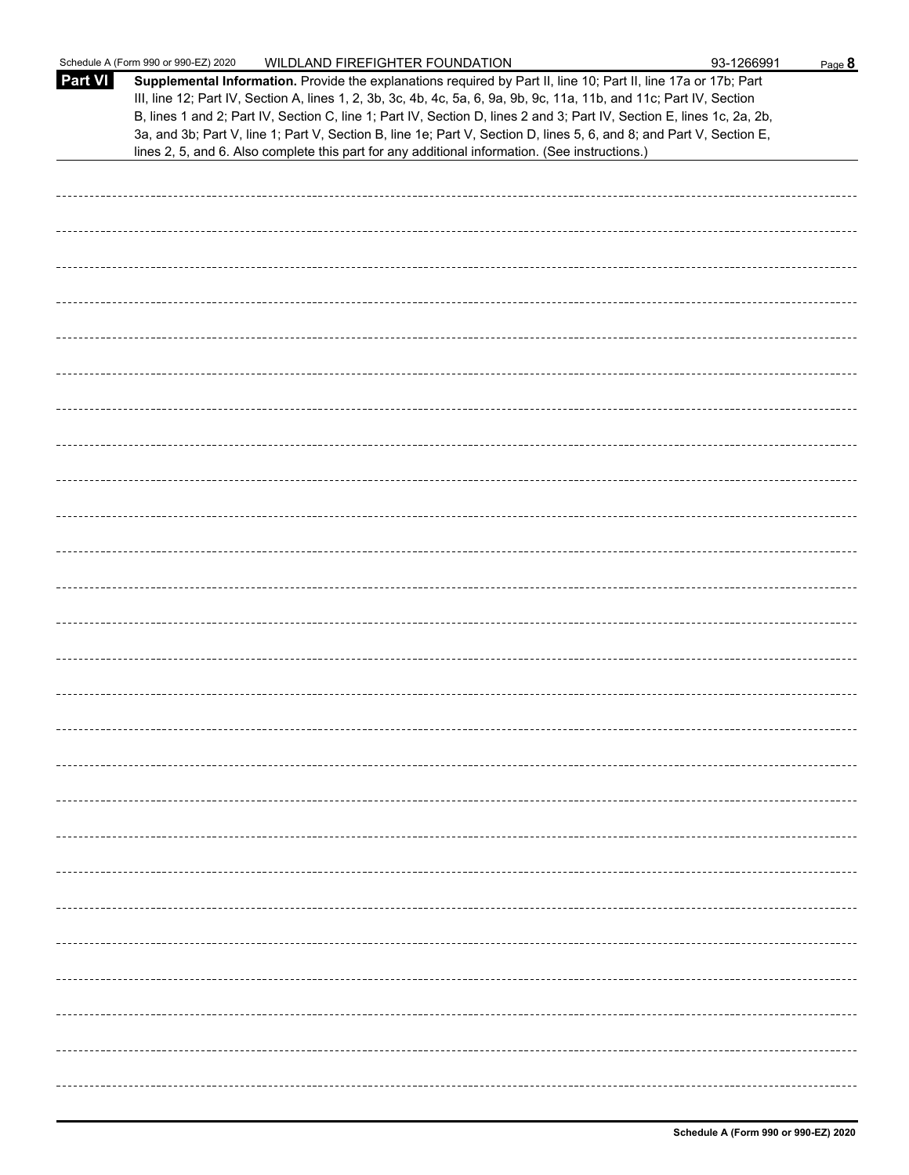|                | Schedule A (Form 990 or 990-EZ) 2020<br>WILDLAND FIREFIGHTER FOUNDATION                                                                                                                                                                                                                                                                                                                                                                                                                                                                                                                     | 93-1266991 | Page 8 |
|----------------|---------------------------------------------------------------------------------------------------------------------------------------------------------------------------------------------------------------------------------------------------------------------------------------------------------------------------------------------------------------------------------------------------------------------------------------------------------------------------------------------------------------------------------------------------------------------------------------------|------------|--------|
| <b>Part VI</b> | Supplemental Information. Provide the explanations required by Part II, line 10; Part II, line 17a or 17b; Part<br>III, line 12; Part IV, Section A, lines 1, 2, 3b, 3c, 4b, 4c, 5a, 6, 9a, 9b, 9c, 11a, 11b, and 11c; Part IV, Section<br>B, lines 1 and 2; Part IV, Section C, line 1; Part IV, Section D, lines 2 and 3; Part IV, Section E, lines 1c, 2a, 2b,<br>3a, and 3b; Part V, line 1; Part V, Section B, line 1e; Part V, Section D, lines 5, 6, and 8; and Part V, Section E,<br>lines 2, 5, and 6. Also complete this part for any additional information. (See instructions.) |            |        |
|                |                                                                                                                                                                                                                                                                                                                                                                                                                                                                                                                                                                                             |            |        |
|                |                                                                                                                                                                                                                                                                                                                                                                                                                                                                                                                                                                                             |            |        |
|                |                                                                                                                                                                                                                                                                                                                                                                                                                                                                                                                                                                                             |            |        |
|                |                                                                                                                                                                                                                                                                                                                                                                                                                                                                                                                                                                                             |            |        |
|                |                                                                                                                                                                                                                                                                                                                                                                                                                                                                                                                                                                                             |            |        |
|                |                                                                                                                                                                                                                                                                                                                                                                                                                                                                                                                                                                                             |            |        |
|                |                                                                                                                                                                                                                                                                                                                                                                                                                                                                                                                                                                                             |            |        |
|                |                                                                                                                                                                                                                                                                                                                                                                                                                                                                                                                                                                                             |            |        |
|                |                                                                                                                                                                                                                                                                                                                                                                                                                                                                                                                                                                                             |            |        |
|                |                                                                                                                                                                                                                                                                                                                                                                                                                                                                                                                                                                                             |            |        |
|                |                                                                                                                                                                                                                                                                                                                                                                                                                                                                                                                                                                                             |            |        |
|                |                                                                                                                                                                                                                                                                                                                                                                                                                                                                                                                                                                                             |            |        |
|                |                                                                                                                                                                                                                                                                                                                                                                                                                                                                                                                                                                                             |            |        |
|                |                                                                                                                                                                                                                                                                                                                                                                                                                                                                                                                                                                                             |            |        |
|                |                                                                                                                                                                                                                                                                                                                                                                                                                                                                                                                                                                                             |            |        |
|                |                                                                                                                                                                                                                                                                                                                                                                                                                                                                                                                                                                                             |            |        |
|                |                                                                                                                                                                                                                                                                                                                                                                                                                                                                                                                                                                                             |            |        |
|                |                                                                                                                                                                                                                                                                                                                                                                                                                                                                                                                                                                                             |            |        |
|                |                                                                                                                                                                                                                                                                                                                                                                                                                                                                                                                                                                                             |            |        |
|                |                                                                                                                                                                                                                                                                                                                                                                                                                                                                                                                                                                                             |            |        |
|                |                                                                                                                                                                                                                                                                                                                                                                                                                                                                                                                                                                                             |            |        |
|                |                                                                                                                                                                                                                                                                                                                                                                                                                                                                                                                                                                                             |            |        |
|                |                                                                                                                                                                                                                                                                                                                                                                                                                                                                                                                                                                                             |            |        |
|                |                                                                                                                                                                                                                                                                                                                                                                                                                                                                                                                                                                                             |            |        |
|                |                                                                                                                                                                                                                                                                                                                                                                                                                                                                                                                                                                                             |            |        |
|                |                                                                                                                                                                                                                                                                                                                                                                                                                                                                                                                                                                                             |            |        |
|                |                                                                                                                                                                                                                                                                                                                                                                                                                                                                                                                                                                                             |            |        |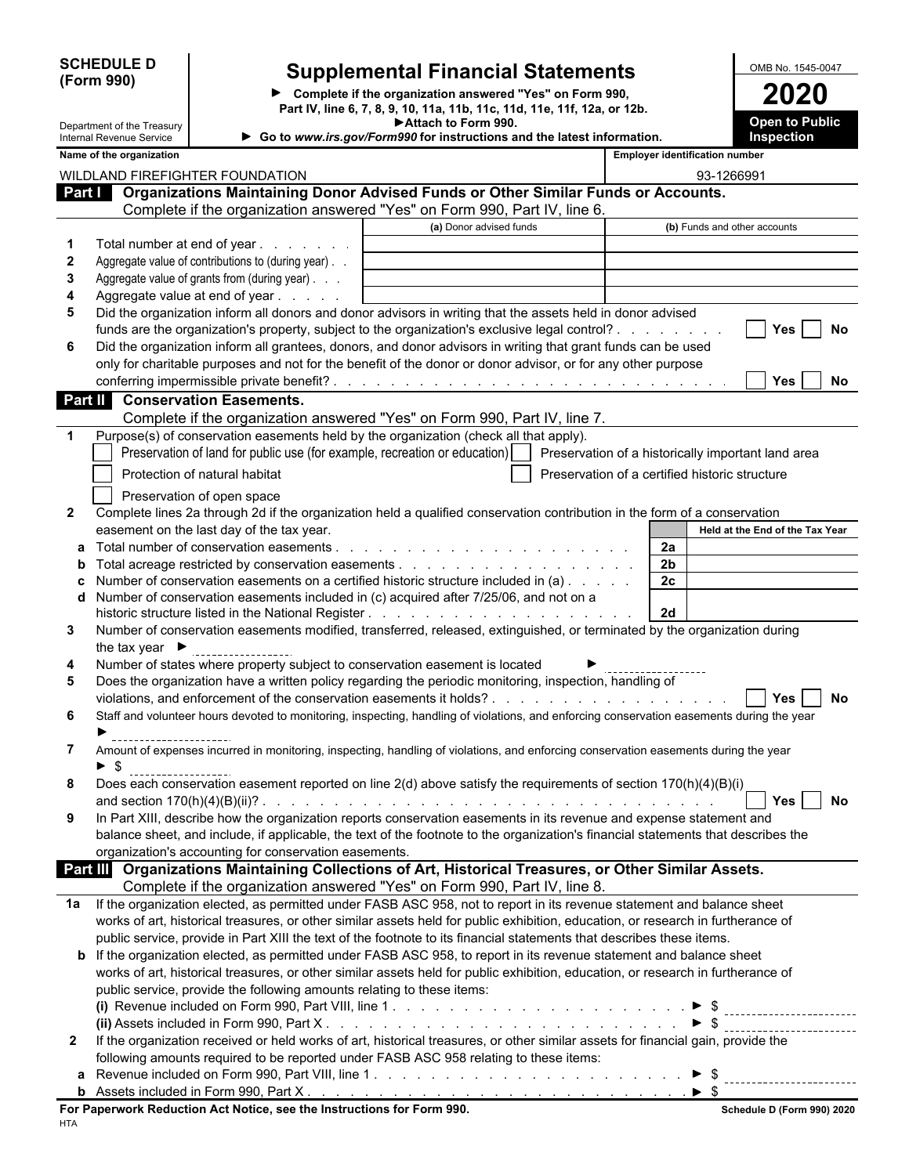| <b>SCHEDULE D</b> |  |
|-------------------|--|
| (Form 990)        |  |

 $\overline{\phantom{a}}$ 

# **Supplemental Financial Statements**<br> **Complete if the organization answered "Yes" on Form 990,**<br> **Complete if the organization answered "Yes" on Form 990,**

**Complete if the organization answered "Yes" on Form 990, 2020 Part IV, line 6, 7, 8, 9, 10, 11a, 11b, 11c, 11d, 11e, 11f, 12a, or 12b. Attach to Form 990.**

| Department of the Treasury<br>Internal Revenue Service |                                    |                                                                        | Attach to Form 990.<br>Go to www.irs.gov/Form990 for instructions and the latest information.                                                                                                                                       |                                                |                                       | <b>Open to Public</b><br>Inspection |
|--------------------------------------------------------|------------------------------------|------------------------------------------------------------------------|-------------------------------------------------------------------------------------------------------------------------------------------------------------------------------------------------------------------------------------|------------------------------------------------|---------------------------------------|-------------------------------------|
| Name of the organization                               |                                    |                                                                        |                                                                                                                                                                                                                                     |                                                | <b>Employer identification number</b> |                                     |
|                                                        |                                    | WILDLAND FIREFIGHTER FOUNDATION                                        |                                                                                                                                                                                                                                     |                                                | 93-1266991                            |                                     |
|                                                        |                                    |                                                                        | Part <b>Conservery Conserversity Conserversity</b> Operation System Conserversian and Conserversian Conserversian Conserversian Conserversian Conserversian Conserversian Conserversian Conserversian Conserversian Conserversian C |                                                |                                       |                                     |
|                                                        |                                    |                                                                        | Complete if the organization answered "Yes" on Form 990, Part IV, line 6.                                                                                                                                                           |                                                |                                       |                                     |
|                                                        |                                    |                                                                        | (a) Donor advised funds                                                                                                                                                                                                             |                                                | (b) Funds and other accounts          |                                     |
| 1                                                      |                                    | Total number at end of year                                            |                                                                                                                                                                                                                                     |                                                |                                       |                                     |
| $\mathbf{2}$                                           |                                    | Aggregate value of contributions to (during year). .                   |                                                                                                                                                                                                                                     |                                                |                                       |                                     |
| 3                                                      |                                    | Aggregate value of grants from (during year)                           |                                                                                                                                                                                                                                     |                                                |                                       |                                     |
| 4                                                      |                                    | Aggregate value at end of year                                         |                                                                                                                                                                                                                                     |                                                |                                       |                                     |
| 5                                                      |                                    |                                                                        | Did the organization inform all donors and donor advisors in writing that the assets held in donor advised                                                                                                                          |                                                |                                       |                                     |
|                                                        |                                    |                                                                        | funds are the organization's property, subject to the organization's exclusive legal control?                                                                                                                                       |                                                |                                       | <b>Yes</b><br>No                    |
| 6                                                      |                                    |                                                                        | Did the organization inform all grantees, donors, and donor advisors in writing that grant funds can be used                                                                                                                        |                                                |                                       |                                     |
|                                                        |                                    |                                                                        | only for charitable purposes and not for the benefit of the donor or donor advisor, or for any other purpose                                                                                                                        |                                                |                                       |                                     |
|                                                        |                                    |                                                                        |                                                                                                                                                                                                                                     |                                                |                                       | <b>Yes</b><br>No.                   |
|                                                        |                                    | <b>Conservation Easements.</b>                                         |                                                                                                                                                                                                                                     |                                                |                                       |                                     |
| Part II                                                |                                    |                                                                        |                                                                                                                                                                                                                                     |                                                |                                       |                                     |
|                                                        |                                    |                                                                        | Complete if the organization answered "Yes" on Form 990, Part IV, line 7.                                                                                                                                                           |                                                |                                       |                                     |
|                                                        |                                    |                                                                        | Purpose(s) of conservation easements held by the organization (check all that apply).                                                                                                                                               |                                                |                                       |                                     |
|                                                        |                                    |                                                                        | Preservation of land for public use (for example, recreation or education)     Preservation of a historically important land area                                                                                                   |                                                |                                       |                                     |
|                                                        |                                    | Protection of natural habitat                                          |                                                                                                                                                                                                                                     | Preservation of a certified historic structure |                                       |                                     |
|                                                        |                                    | Preservation of open space                                             |                                                                                                                                                                                                                                     |                                                |                                       |                                     |
| $\mathbf{2}$                                           |                                    |                                                                        | Complete lines 2a through 2d if the organization held a qualified conservation contribution in the form of a conservation                                                                                                           |                                                |                                       |                                     |
|                                                        |                                    | easement on the last day of the tax year.                              |                                                                                                                                                                                                                                     |                                                |                                       | Held at the End of the Tax Year     |
|                                                        |                                    | Total number of conservation easements.                                | and a construction of the construction of the construction of the construction of the construction of the construction of the construction of the construction of the construction of the construction of the construction of       |                                                | 2a                                    |                                     |
|                                                        |                                    |                                                                        |                                                                                                                                                                                                                                     |                                                | 2 <sub>b</sub>                        |                                     |
|                                                        |                                    |                                                                        | Number of conservation easements on a certified historic structure included in (a)                                                                                                                                                  |                                                | 2 <sub>c</sub>                        |                                     |
|                                                        |                                    |                                                                        | Number of conservation easements included in (c) acquired after 7/25/06, and not on a                                                                                                                                               |                                                |                                       |                                     |
|                                                        |                                    |                                                                        |                                                                                                                                                                                                                                     |                                                | 2d                                    |                                     |
| 3                                                      |                                    |                                                                        | Number of conservation easements modified, transferred, released, extinguished, or terminated by the organization during                                                                                                            |                                                |                                       |                                     |
|                                                        | the tax year $\blacktriangleright$ |                                                                        |                                                                                                                                                                                                                                     |                                                |                                       |                                     |
| 4                                                      |                                    |                                                                        | Number of states where property subject to conservation easement is located                                                                                                                                                         |                                                |                                       |                                     |
| 5                                                      |                                    |                                                                        | Does the organization have a written policy regarding the periodic monitoring, inspection, handling of                                                                                                                              |                                                |                                       |                                     |
|                                                        |                                    |                                                                        |                                                                                                                                                                                                                                     |                                                |                                       | Yes<br>No                           |
| 6                                                      |                                    |                                                                        | Staff and volunteer hours devoted to monitoring, inspecting, handling of violations, and enforcing conservation easements during the year                                                                                           |                                                |                                       |                                     |
|                                                        |                                    |                                                                        |                                                                                                                                                                                                                                     |                                                |                                       |                                     |
| 7                                                      |                                    |                                                                        | Amount of expenses incurred in monitoring, inspecting, handling of violations, and enforcing conservation easements during the year                                                                                                 |                                                |                                       |                                     |
| \$                                                     | -------------------                |                                                                        |                                                                                                                                                                                                                                     |                                                |                                       |                                     |
|                                                        |                                    |                                                                        | Does each conservation easement reported on line 2(d) above satisfy the requirements of section 170(h)(4)(B)(i)                                                                                                                     |                                                |                                       |                                     |
|                                                        |                                    | and section $170(h)(4)(B)(ii)?$ .                                      |                                                                                                                                                                                                                                     |                                                |                                       | Yes<br>No                           |
| 9                                                      |                                    |                                                                        | In Part XIII, describe how the organization reports conservation easements in its revenue and expense statement and                                                                                                                 |                                                |                                       |                                     |
|                                                        |                                    |                                                                        | balance sheet, and include, if applicable, the text of the footnote to the organization's financial statements that describes the                                                                                                   |                                                |                                       |                                     |
|                                                        |                                    | organization's accounting for conservation easements.                  |                                                                                                                                                                                                                                     |                                                |                                       |                                     |
|                                                        |                                    |                                                                        | Part III Organizations Maintaining Collections of Art, Historical Treasures, or Other Similar Assets.                                                                                                                               |                                                |                                       |                                     |
|                                                        |                                    |                                                                        | Complete if the organization answered "Yes" on Form 990, Part IV, line 8.                                                                                                                                                           |                                                |                                       |                                     |
| 1a                                                     |                                    |                                                                        | If the organization elected, as permitted under FASB ASC 958, not to report in its revenue statement and balance sheet                                                                                                              |                                                |                                       |                                     |
|                                                        |                                    |                                                                        | works of art, historical treasures, or other similar assets held for public exhibition, education, or research in furtherance of                                                                                                    |                                                |                                       |                                     |
|                                                        |                                    |                                                                        | public service, provide in Part XIII the text of the footnote to its financial statements that describes these items.                                                                                                               |                                                |                                       |                                     |
|                                                        |                                    |                                                                        | <b>b</b> If the organization elected, as permitted under FASB ASC 958, to report in its revenue statement and balance sheet                                                                                                         |                                                |                                       |                                     |
|                                                        |                                    |                                                                        | works of art, historical treasures, or other similar assets held for public exhibition, education, or research in furtherance of                                                                                                    |                                                |                                       |                                     |
|                                                        |                                    |                                                                        |                                                                                                                                                                                                                                     |                                                |                                       |                                     |
|                                                        |                                    | public service, provide the following amounts relating to these items: |                                                                                                                                                                                                                                     |                                                |                                       |                                     |
|                                                        |                                    |                                                                        |                                                                                                                                                                                                                                     |                                                |                                       |                                     |
|                                                        |                                    |                                                                        |                                                                                                                                                                                                                                     |                                                | $\triangleright$ s                    |                                     |
| $\mathbf{2}$                                           |                                    |                                                                        | If the organization received or held works of art, historical treasures, or other similar assets for financial gain, provide the                                                                                                    |                                                |                                       |                                     |
|                                                        |                                    |                                                                        | following amounts required to be reported under FASB ASC 958 relating to these items:                                                                                                                                               |                                                |                                       |                                     |
|                                                        |                                    |                                                                        |                                                                                                                                                                                                                                     |                                                |                                       |                                     |

| 990.<br>-orm<br>Part ∧<br>$\Lambda$ ccat<br>$\sim$<br>$\overline{\phantom{a}}$<br>140d<br>lueu |
|------------------------------------------------------------------------------------------------|
|                                                                                                |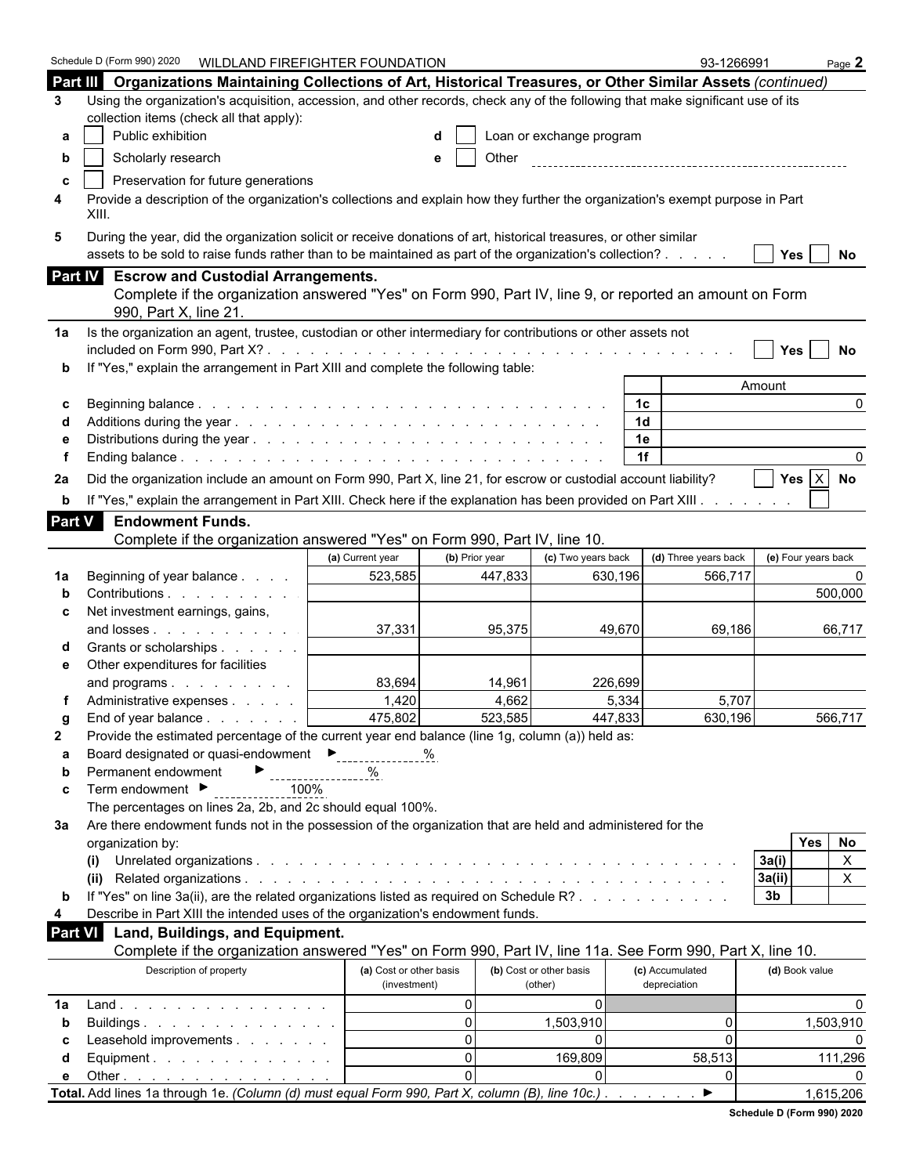|                | Schedule D (Form 990) 2020<br>WILDLAND FIREFIGHTER FOUNDATION                                                                                                                                                                |                         |                |                          |                      | 93-1266991            |                          | Page $2$     |
|----------------|------------------------------------------------------------------------------------------------------------------------------------------------------------------------------------------------------------------------------|-------------------------|----------------|--------------------------|----------------------|-----------------------|--------------------------|--------------|
|                | Part III Organizations Maintaining Collections of Art, Historical Treasures, or Other Similar Assets (continued)                                                                                                             |                         |                |                          |                      |                       |                          |              |
| 3              | Using the organization's acquisition, accession, and other records, check any of the following that make significant use of its                                                                                              |                         |                |                          |                      |                       |                          |              |
|                | collection items (check all that apply):                                                                                                                                                                                     |                         |                |                          |                      |                       |                          |              |
| а              | Public exhibition                                                                                                                                                                                                            |                         |                | Loan or exchange program |                      |                       |                          |              |
| b              | Scholarly research                                                                                                                                                                                                           |                         | Other<br>е     |                          |                      |                       |                          |              |
| c              | Preservation for future generations                                                                                                                                                                                          |                         |                |                          |                      |                       |                          |              |
| 4              | Provide a description of the organization's collections and explain how they further the organization's exempt purpose in Part<br>XIII.                                                                                      |                         |                |                          |                      |                       |                          |              |
| 5              | During the year, did the organization solicit or receive donations of art, historical treasures, or other similar<br>assets to be sold to raise funds rather than to be maintained as part of the organization's collection? |                         |                |                          |                      |                       | Yes $ $                  | No           |
|                | Part IV Escrow and Custodial Arrangements.                                                                                                                                                                                   |                         |                |                          |                      |                       |                          |              |
|                | Complete if the organization answered "Yes" on Form 990, Part IV, line 9, or reported an amount on Form<br>990, Part X, line 21                                                                                              |                         |                |                          |                      |                       |                          |              |
| 1a             | Is the organization an agent, trustee, custodian or other intermediary for contributions or other assets not                                                                                                                 |                         |                |                          |                      |                       |                          |              |
|                |                                                                                                                                                                                                                              |                         |                |                          |                      |                       | <b>Yes</b>               | No           |
| b              | If "Yes," explain the arrangement in Part XIII and complete the following table:                                                                                                                                             |                         |                |                          |                      |                       |                          |              |
|                |                                                                                                                                                                                                                              |                         |                |                          |                      |                       | Amount                   |              |
| c              |                                                                                                                                                                                                                              |                         |                |                          | 1с<br>1 <sub>d</sub> |                       |                          | 0            |
|                |                                                                                                                                                                                                                              |                         |                |                          | 1e                   |                       |                          |              |
|                |                                                                                                                                                                                                                              |                         |                |                          | 1f                   |                       |                          |              |
|                |                                                                                                                                                                                                                              |                         |                |                          |                      |                       | Yes $ X $                |              |
| 2a             | Did the organization include an amount on Form 990, Part X, line 21, for escrow or custodial account liability?                                                                                                              |                         |                |                          |                      |                       |                          | No           |
| b              | If "Yes," explain the arrangement in Part XIII. Check here if the explanation has been provided on Part XIII.                                                                                                                |                         |                |                          |                      |                       |                          |              |
| Part V         | <b>Endowment Funds.</b>                                                                                                                                                                                                      |                         |                |                          |                      |                       |                          |              |
|                | Complete if the organization answered "Yes" on Form 990, Part IV, line 10.                                                                                                                                                   |                         |                |                          |                      |                       |                          |              |
|                |                                                                                                                                                                                                                              | (a) Current year        | (b) Prior year | (c) Two years back       |                      | (d) Three years back  | (e) Four years back      |              |
| 1a             | Beginning of year balance                                                                                                                                                                                                    | 523,585                 | 447,833        | 630,196                  |                      | 566,717               |                          |              |
|                | Contributions<br>Net investment earnings, gains,                                                                                                                                                                             |                         |                |                          |                      |                       |                          | 500,000      |
| c              | and losses                                                                                                                                                                                                                   | 37,331                  | 95,375         |                          | 49,670               | 69,186                |                          | 66,717       |
|                | Grants or scholarships                                                                                                                                                                                                       |                         |                |                          |                      |                       |                          |              |
| е              | Other expenditures for facilities                                                                                                                                                                                            |                         |                |                          |                      |                       |                          |              |
|                | and programs                                                                                                                                                                                                                 | 83,694                  | 14,961         | 226.699                  |                      |                       |                          |              |
|                | Administrative expenses                                                                                                                                                                                                      | 1,420                   | 4,662          |                          | 5,334                | 5,707                 |                          |              |
| a              | End of year balance                                                                                                                                                                                                          | 475,802                 | 523,585        | 447,833                  |                      | 630,196               |                          | 566.717      |
| $\mathbf{2}$   | Provide the estimated percentage of the current year end balance (line 1g, column (a)) held as:                                                                                                                              |                         |                |                          |                      |                       |                          |              |
| а              | Board designated or quasi-endowment<br>Ferritorial Languardian                                                                                                                                                               |                         | %              |                          |                      |                       |                          |              |
| b              | Permanent endowment                                                                                                                                                                                                          |                         |                |                          |                      |                       |                          |              |
| c              | Term endowment ▶<br>100%                                                                                                                                                                                                     |                         |                |                          |                      |                       |                          |              |
|                | The percentages on lines 2a, 2b, and 2c should equal 100%.                                                                                                                                                                   |                         |                |                          |                      |                       |                          |              |
| За             | Are there endowment funds not in the possession of the organization that are held and administered for the                                                                                                                   |                         |                |                          |                      |                       |                          |              |
|                | organization by:                                                                                                                                                                                                             |                         |                |                          |                      |                       | Yes                      | No           |
|                | (i)                                                                                                                                                                                                                          |                         |                |                          |                      |                       | 3a(i)                    | $\mathsf{X}$ |
|                | (ii)<br>If "Yes" on line 3a(ii), are the related organizations listed as required on Schedule R?                                                                                                                             |                         |                |                          |                      |                       | 3a(ii)<br>3 <sub>b</sub> | X.           |
| b<br>4         | Describe in Part XIII the intended uses of the organization's endowment funds.                                                                                                                                               |                         |                |                          |                      |                       |                          |              |
| <b>Part VI</b> | Land, Buildings, and Equipment.                                                                                                                                                                                              |                         |                |                          |                      |                       |                          |              |
|                | Complete if the organization answered "Yes" on Form 990, Part IV, line 11a. See Form 990, Part X, line 10.                                                                                                                   |                         |                |                          |                      |                       |                          |              |
|                | Description of property                                                                                                                                                                                                      | (a) Cost or other basis |                | (b) Cost or other basis  | (c) Accumulated      |                       | (d) Book value           |              |
|                |                                                                                                                                                                                                                              | (investment)            |                | (other)                  | depreciation         |                       |                          |              |
| 1a             | $Land.$                                                                                                                                                                                                                      |                         | $\mathbf{0}$   | $\Omega$                 |                      |                       |                          | <sup>0</sup> |
| b              | Buildings                                                                                                                                                                                                                    |                         | $\mathbf{0}$   | 1,503,910                |                      | 0                     |                          | 1,503,910    |
| С              | Leasehold improvements                                                                                                                                                                                                       |                         | $\Omega$       | $\Omega$                 |                      | 0                     |                          |              |
| d              | Equipment.                                                                                                                                                                                                                   |                         | $\Omega$       | 169,809                  |                      | 58,513                |                          | 111,296      |
| е              | Other $\ldots$ $\ldots$ $\ldots$ $\ldots$ $\ldots$ $\ldots$                                                                                                                                                                  |                         | $\Omega$       |                          |                      | U                     |                          |              |
|                | Total. Add lines 1a through 1e. (Column (d) must equal Form 990, Part X, column (B), line 10c.).                                                                                                                             |                         |                |                          |                      | $\blacktriangleright$ |                          | 1,615,206    |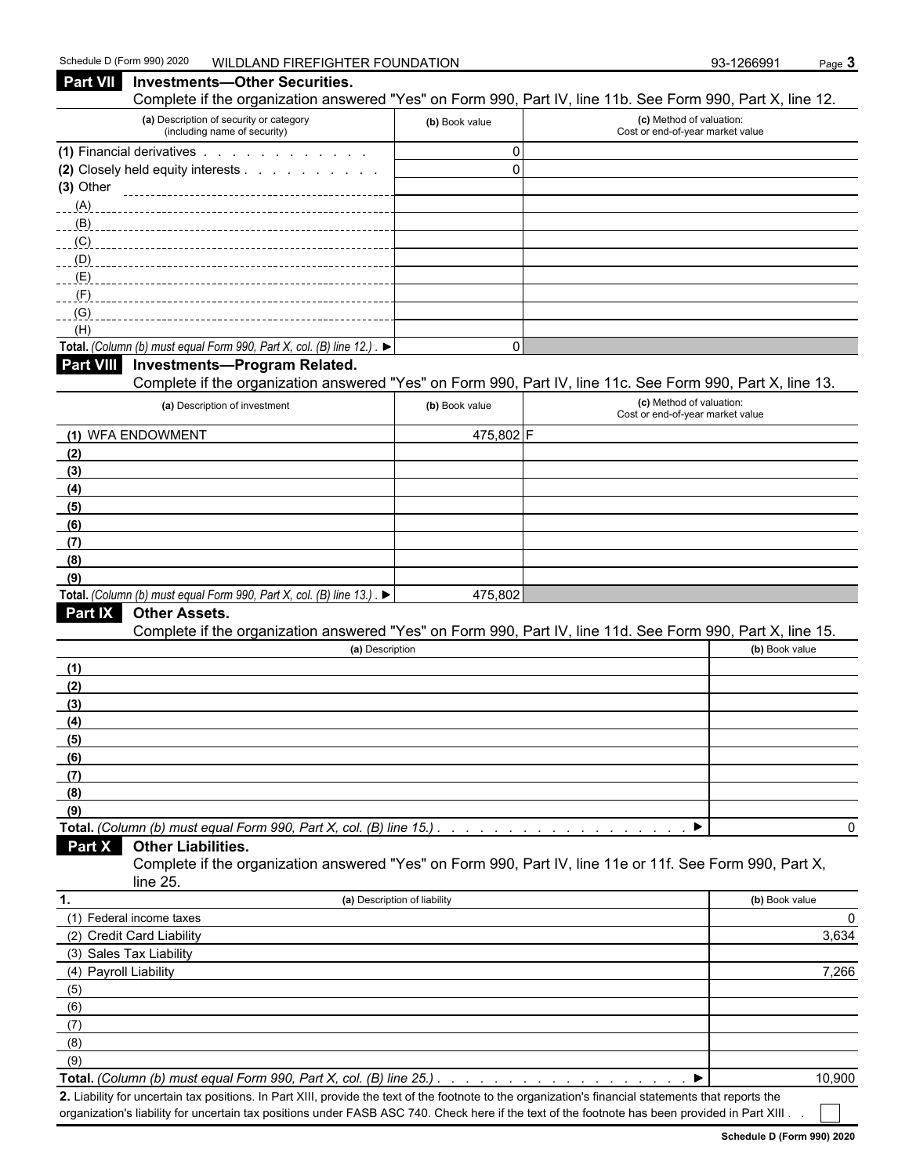**Part VII** Investments—Other Securities.

#### Complete if the organization answered "Yes" on Form 990, Part IV, line 11b. See Form 990, Part X, line 12. **(a)** Description of security or category (including name of security) **(b)** Book value **(c)** Method of valuation: Cost or end-of-year market value **(1)** Financial derivatives . . . . . . . . . . . . . . . . . 0 **(2)** Closely held equity interests . . . . . . . . . . . . . . . . . . . . . . . . . . . . . . . . . . . . . . . . . . . . . . . . . . . . . . 0 **(3)** Other (A) (B)  $(C)$ (D)  $(E)$ (F)  $(G)$ <sub>\_\_\_\_\_\_\_</sub> (H) **Total.** *(Column (b) must equal Form 990, Part X, col.* (B) line  $12.$ ) .  $\blacktriangleright$ **Part VIII Investments—Program Related.** Complete if the organization answered "Yes" on Form 990, Part IV, line 11c. See Form 990, Part X, line 13. **(a)** Description of investment **(b)** Book value **(c)** Method of valuation: Cost or end-of-year market value **(1)** WFA ENDOWMENT  $\vert$  475,802 F **(2) (3) (4) (5) (6) (7) (8) (9) Total.** *(Column (b) must equal Form 990, Part X, col. (B) line 13.)*  $\blacktriangleright$  . 475,802 **Part IX Other Assets.** Complete if the organization answered "Yes" on Form 990, Part IV, line 11d. See Form 990, Part X, line 15. **(a)** Description **(b)** Book value **(1) (2) (3) (4) (5) (6) (7) (8) (9) Total.** *(Column (b) must equal Form 990, Part X, col. (B) line 15.) . . . . . . . . . . . . . . . . . . . . . . . . . . . . . . . . . . . . . . . . . . . .* 0 **Part X Other Liabilities.** Complete if the organization answered "Yes" on Form 990, Part IV, line 11e or 11f. See Form 990, Part X, line 25. **1. (a)** Description of liability **(b)** Book value (1) Federal income taxes 0 (2) Credit Card Liability 3,634 (3) Sales Tax Liability (4) Payroll Liability 7,266 (5) (6) (7) (8) (9) **Total.** *(Column (b) must equal Form 990, Part X, col. (B) line 25.) . . . . . . . . . . . . . . . . . . . . . . . . . . . . . . . . . . . . . . . . . . . . .* 10,900

**2.** Liability for uncertain tax positions. In Part XIII, provide the text of the footnote to the organization's financial statements that reports the organization's liability for uncertain tax positions under FASB ASC 740. Check here if the text of the footnote has been provided in Part XIII.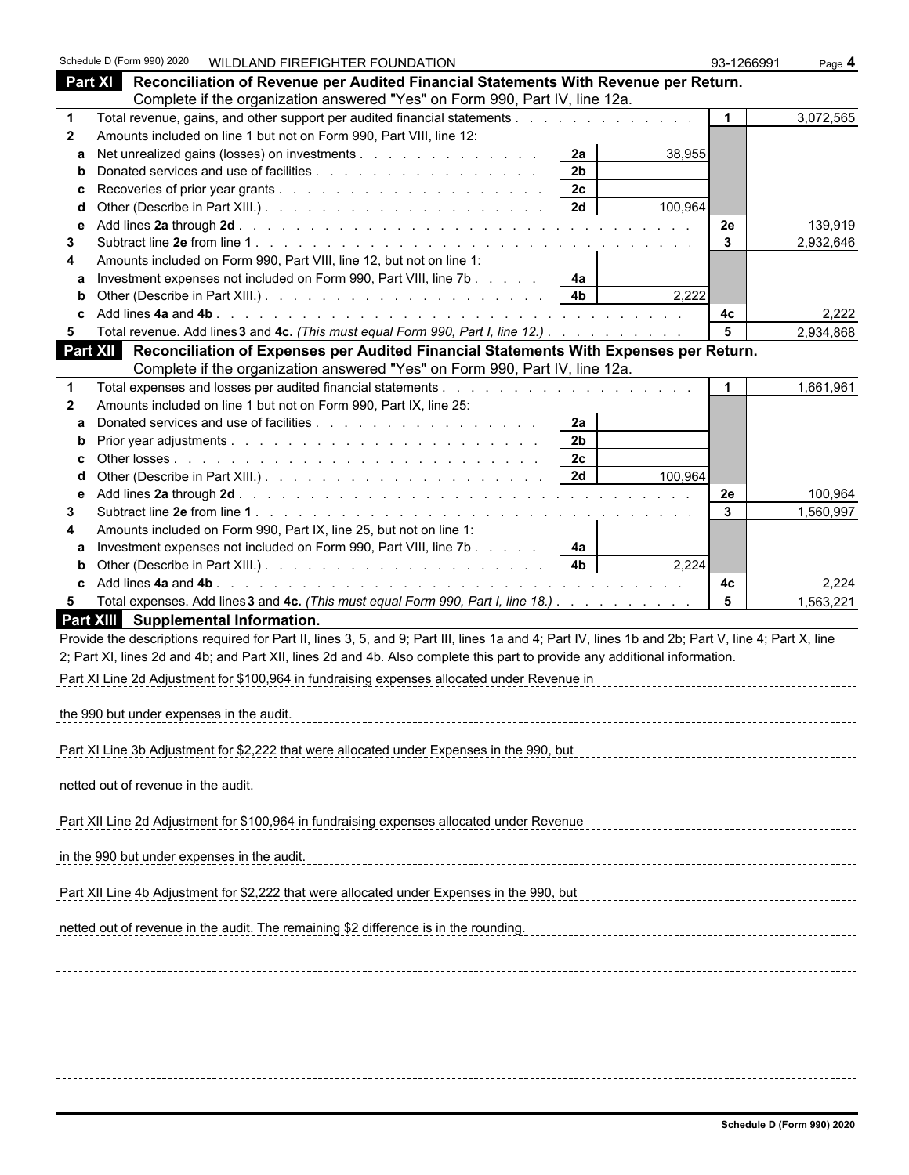|                   | Schedule D (Form 990) 2020                  | WILDLAND FIREFIGHTER FOUNDATION                                      |                                                                                                                                                    |                      |         | 93-1266991     | Page 4    |
|-------------------|---------------------------------------------|----------------------------------------------------------------------|----------------------------------------------------------------------------------------------------------------------------------------------------|----------------------|---------|----------------|-----------|
|                   |                                             |                                                                      | Part XI Reconciliation of Revenue per Audited Financial Statements With Revenue per Return.                                                        |                      |         |                |           |
|                   |                                             |                                                                      | Complete if the organization answered "Yes" on Form 990, Part IV, line 12a.                                                                        |                      |         |                |           |
| $\mathbf 1$       |                                             |                                                                      | Total revenue, gains, and other support per audited financial statements                                                                           |                      |         | $\overline{1}$ | 3,072,565 |
| $\mathbf{2}$      |                                             | Amounts included on line 1 but not on Form 990, Part VIII, line 12:  |                                                                                                                                                    |                      |         |                |           |
| a                 |                                             |                                                                      | Net unrealized gains (losses) on investments                                                                                                       | 2a                   | 38,955  |                |           |
| b                 |                                             |                                                                      |                                                                                                                                                    | 2 <sub>b</sub><br>2c |         |                |           |
| C<br>d            |                                             |                                                                      |                                                                                                                                                    | 2d                   | 100,964 |                |           |
| е                 |                                             |                                                                      |                                                                                                                                                    |                      |         | 2e             | 139,919   |
| 3                 |                                             |                                                                      |                                                                                                                                                    |                      |         | $\mathbf{3}$   | 2,932,646 |
| 4                 |                                             | Amounts included on Form 990, Part VIII, line 12, but not on line 1: |                                                                                                                                                    |                      |         |                |           |
| a                 |                                             |                                                                      | Investment expenses not included on Form 990, Part VIII, line 7b                                                                                   | 4a                   |         |                |           |
| b                 |                                             |                                                                      |                                                                                                                                                    | 4 <sub>b</sub>       | 2,222   |                |           |
| C                 |                                             |                                                                      |                                                                                                                                                    |                      |         | 4c             | 2,222     |
| 5                 |                                             |                                                                      | Total revenue. Add lines 3 and 4c. (This must equal Form 990, Part I, line 12.)                                                                    |                      |         | 5              | 2,934,868 |
| Part XII          |                                             |                                                                      | Reconciliation of Expenses per Audited Financial Statements With Expenses per Return.                                                              |                      |         |                |           |
|                   |                                             |                                                                      | Complete if the organization answered "Yes" on Form 990, Part IV, line 12a.                                                                        |                      |         |                |           |
| 1                 |                                             | Amounts included on line 1 but not on Form 990, Part IX, line 25:    |                                                                                                                                                    |                      |         |                | 1,661,961 |
| $\mathbf{2}$<br>a |                                             |                                                                      |                                                                                                                                                    | 2a                   |         |                |           |
| $\mathbf b$       |                                             |                                                                      |                                                                                                                                                    | 2 <sub>b</sub>       |         |                |           |
| c                 |                                             |                                                                      |                                                                                                                                                    | 2c                   |         |                |           |
| d                 |                                             |                                                                      |                                                                                                                                                    | 2d                   | 100,964 |                |           |
| е                 |                                             |                                                                      |                                                                                                                                                    |                      |         | 2e             | 100,964   |
| 3                 |                                             |                                                                      |                                                                                                                                                    |                      |         | 3              | 1,560,997 |
| 4                 |                                             | Amounts included on Form 990, Part IX, line 25, but not on line 1:   |                                                                                                                                                    |                      |         |                |           |
| a                 |                                             |                                                                      | Investment expenses not included on Form 990, Part VIII, line 7b                                                                                   | 4a                   |         |                |           |
| b                 |                                             |                                                                      |                                                                                                                                                    | 4 <sub>b</sub>       | 2,224   |                |           |
| c                 |                                             |                                                                      |                                                                                                                                                    |                      |         | 4с             | 2,224     |
| 5                 |                                             |                                                                      | Total expenses. Add lines 3 and 4c. (This must equal Form 990, Part I, line 18.)                                                                   |                      |         | 5              | 1,563,221 |
|                   | Part XIII Supplemental Information.         |                                                                      |                                                                                                                                                    |                      |         |                |           |
|                   |                                             |                                                                      | Provide the descriptions required for Part II, lines 3, 5, and 9; Part III, lines 1a and 4; Part IV, lines 1b and 2b; Part V, line 4; Part X, line |                      |         |                |           |
|                   |                                             |                                                                      | 2; Part XI, lines 2d and 4b; and Part XII, lines 2d and 4b. Also complete this part to provide any additional information.                         |                      |         |                |           |
|                   |                                             |                                                                      | Part XI Line 2d Adjustment for \$100,964 in fundraising expenses allocated under Revenue in                                                        |                      |         |                |           |
|                   | the 990 but under expenses in the audit.    |                                                                      |                                                                                                                                                    |                      |         |                |           |
|                   |                                             |                                                                      |                                                                                                                                                    |                      |         |                |           |
|                   |                                             |                                                                      | Part XI Line 3b Adjustment for \$2,222 that were allocated under Expenses in the 990, but                                                          |                      |         |                |           |
|                   |                                             |                                                                      |                                                                                                                                                    |                      |         |                |           |
|                   | netted out of revenue in the audit.         |                                                                      |                                                                                                                                                    |                      |         |                |           |
|                   |                                             |                                                                      |                                                                                                                                                    |                      |         |                |           |
|                   |                                             |                                                                      | Part XII Line 2d Adjustment for \$100,964 in fundraising expenses allocated under Revenue                                                          |                      |         |                |           |
|                   |                                             |                                                                      |                                                                                                                                                    |                      |         |                |           |
|                   | in the 990 but under expenses in the audit. |                                                                      |                                                                                                                                                    |                      |         |                |           |
|                   |                                             |                                                                      |                                                                                                                                                    |                      |         |                |           |
|                   |                                             |                                                                      | Part XII Line 4b Adjustment for \$2,222 that were allocated under Expenses in the 990, but                                                         |                      |         |                |           |
|                   |                                             |                                                                      | netted out of revenue in the audit. The remaining \$2 difference is in the rounding.                                                               |                      |         |                |           |
|                   |                                             |                                                                      |                                                                                                                                                    |                      |         |                |           |
|                   |                                             |                                                                      |                                                                                                                                                    |                      |         |                |           |
|                   |                                             |                                                                      |                                                                                                                                                    |                      |         |                |           |
|                   |                                             |                                                                      |                                                                                                                                                    |                      |         |                |           |
|                   |                                             |                                                                      |                                                                                                                                                    |                      |         |                |           |
|                   |                                             |                                                                      |                                                                                                                                                    |                      |         |                |           |
|                   |                                             |                                                                      |                                                                                                                                                    |                      |         |                |           |
|                   |                                             |                                                                      |                                                                                                                                                    |                      |         |                |           |
|                   |                                             |                                                                      |                                                                                                                                                    |                      |         |                |           |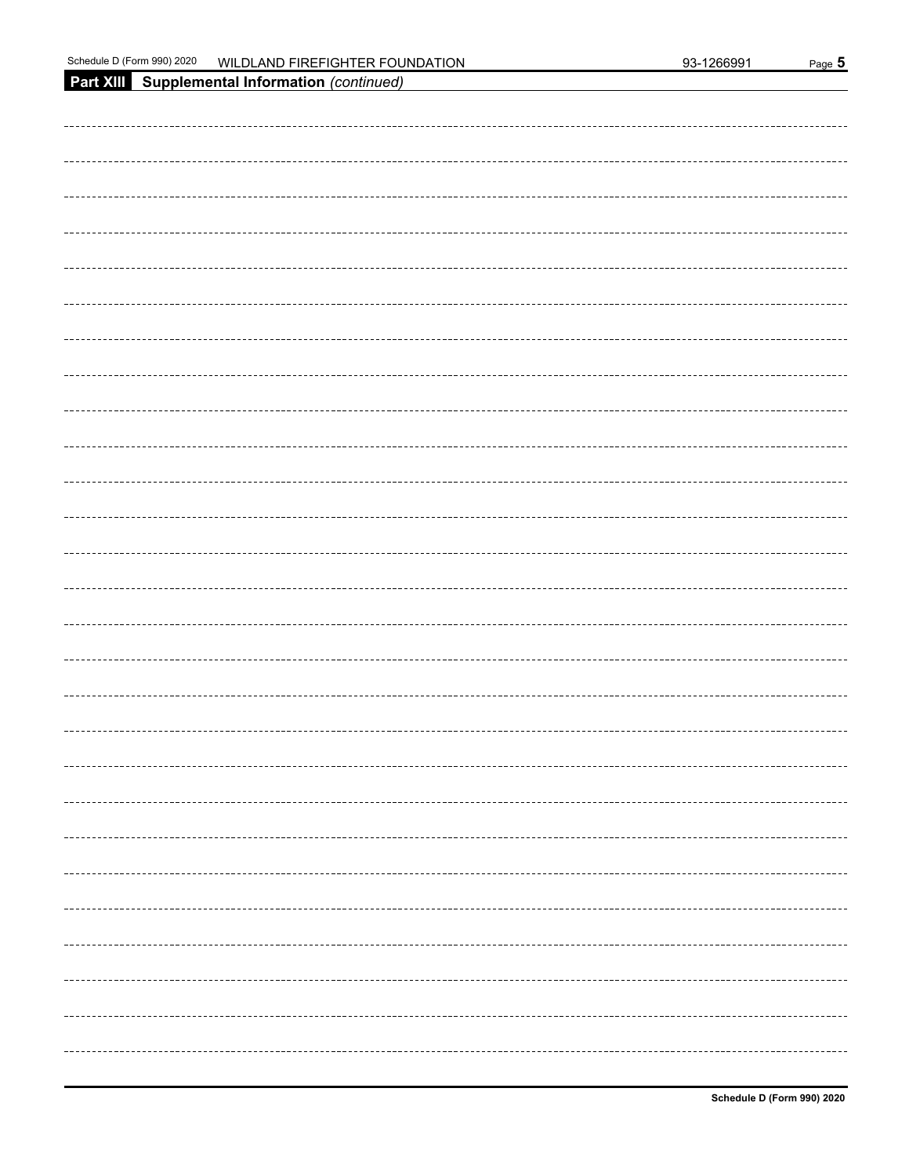| Part XIII Supplemental Information (continued) |
|------------------------------------------------|
|                                                |
|                                                |
|                                                |
|                                                |
|                                                |
|                                                |
|                                                |
|                                                |
|                                                |
|                                                |
|                                                |
|                                                |
|                                                |
|                                                |
|                                                |
|                                                |
|                                                |
|                                                |
|                                                |
|                                                |
|                                                |
|                                                |
|                                                |
|                                                |
|                                                |
|                                                |
|                                                |
|                                                |
|                                                |
|                                                |
|                                                |
|                                                |
|                                                |
|                                                |
|                                                |
|                                                |
|                                                |
|                                                |
|                                                |
|                                                |
|                                                |
| ----------------                               |
|                                                |
|                                                |
|                                                |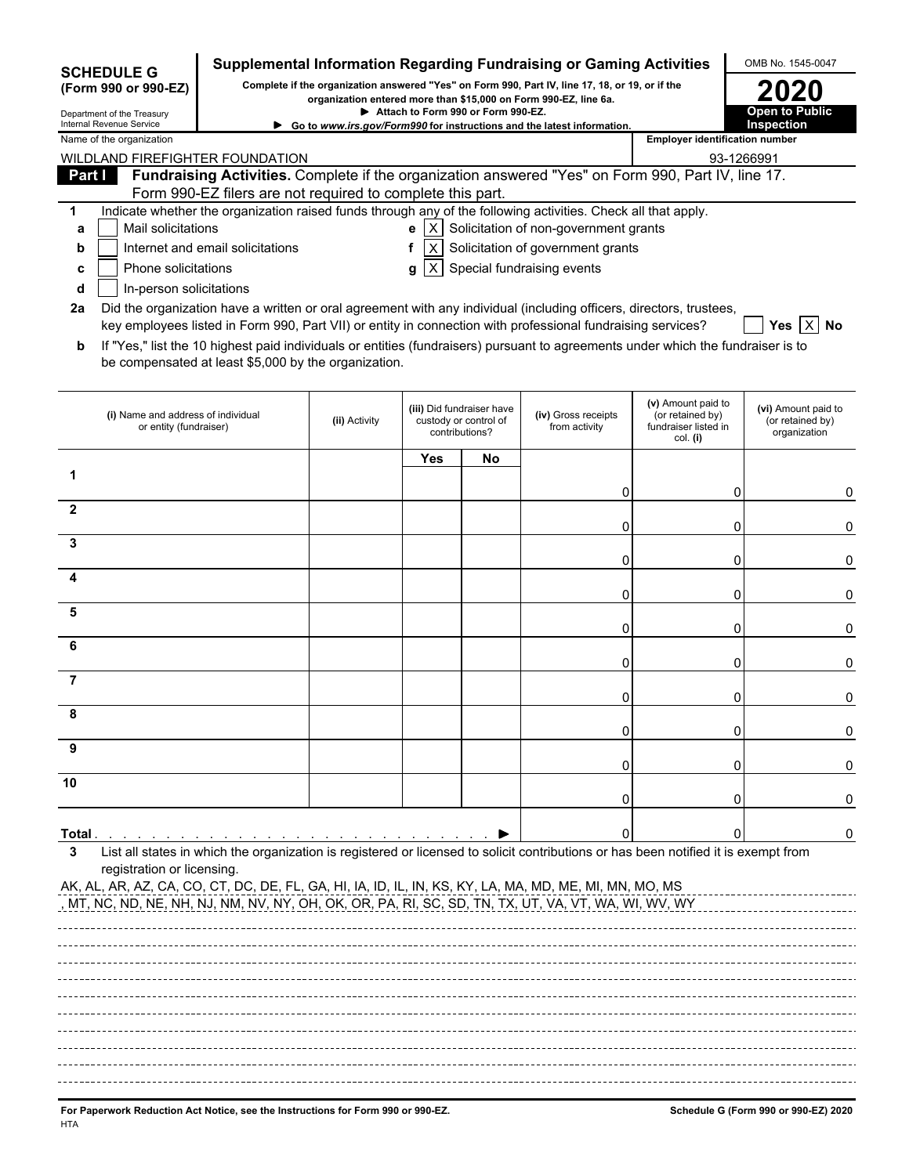| <b>SCHEDULE G</b>                                                                                                                                                                                                                                        |                                                                                                                                                                  |                                                                                                                                                                     |                                    |                                                                      | Supplemental Information Regarding Fundraising or Gaming Activities    |                                                                            | OMB No. 1545-0047                                       |  |  |  |  |
|----------------------------------------------------------------------------------------------------------------------------------------------------------------------------------------------------------------------------------------------------------|------------------------------------------------------------------------------------------------------------------------------------------------------------------|---------------------------------------------------------------------------------------------------------------------------------------------------------------------|------------------------------------|----------------------------------------------------------------------|------------------------------------------------------------------------|----------------------------------------------------------------------------|---------------------------------------------------------|--|--|--|--|
| (Form 990 or 990-EZ)                                                                                                                                                                                                                                     |                                                                                                                                                                  | Complete if the organization answered "Yes" on Form 990, Part IV, line 17, 18, or 19, or if the<br>organization entered more than \$15,000 on Form 990-EZ, line 6a. |                                    |                                                                      |                                                                        |                                                                            |                                                         |  |  |  |  |
| Department of the Treasury<br>Internal Revenue Service                                                                                                                                                                                                   |                                                                                                                                                                  |                                                                                                                                                                     | Attach to Form 990 or Form 990-EZ. |                                                                      | Go to www.irs.gov/Form990 for instructions and the latest information. |                                                                            | <b>Open to Public</b><br><b>Inspection</b>              |  |  |  |  |
| Name of the organization                                                                                                                                                                                                                                 |                                                                                                                                                                  |                                                                                                                                                                     |                                    |                                                                      |                                                                        | <b>Employer identification number</b>                                      |                                                         |  |  |  |  |
| WILDLAND FIREFIGHTER FOUNDATION                                                                                                                                                                                                                          |                                                                                                                                                                  |                                                                                                                                                                     |                                    |                                                                      |                                                                        |                                                                            | 93-1266991                                              |  |  |  |  |
| Part I                                                                                                                                                                                                                                                   | Fundraising Activities. Complete if the organization answered "Yes" on Form 990, Part IV, line 17.<br>Form 990-EZ filers are not required to complete this part. |                                                                                                                                                                     |                                    |                                                                      |                                                                        |                                                                            |                                                         |  |  |  |  |
| 1                                                                                                                                                                                                                                                        | Indicate whether the organization raised funds through any of the following activities. Check all that apply.                                                    |                                                                                                                                                                     |                                    |                                                                      |                                                                        |                                                                            |                                                         |  |  |  |  |
| Mail solicitations<br>а                                                                                                                                                                                                                                  |                                                                                                                                                                  |                                                                                                                                                                     | e                                  |                                                                      | $ X $ Solicitation of non-government grants                            |                                                                            |                                                         |  |  |  |  |
| b                                                                                                                                                                                                                                                        | Internet and email solicitations                                                                                                                                 |                                                                                                                                                                     | f                                  |                                                                      | $ X $ Solicitation of government grants                                |                                                                            |                                                         |  |  |  |  |
| Phone solicitations<br>c                                                                                                                                                                                                                                 |                                                                                                                                                                  |                                                                                                                                                                     | l X I<br>g                         |                                                                      | Special fundraising events                                             |                                                                            |                                                         |  |  |  |  |
| In-person solicitations<br>d                                                                                                                                                                                                                             |                                                                                                                                                                  |                                                                                                                                                                     |                                    |                                                                      |                                                                        |                                                                            |                                                         |  |  |  |  |
| Did the organization have a written or oral agreement with any individual (including officers, directors, trustees,<br>2a<br>key employees listed in Form 990, Part VII) or entity in connection with professional fundraising services?<br>Yes $ X $ No |                                                                                                                                                                  |                                                                                                                                                                     |                                    |                                                                      |                                                                        |                                                                            |                                                         |  |  |  |  |
| b                                                                                                                                                                                                                                                        | If "Yes," list the 10 highest paid individuals or entities (fundraisers) pursuant to agreements under which the fundraiser is to                                 |                                                                                                                                                                     |                                    |                                                                      |                                                                        |                                                                            |                                                         |  |  |  |  |
|                                                                                                                                                                                                                                                          | be compensated at least \$5,000 by the organization.                                                                                                             |                                                                                                                                                                     |                                    |                                                                      |                                                                        |                                                                            |                                                         |  |  |  |  |
| (i) Name and address of individual<br>or entity (fundraiser)                                                                                                                                                                                             |                                                                                                                                                                  | (ii) Activity                                                                                                                                                       |                                    | (iii) Did fundraiser have<br>custody or control of<br>contributions? | (iv) Gross receipts<br>from activity                                   | (v) Amount paid to<br>(or retained by)<br>fundraiser listed in<br>col. (i) | (vi) Amount paid to<br>(or retained by)<br>organization |  |  |  |  |
|                                                                                                                                                                                                                                                          |                                                                                                                                                                  |                                                                                                                                                                     | <b>Yes</b>                         | No                                                                   |                                                                        |                                                                            |                                                         |  |  |  |  |
| 1                                                                                                                                                                                                                                                        |                                                                                                                                                                  |                                                                                                                                                                     |                                    |                                                                      |                                                                        |                                                                            |                                                         |  |  |  |  |
| $\mathbf{2}$                                                                                                                                                                                                                                             |                                                                                                                                                                  |                                                                                                                                                                     |                                    |                                                                      | 0                                                                      | 0                                                                          | 0                                                       |  |  |  |  |
|                                                                                                                                                                                                                                                          |                                                                                                                                                                  |                                                                                                                                                                     |                                    |                                                                      | 0                                                                      | 0                                                                          | 0                                                       |  |  |  |  |
| 3                                                                                                                                                                                                                                                        |                                                                                                                                                                  |                                                                                                                                                                     |                                    |                                                                      |                                                                        |                                                                            |                                                         |  |  |  |  |
|                                                                                                                                                                                                                                                          |                                                                                                                                                                  |                                                                                                                                                                     |                                    |                                                                      | 0                                                                      | 0                                                                          | 0                                                       |  |  |  |  |
|                                                                                                                                                                                                                                                          |                                                                                                                                                                  |                                                                                                                                                                     |                                    |                                                                      | 0                                                                      | 0                                                                          | 0                                                       |  |  |  |  |
| 5                                                                                                                                                                                                                                                        |                                                                                                                                                                  |                                                                                                                                                                     |                                    |                                                                      |                                                                        |                                                                            |                                                         |  |  |  |  |
|                                                                                                                                                                                                                                                          |                                                                                                                                                                  |                                                                                                                                                                     |                                    |                                                                      | 0                                                                      | 0                                                                          | 0                                                       |  |  |  |  |
| 6                                                                                                                                                                                                                                                        |                                                                                                                                                                  |                                                                                                                                                                     |                                    |                                                                      | 0                                                                      | 0                                                                          | 0                                                       |  |  |  |  |
| 7                                                                                                                                                                                                                                                        |                                                                                                                                                                  |                                                                                                                                                                     |                                    |                                                                      |                                                                        |                                                                            |                                                         |  |  |  |  |
|                                                                                                                                                                                                                                                          |                                                                                                                                                                  |                                                                                                                                                                     |                                    |                                                                      | 0                                                                      | 0                                                                          | 0                                                       |  |  |  |  |
|                                                                                                                                                                                                                                                          |                                                                                                                                                                  |                                                                                                                                                                     |                                    |                                                                      |                                                                        |                                                                            |                                                         |  |  |  |  |
| 9                                                                                                                                                                                                                                                        |                                                                                                                                                                  |                                                                                                                                                                     |                                    |                                                                      | 0                                                                      | 0                                                                          | 0                                                       |  |  |  |  |
|                                                                                                                                                                                                                                                          |                                                                                                                                                                  |                                                                                                                                                                     |                                    |                                                                      | 0                                                                      | 0                                                                          |                                                         |  |  |  |  |
| 10                                                                                                                                                                                                                                                       |                                                                                                                                                                  |                                                                                                                                                                     |                                    |                                                                      |                                                                        |                                                                            |                                                         |  |  |  |  |
|                                                                                                                                                                                                                                                          |                                                                                                                                                                  |                                                                                                                                                                     |                                    |                                                                      | 0                                                                      | Ω                                                                          | 0                                                       |  |  |  |  |
| Total .                                                                                                                                                                                                                                                  |                                                                                                                                                                  |                                                                                                                                                                     |                                    |                                                                      | 0                                                                      |                                                                            | 0                                                       |  |  |  |  |
| 3                                                                                                                                                                                                                                                        | List all states in which the organization is registered or licensed to solicit contributions or has been notified it is exempt from                              |                                                                                                                                                                     |                                    |                                                                      |                                                                        |                                                                            |                                                         |  |  |  |  |
| registration or licensing.                                                                                                                                                                                                                               |                                                                                                                                                                  |                                                                                                                                                                     |                                    |                                                                      |                                                                        |                                                                            |                                                         |  |  |  |  |
| AK, AL, AR, AZ, CA, CO, CT, DC, DE, FL, GA, HI, IA, ID, IL, IN, KS, KY, LA, MA, MD, ME, MI, MN, MO, MS<br><u>, MT, NC, ND, NE, NH, NJ, NM, NV, NY, OH, OK, OR, PA, RI, SC, SD, TN, TX, UT, VA, VT, WA, WI, WV, WY</u>                                    |                                                                                                                                                                  |                                                                                                                                                                     |                                    |                                                                      |                                                                        |                                                                            |                                                         |  |  |  |  |
|                                                                                                                                                                                                                                                          |                                                                                                                                                                  |                                                                                                                                                                     |                                    |                                                                      |                                                                        |                                                                            |                                                         |  |  |  |  |
|                                                                                                                                                                                                                                                          |                                                                                                                                                                  |                                                                                                                                                                     |                                    |                                                                      |                                                                        |                                                                            |                                                         |  |  |  |  |
|                                                                                                                                                                                                                                                          |                                                                                                                                                                  |                                                                                                                                                                     |                                    |                                                                      |                                                                        |                                                                            |                                                         |  |  |  |  |
|                                                                                                                                                                                                                                                          |                                                                                                                                                                  |                                                                                                                                                                     |                                    |                                                                      |                                                                        |                                                                            |                                                         |  |  |  |  |
|                                                                                                                                                                                                                                                          |                                                                                                                                                                  |                                                                                                                                                                     |                                    |                                                                      |                                                                        |                                                                            |                                                         |  |  |  |  |
|                                                                                                                                                                                                                                                          |                                                                                                                                                                  |                                                                                                                                                                     |                                    |                                                                      |                                                                        |                                                                            |                                                         |  |  |  |  |
|                                                                                                                                                                                                                                                          |                                                                                                                                                                  |                                                                                                                                                                     |                                    |                                                                      |                                                                        |                                                                            |                                                         |  |  |  |  |
|                                                                                                                                                                                                                                                          |                                                                                                                                                                  |                                                                                                                                                                     |                                    |                                                                      |                                                                        |                                                                            |                                                         |  |  |  |  |
|                                                                                                                                                                                                                                                          |                                                                                                                                                                  |                                                                                                                                                                     |                                    |                                                                      |                                                                        |                                                                            |                                                         |  |  |  |  |
| For Panerwork Reduction Act Notice, see the Instructions for Form 990 or 990-FZ                                                                                                                                                                          |                                                                                                                                                                  |                                                                                                                                                                     |                                    |                                                                      |                                                                        |                                                                            | Schedule G (Form 990 or 990-F7) 2020                    |  |  |  |  |

**For Paperwork Reduction Act Notice, see the Instructions for Form 990 or 990-EZ. Schedule G (Form 990 or 990-EZ) 2020** HTA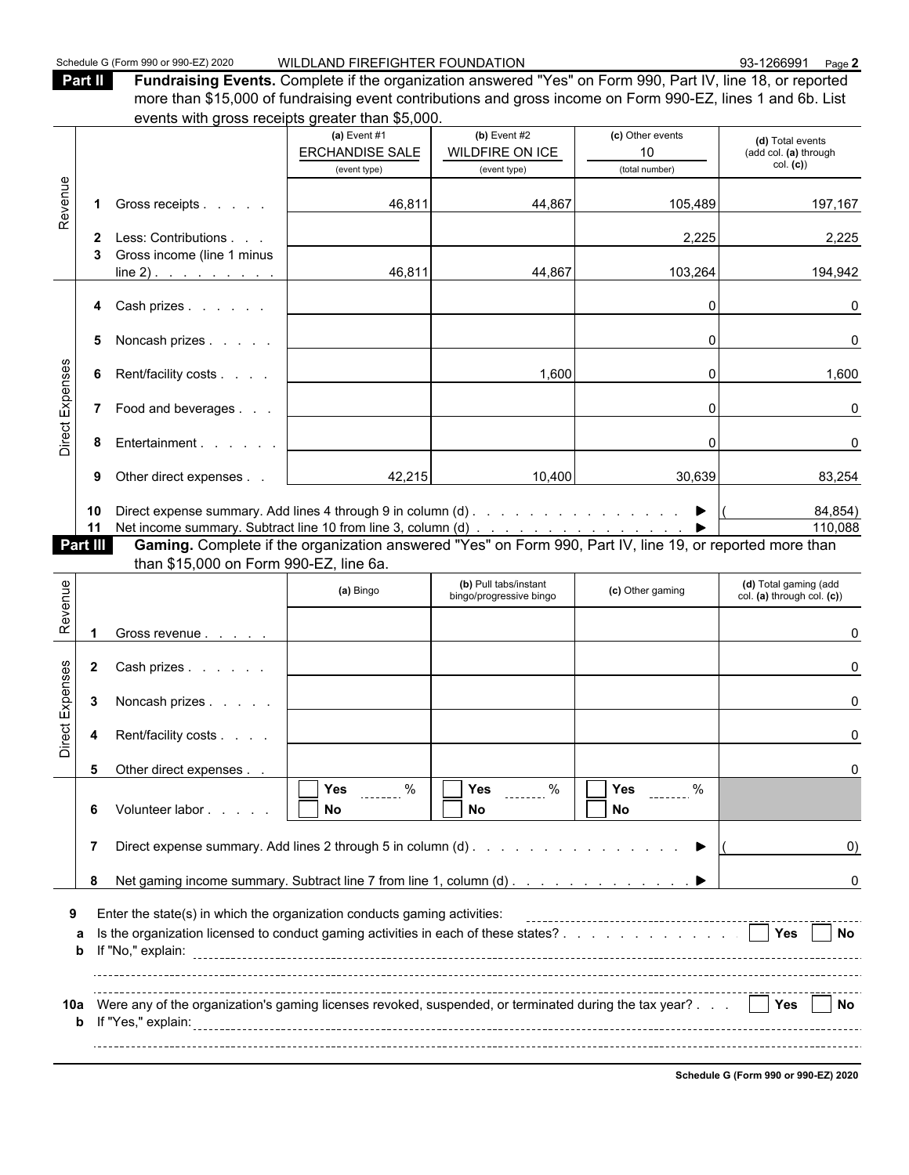| Part II | Fundraising Events. Complete if the organization answered "Yes" on Form 990, Part IV, line 18, or reported  |
|---------|-------------------------------------------------------------------------------------------------------------|
|         | more than \$15,000 of fundraising event contributions and gross income on Form 990-EZ, lines 1 and 6b. List |
|         | events with gross receipts greater than \$5,000.                                                            |

| Revenue<br>Direct Expenses<br>Revenue<br>Direct Expenses |                                                                                                                                                                                   | events with gross receipts greater than \$0,000.                                                                                                                                           |                                        |                                                  |                            |                                                     |  |  |
|----------------------------------------------------------|-----------------------------------------------------------------------------------------------------------------------------------------------------------------------------------|--------------------------------------------------------------------------------------------------------------------------------------------------------------------------------------------|----------------------------------------|--------------------------------------------------|----------------------------|-----------------------------------------------------|--|--|
|                                                          |                                                                                                                                                                                   |                                                                                                                                                                                            | (a) Event $#1$                         | (b) Event $#2$                                   | (c) Other events           | (d) Total events                                    |  |  |
| Part III                                                 |                                                                                                                                                                                   |                                                                                                                                                                                            | <b>ERCHANDISE SALE</b><br>(event type) | WILDFIRE ON ICE<br>(event type)                  | 10<br>(total number)       | (add col. (a) through<br>col. (c)                   |  |  |
|                                                          |                                                                                                                                                                                   |                                                                                                                                                                                            |                                        |                                                  |                            |                                                     |  |  |
|                                                          | 1.                                                                                                                                                                                | Gross receipts                                                                                                                                                                             | 46,811                                 | 44,867                                           | 105,489                    | 197,167                                             |  |  |
|                                                          | 2                                                                                                                                                                                 | Less: Contributions                                                                                                                                                                        |                                        |                                                  | 2,225                      | 2,225                                               |  |  |
|                                                          |                                                                                                                                                                                   | Gross income (line 1 minus<br>$line 2)$ .                                                                                                                                                  | 46,811                                 | 44,867                                           | 103,264                    | 194,942                                             |  |  |
|                                                          |                                                                                                                                                                                   | 4 Cash prizes                                                                                                                                                                              |                                        |                                                  |                            | 0                                                   |  |  |
|                                                          | 5                                                                                                                                                                                 | Noncash prizes                                                                                                                                                                             |                                        |                                                  | $\Omega$                   | 0                                                   |  |  |
|                                                          | 6                                                                                                                                                                                 | Rent/facility costs                                                                                                                                                                        |                                        | 1,600                                            | ΩI                         | 1,600                                               |  |  |
|                                                          |                                                                                                                                                                                   | 7 Food and beverages                                                                                                                                                                       |                                        |                                                  | 0                          | 0                                                   |  |  |
|                                                          | 8                                                                                                                                                                                 | Entertainment                                                                                                                                                                              |                                        |                                                  | O                          | 0                                                   |  |  |
|                                                          | 9                                                                                                                                                                                 | Other direct expenses                                                                                                                                                                      | 42,215                                 | 10,400                                           | 30,639                     | 83,254                                              |  |  |
|                                                          | 10<br>11                                                                                                                                                                          |                                                                                                                                                                                            |                                        |                                                  |                            | 84,854)<br>110,088                                  |  |  |
|                                                          |                                                                                                                                                                                   | Net income summary. Subtract line 10 from line 3, column (d) ▶   110, (<br><b>Gaming.</b> Complete if the organization answered "Yes" on Form 990, Part IV, line 19, or reported more than |                                        |                                                  |                            |                                                     |  |  |
|                                                          |                                                                                                                                                                                   | than \$15,000 on Form 990-EZ, line 6a.                                                                                                                                                     |                                        |                                                  |                            |                                                     |  |  |
|                                                          |                                                                                                                                                                                   |                                                                                                                                                                                            | (a) Bingo                              | (b) Pull tabs/instant<br>bingo/progressive bingo | (c) Other gaming           | (d) Total gaming (add<br>col. (a) through col. (c)) |  |  |
|                                                          | $\blacktriangleleft$                                                                                                                                                              | Gross revenue                                                                                                                                                                              |                                        |                                                  |                            | U                                                   |  |  |
|                                                          | $\mathbf{2}$                                                                                                                                                                      | Cash prizes                                                                                                                                                                                |                                        |                                                  |                            |                                                     |  |  |
|                                                          | 3                                                                                                                                                                                 | Noncash prizes                                                                                                                                                                             |                                        |                                                  |                            |                                                     |  |  |
|                                                          | 4                                                                                                                                                                                 | Rent/facility costs                                                                                                                                                                        |                                        |                                                  |                            |                                                     |  |  |
|                                                          |                                                                                                                                                                                   | 5 Other direct expenses                                                                                                                                                                    |                                        |                                                  |                            |                                                     |  |  |
|                                                          | 6                                                                                                                                                                                 | Volunteer labor                                                                                                                                                                            | $\Box$<br>$\%$<br>Yes<br>No            | $\Box$ $\Box$<br>$\%$<br>Yes<br>No               | $\Box$<br>Yes<br><b>No</b> |                                                     |  |  |
|                                                          | 7                                                                                                                                                                                 | Direct expense summary. Add lines 2 through 5 in column (d)                                                                                                                                |                                        |                                                  |                            | O)                                                  |  |  |
|                                                          | Net gaming income summary. Subtract line 7 from line 1, column (d)<br>8<br>0                                                                                                      |                                                                                                                                                                                            |                                        |                                                  |                            |                                                     |  |  |
| 9                                                        |                                                                                                                                                                                   |                                                                                                                                                                                            |                                        |                                                  |                            |                                                     |  |  |
| a<br>b                                                   | Enter the state(s) in which the organization conducts gaming activities:<br>Is the organization licensed to conduct gaming activities in each of these states?<br>$ $ Yes<br>∣ No |                                                                                                                                                                                            |                                        |                                                  |                            |                                                     |  |  |
|                                                          |                                                                                                                                                                                   |                                                                                                                                                                                            |                                        |                                                  |                            |                                                     |  |  |
| 10a                                                      | Were any of the organization's gaming licenses revoked, suspended, or terminated during the tax year? $\therefore$     Yes     No                                                 |                                                                                                                                                                                            |                                        |                                                  |                            |                                                     |  |  |

**Schedule G (Form 990 or 990-EZ) 2020**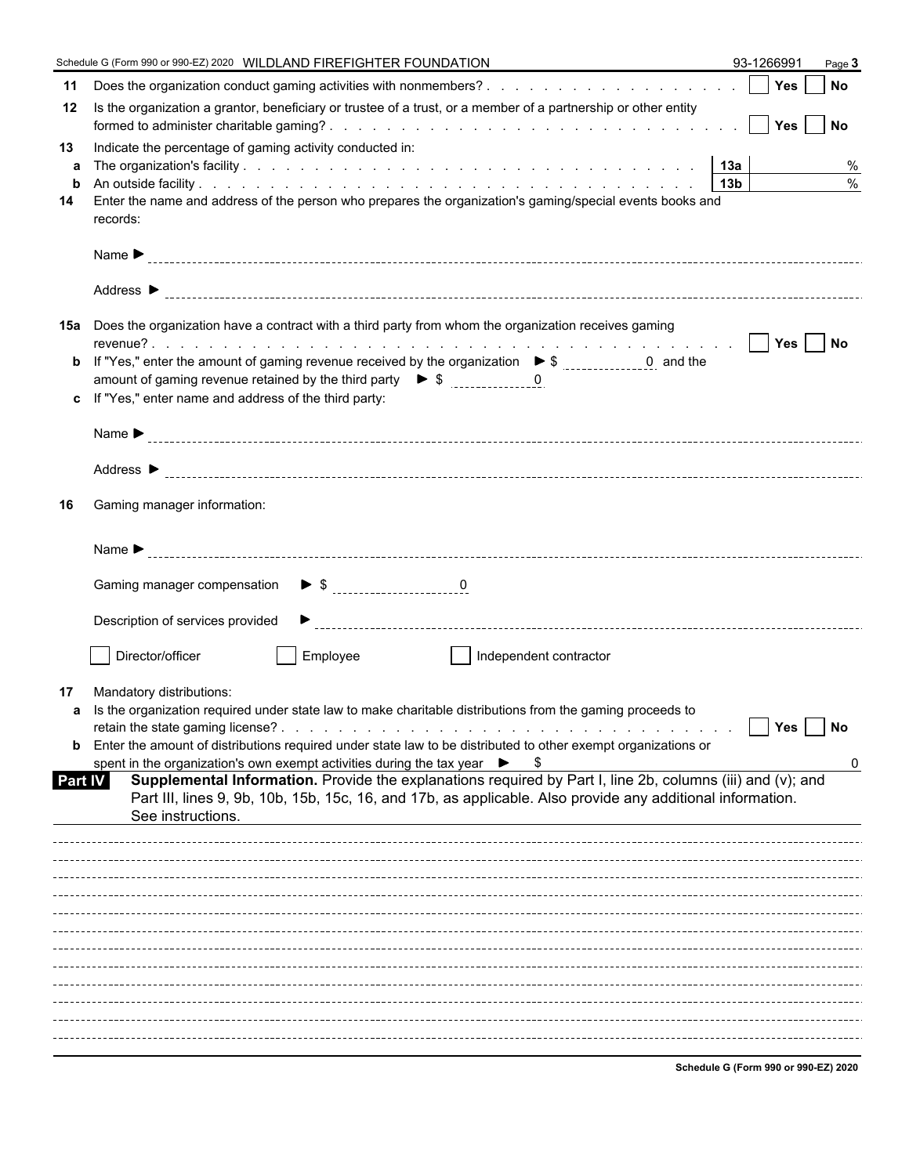| 11<br>Is the organization a grantor, beneficiary or trustee of a trust, or a member of a partnership or other entity<br>12<br>Indicate the percentage of gaming activity conducted in:<br>13<br>%<br>a<br>$\frac{0}{0}$<br>b<br>Enter the name and address of the person who prepares the organization's gaming/special events books and<br>14<br>records:<br>15a Does the organization have a contract with a third party from whom the organization receives gaming |
|-----------------------------------------------------------------------------------------------------------------------------------------------------------------------------------------------------------------------------------------------------------------------------------------------------------------------------------------------------------------------------------------------------------------------------------------------------------------------|
|                                                                                                                                                                                                                                                                                                                                                                                                                                                                       |
|                                                                                                                                                                                                                                                                                                                                                                                                                                                                       |
|                                                                                                                                                                                                                                                                                                                                                                                                                                                                       |
|                                                                                                                                                                                                                                                                                                                                                                                                                                                                       |
|                                                                                                                                                                                                                                                                                                                                                                                                                                                                       |
|                                                                                                                                                                                                                                                                                                                                                                                                                                                                       |
|                                                                                                                                                                                                                                                                                                                                                                                                                                                                       |
|                                                                                                                                                                                                                                                                                                                                                                                                                                                                       |
| If "Yes," enter the amount of gaming revenue received by the organization $\triangleright$ \$ ______________0 and the                                                                                                                                                                                                                                                                                                                                                 |
| b<br>amount of gaming revenue retained by the third party $\triangleright$ \$ 0                                                                                                                                                                                                                                                                                                                                                                                       |
| If "Yes," enter name and address of the third party:<br>c.                                                                                                                                                                                                                                                                                                                                                                                                            |
|                                                                                                                                                                                                                                                                                                                                                                                                                                                                       |
|                                                                                                                                                                                                                                                                                                                                                                                                                                                                       |
| Gaming manager information:<br>16                                                                                                                                                                                                                                                                                                                                                                                                                                     |
|                                                                                                                                                                                                                                                                                                                                                                                                                                                                       |
|                                                                                                                                                                                                                                                                                                                                                                                                                                                                       |
| Description of services provided                                                                                                                                                                                                                                                                                                                                                                                                                                      |
| Director/officer<br>Employee<br>Independent contractor                                                                                                                                                                                                                                                                                                                                                                                                                |
| Mandatory distributions:<br>17                                                                                                                                                                                                                                                                                                                                                                                                                                        |
| a Is the organization required under state law to make charitable distributions from the gaming proceeds to                                                                                                                                                                                                                                                                                                                                                           |
| Yes<br><b>No</b><br>Enter the amount of distributions required under state law to be distributed to other exempt organizations or<br>b                                                                                                                                                                                                                                                                                                                                |
| spent in the organization's own exempt activities during the tax year $\triangleright$ \$<br>0                                                                                                                                                                                                                                                                                                                                                                        |
| Supplemental Information. Provide the explanations required by Part I, line 2b, columns (iii) and (v); and<br>Part IV<br>Part III, lines 9, 9b, 10b, 15b, 15c, 16, and 17b, as applicable. Also provide any additional information.<br>See instructions.                                                                                                                                                                                                              |
|                                                                                                                                                                                                                                                                                                                                                                                                                                                                       |
|                                                                                                                                                                                                                                                                                                                                                                                                                                                                       |
|                                                                                                                                                                                                                                                                                                                                                                                                                                                                       |
|                                                                                                                                                                                                                                                                                                                                                                                                                                                                       |
|                                                                                                                                                                                                                                                                                                                                                                                                                                                                       |
|                                                                                                                                                                                                                                                                                                                                                                                                                                                                       |
|                                                                                                                                                                                                                                                                                                                                                                                                                                                                       |
|                                                                                                                                                                                                                                                                                                                                                                                                                                                                       |
|                                                                                                                                                                                                                                                                                                                                                                                                                                                                       |
| Schodule C (Form 000 or 000 EZ) 2020                                                                                                                                                                                                                                                                                                                                                                                                                                  |

**Schedule G (Form 990 or 990-EZ) 2020**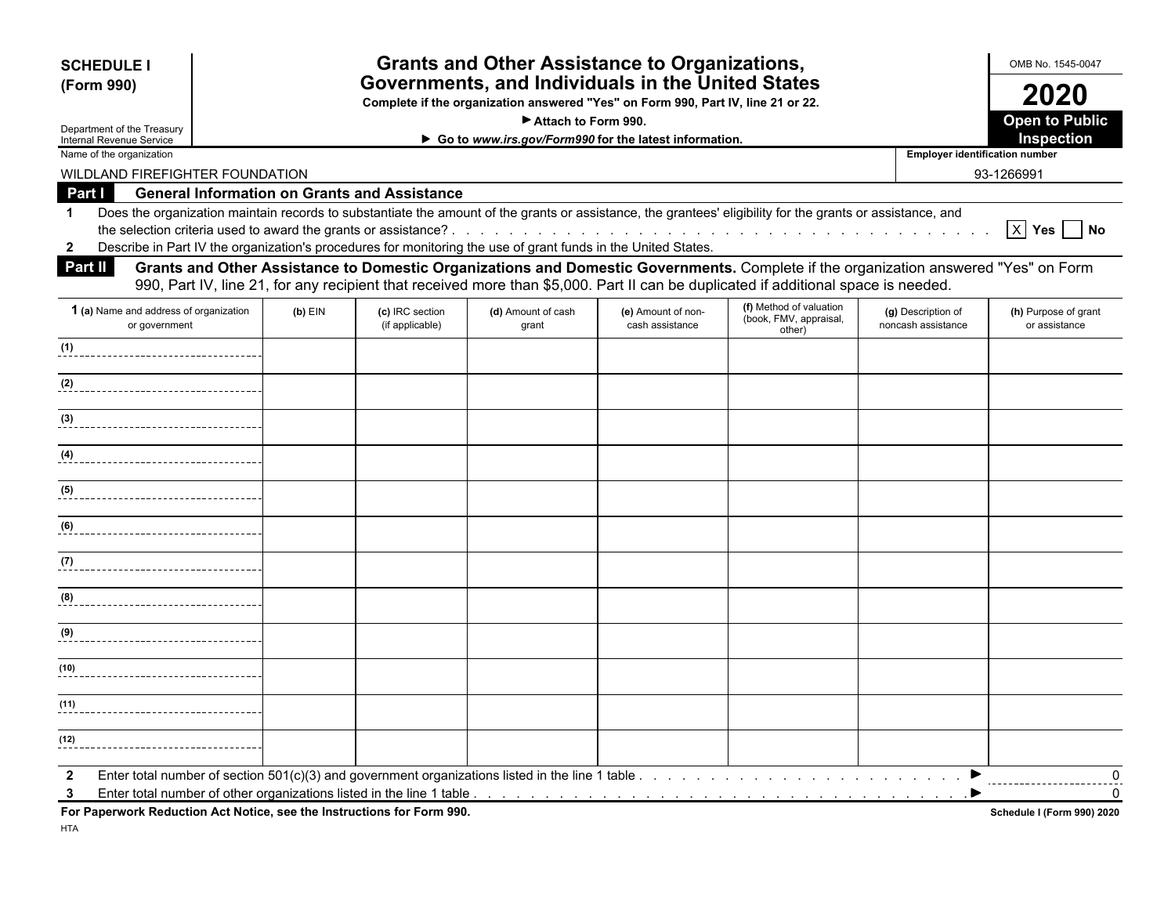| <b>SCHEDULE I</b>                                                                                                                                                                                                                                                                                          | <b>Grants and Other Assistance to Organizations,</b><br>Governments, and Individuals in the United States |                                    |                                                       |                                       |                                                             |                                          |                                       |
|------------------------------------------------------------------------------------------------------------------------------------------------------------------------------------------------------------------------------------------------------------------------------------------------------------|-----------------------------------------------------------------------------------------------------------|------------------------------------|-------------------------------------------------------|---------------------------------------|-------------------------------------------------------------|------------------------------------------|---------------------------------------|
| (Form 990)                                                                                                                                                                                                                                                                                                 |                                                                                                           |                                    |                                                       |                                       |                                                             |                                          |                                       |
| Complete if the organization answered "Yes" on Form 990, Part IV, line 21 or 22.<br>Attach to Form 990.                                                                                                                                                                                                    |                                                                                                           |                                    |                                                       |                                       |                                                             |                                          | 2020<br><b>Open to Public</b>         |
| Department of the Treasury<br>Internal Revenue Service                                                                                                                                                                                                                                                     |                                                                                                           |                                    | Go to www.irs.gov/Form990 for the latest information. |                                       |                                                             |                                          | Inspection                            |
| Name of the organization                                                                                                                                                                                                                                                                                   |                                                                                                           |                                    |                                                       |                                       |                                                             | <b>Employer identification number</b>    |                                       |
| WILDLAND FIREFIGHTER FOUNDATION                                                                                                                                                                                                                                                                            |                                                                                                           |                                    |                                                       |                                       |                                                             |                                          | 93-1266991                            |
| Part I<br><b>General Information on Grants and Assistance</b>                                                                                                                                                                                                                                              |                                                                                                           |                                    |                                                       |                                       |                                                             |                                          |                                       |
| Does the organization maintain records to substantiate the amount of the grants or assistance, the grantees' eligibility for the grants or assistance, and<br>$\mathbf 1$<br>Describe in Part IV the organization's procedures for monitoring the use of grant funds in the United States.<br>$\mathbf{2}$ |                                                                                                           |                                    |                                                       |                                       |                                                             |                                          | $X$ Yes $\Box$ No                     |
| Grants and Other Assistance to Domestic Organizations and Domestic Governments. Complete if the organization answered "Yes" on Form<br><b>Part II</b><br>990, Part IV, line 21, for any recipient that received more than \$5,000. Part II can be duplicated if additional space is needed.                |                                                                                                           |                                    |                                                       |                                       |                                                             |                                          |                                       |
| 1 (a) Name and address of organization<br>or government                                                                                                                                                                                                                                                    | $(b)$ EIN                                                                                                 | (c) IRC section<br>(if applicable) | (d) Amount of cash<br>grant                           | (e) Amount of non-<br>cash assistance | (f) Method of valuation<br>(book, FMV, appraisal,<br>other) | (g) Description of<br>noncash assistance | (h) Purpose of grant<br>or assistance |
| (1)                                                                                                                                                                                                                                                                                                        |                                                                                                           |                                    |                                                       |                                       |                                                             |                                          |                                       |
| (2)                                                                                                                                                                                                                                                                                                        |                                                                                                           |                                    |                                                       |                                       |                                                             |                                          |                                       |
| (3)                                                                                                                                                                                                                                                                                                        |                                                                                                           |                                    |                                                       |                                       |                                                             |                                          |                                       |
| (4)                                                                                                                                                                                                                                                                                                        |                                                                                                           |                                    |                                                       |                                       |                                                             |                                          |                                       |
| (5)                                                                                                                                                                                                                                                                                                        |                                                                                                           |                                    |                                                       |                                       |                                                             |                                          |                                       |
| (6)                                                                                                                                                                                                                                                                                                        |                                                                                                           |                                    |                                                       |                                       |                                                             |                                          |                                       |
| (7)                                                                                                                                                                                                                                                                                                        |                                                                                                           |                                    |                                                       |                                       |                                                             |                                          |                                       |
| (8)                                                                                                                                                                                                                                                                                                        |                                                                                                           |                                    |                                                       |                                       |                                                             |                                          |                                       |
| (9)                                                                                                                                                                                                                                                                                                        |                                                                                                           |                                    |                                                       |                                       |                                                             |                                          |                                       |
| (10)                                                                                                                                                                                                                                                                                                       |                                                                                                           |                                    |                                                       |                                       |                                                             |                                          |                                       |
| (11)                                                                                                                                                                                                                                                                                                       |                                                                                                           |                                    |                                                       |                                       |                                                             |                                          |                                       |
|                                                                                                                                                                                                                                                                                                            |                                                                                                           |                                    |                                                       |                                       |                                                             |                                          |                                       |

**For Paperwork Reduction Act Notice, see the Instructions for Form 990. Schedule I (Form 990) 2020**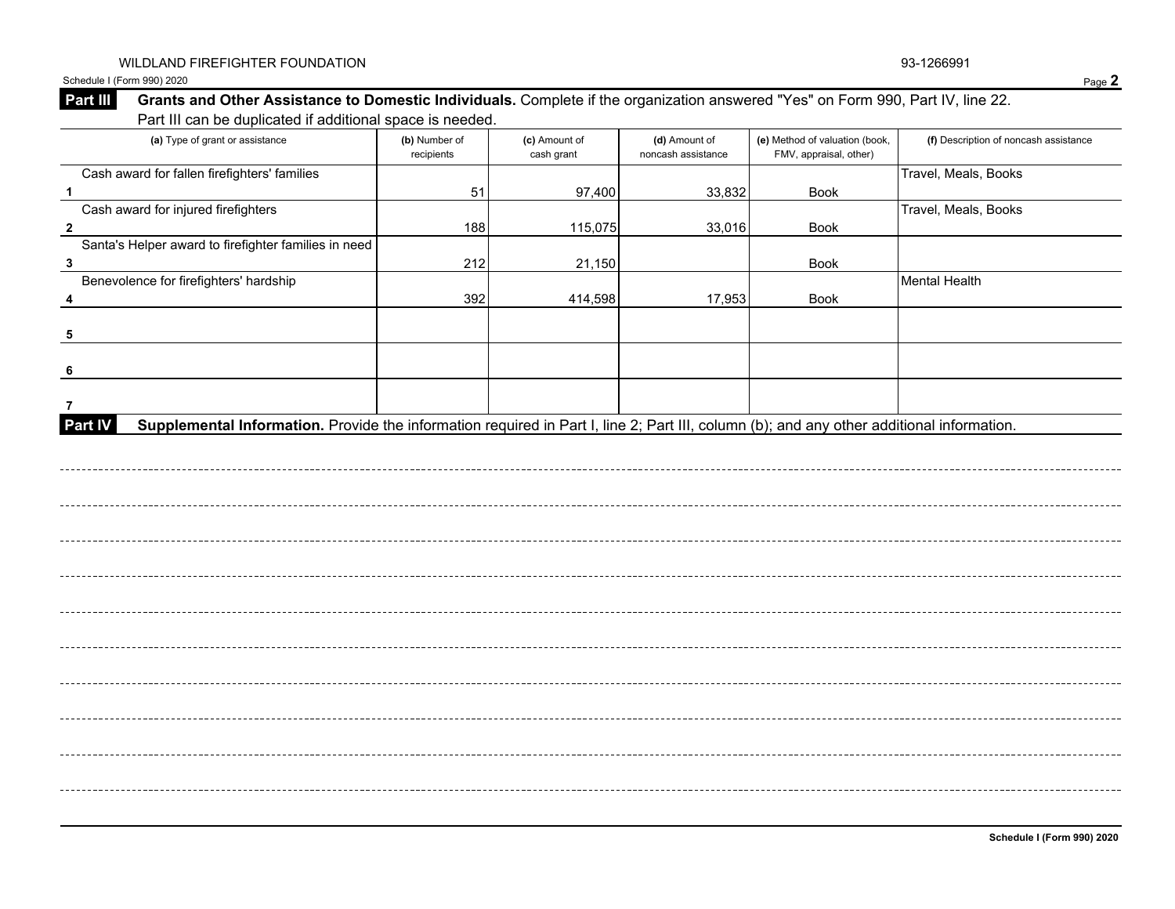Schedule I (Form 990) 2020 Page 2

#### **Part III** Grants and Other Assistance to Domestic Individuals. Complete if the organization answered "Yes" on Form 990, Part IV, line 22. Part III can be duplicated if additional space is needed.

| (a) Type of grant or assistance                                                                                                                      | (b) Number of<br>recipients | (c) Amount of<br>cash grant | (d) Amount of<br>noncash assistance | (e) Method of valuation (book,<br>FMV, appraisal, other) | (f) Description of noncash assistance |
|------------------------------------------------------------------------------------------------------------------------------------------------------|-----------------------------|-----------------------------|-------------------------------------|----------------------------------------------------------|---------------------------------------|
| Cash award for fallen firefighters' families                                                                                                         |                             |                             |                                     |                                                          | Travel, Meals, Books                  |
| $\mathbf{1}$                                                                                                                                         | 51                          | 97,400                      | 33,832                              | Book                                                     |                                       |
| Cash award for injured firefighters                                                                                                                  |                             |                             |                                     |                                                          | Travel, Meals, Books                  |
| $\overline{2}$                                                                                                                                       | 188                         | 115,075                     | 33,016                              | Book                                                     |                                       |
| Santa's Helper award to firefighter families in need                                                                                                 |                             |                             |                                     |                                                          |                                       |
| $\overline{\mathbf{3}}$                                                                                                                              | 212                         | 21,150                      |                                     | Book                                                     |                                       |
| Benevolence for firefighters' hardship                                                                                                               |                             |                             |                                     |                                                          | <b>Mental Health</b>                  |
| 4                                                                                                                                                    | 392                         | 414,598                     | 17,953                              | Book                                                     |                                       |
|                                                                                                                                                      |                             |                             |                                     |                                                          |                                       |
| 5                                                                                                                                                    |                             |                             |                                     |                                                          |                                       |
|                                                                                                                                                      |                             |                             |                                     |                                                          |                                       |
|                                                                                                                                                      |                             |                             |                                     |                                                          |                                       |
|                                                                                                                                                      |                             |                             |                                     |                                                          |                                       |
| 7                                                                                                                                                    |                             |                             |                                     |                                                          |                                       |
| Supplemental Information. Provide the information required in Part I, line 2; Part III, column (b); and any other additional information.<br>Part IV |                             |                             |                                     |                                                          |                                       |
|                                                                                                                                                      |                             |                             |                                     |                                                          |                                       |
|                                                                                                                                                      |                             |                             |                                     |                                                          |                                       |
|                                                                                                                                                      |                             |                             |                                     |                                                          |                                       |
|                                                                                                                                                      |                             |                             |                                     |                                                          |                                       |
|                                                                                                                                                      |                             |                             |                                     |                                                          |                                       |
|                                                                                                                                                      |                             |                             |                                     |                                                          |                                       |
|                                                                                                                                                      |                             |                             |                                     |                                                          |                                       |
|                                                                                                                                                      |                             |                             |                                     |                                                          |                                       |
|                                                                                                                                                      |                             |                             |                                     |                                                          |                                       |
|                                                                                                                                                      |                             |                             |                                     |                                                          |                                       |
|                                                                                                                                                      |                             |                             |                                     |                                                          |                                       |
|                                                                                                                                                      |                             |                             |                                     |                                                          |                                       |
|                                                                                                                                                      |                             |                             |                                     |                                                          |                                       |
|                                                                                                                                                      |                             |                             |                                     |                                                          |                                       |
|                                                                                                                                                      |                             |                             |                                     |                                                          |                                       |
|                                                                                                                                                      |                             |                             |                                     |                                                          |                                       |
|                                                                                                                                                      |                             |                             |                                     |                                                          |                                       |
|                                                                                                                                                      |                             |                             |                                     |                                                          |                                       |
|                                                                                                                                                      |                             |                             |                                     |                                                          |                                       |
|                                                                                                                                                      |                             |                             |                                     |                                                          |                                       |
|                                                                                                                                                      |                             |                             |                                     |                                                          |                                       |
|                                                                                                                                                      |                             |                             |                                     |                                                          |                                       |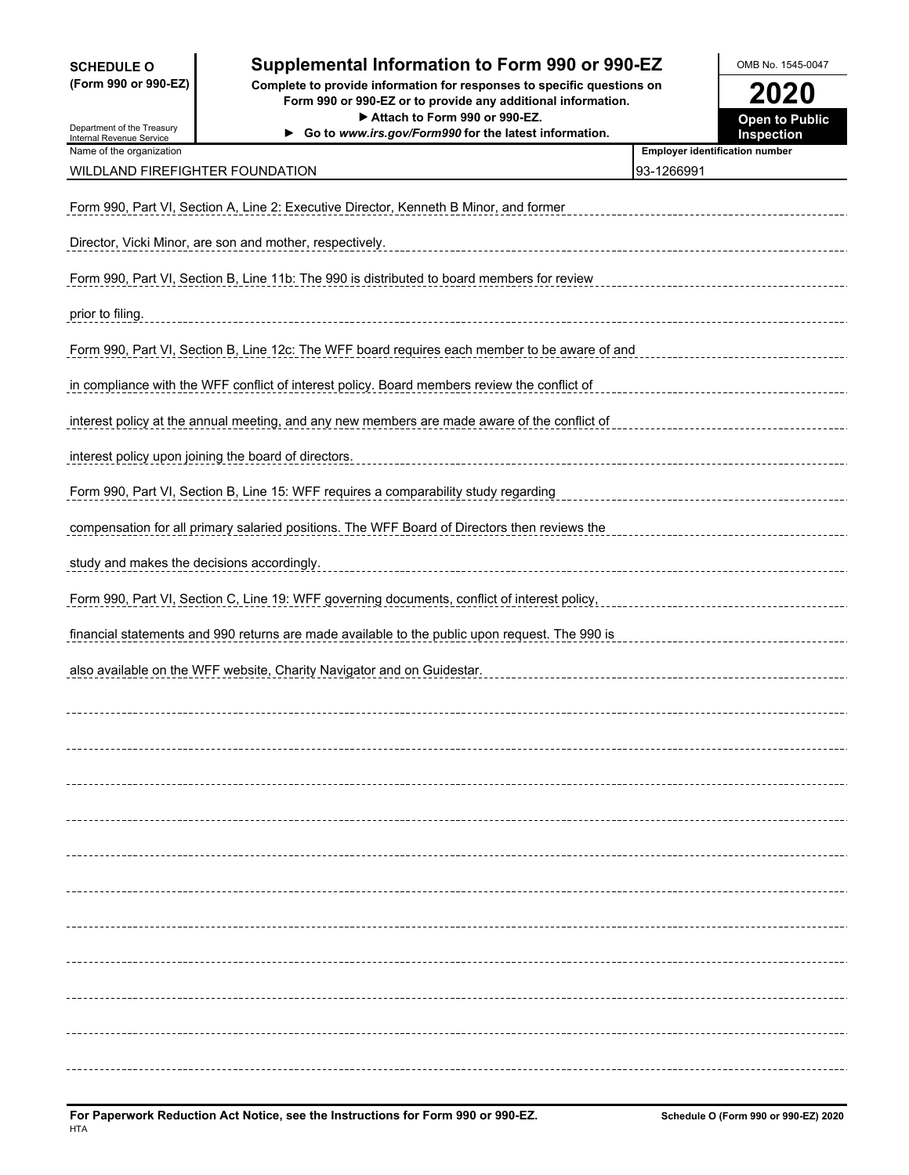**SCHEDULE O Supplemental Information to Form 990 or 990-EZ OMB No. 1545-0047 (Form 990 or 990-EZ) Complete to provide information for responses to specific questions on Form 990 or 990-EZ or to provide any additional information. 2020** Department of the Treasury Internal Revenue Service ▶ Attach to Form 990 or 990-EZ.<br>
w.irs.gov/Form990 for the latest information. **Open to Public**<br>
Inspection ▶ Go to *www.irs.gov/Form990* for the latest information. Name of the organization<br> **Name of the organization** WILDLAND FIREFIGHTER FOUNDATION 83-1266991 Form 990, Part VI, Section A, Line 2: Executive Director, Kenneth B Minor, and former Director, Vicki Minor, are son and mother, respectively. Form 990, Part VI, Section B, Line 11b: The 990 is distributed to board members for review prior to filing. Form 990, Part VI, Section B, Line 12c: The WFF board requires each member to be aware of and in compliance with the WFF conflict of interest policy. Board members review the conflict of interest policy at the annual meeting, and any new members are made aware of the conflict of interest policy upon joining the board of directors. Form 990, Part VI, Section B, Line 15: WFF requires a comparability study regarding compensation for all primary salaried positions. The WFF Board of Directors then reviews the study and makes the decisions accordingly. Form 990, Part VI, Section C, Line 19: WFF governing documents, conflict of interest policy, financial statements and 990 returns are made available to the public upon request. The 990 is also available on the WFF website, Charity Navigator and on Guidestar.